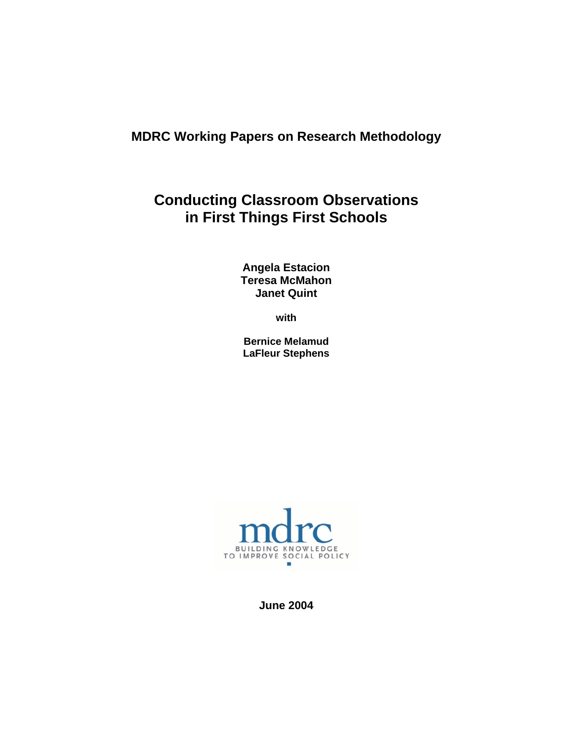# **MDRC Working Papers on Research Methodology**

# **Conducting Classroom Observations in First Things First Schools**

**Angela Estacion Teresa McMahon Janet Quint** 

**with** 

**Bernice Melamud LaFleur Stephens** 



**June 2004**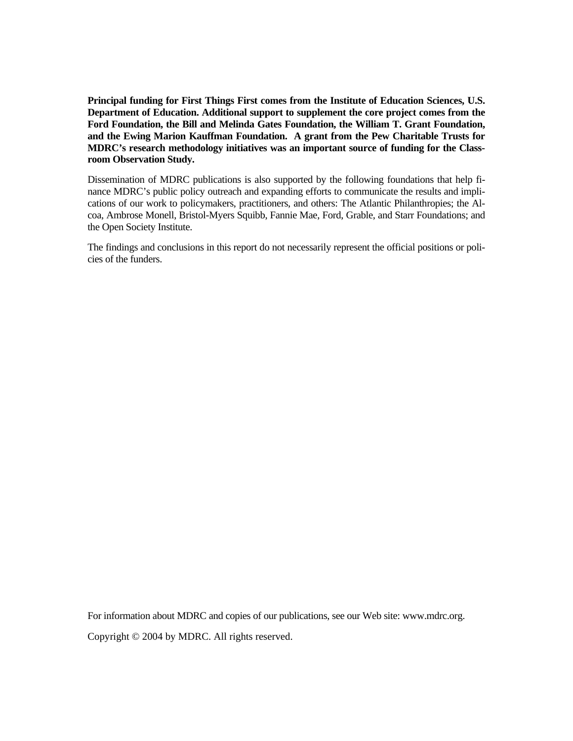**Principal funding for First Things First comes from the Institute of Education Sciences, U.S. Department of Education. Additional support to supplement the core project comes from the Ford Foundation, the Bill and Melinda Gates Foundation, the William T. Grant Foundation, and the Ewing Marion Kauffman Foundation. A grant from the Pew Charitable Trusts for MDRC's research methodology initiatives was an important source of funding for the Classroom Observation Study.** 

Dissemination of MDRC publications is also supported by the following foundations that help finance MDRC's public policy outreach and expanding efforts to communicate the results and implications of our work to policymakers, practitioners, and others: The Atlantic Philanthropies; the Alcoa, Ambrose Monell, Bristol-Myers Squibb, Fannie Mae, Ford, Grable, and Starr Foundations; and the Open Society Institute.

The findings and conclusions in this report do not necessarily represent the official positions or policies of the funders.

For information about MDRC and copies of our publications, see our Web site: www.mdrc.org. Copyright © 2004 by MDRC. All rights reserved.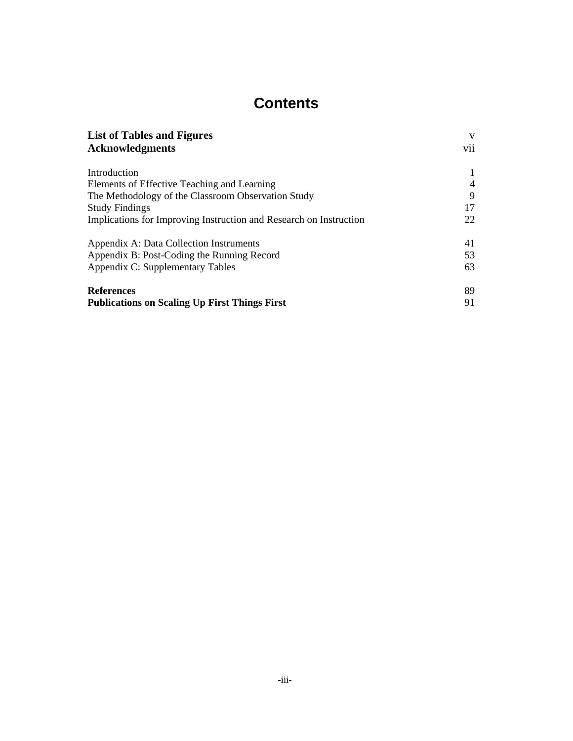# **Contents**

| <b>List of Tables and Figures</b>                                  | V              |
|--------------------------------------------------------------------|----------------|
| <b>Acknowledgments</b>                                             | vii            |
| Introduction                                                       |                |
| Elements of Effective Teaching and Learning                        | $\overline{4}$ |
| The Methodology of the Classroom Observation Study                 | 9              |
| <b>Study Findings</b>                                              | 17             |
| Implications for Improving Instruction and Research on Instruction | 22             |
| Appendix A: Data Collection Instruments                            | 41             |
| Appendix B: Post-Coding the Running Record                         | 53             |
| Appendix C: Supplementary Tables                                   | 63             |
| <b>References</b>                                                  | 89             |
| <b>Publications on Scaling Up First Things First</b>               | 91             |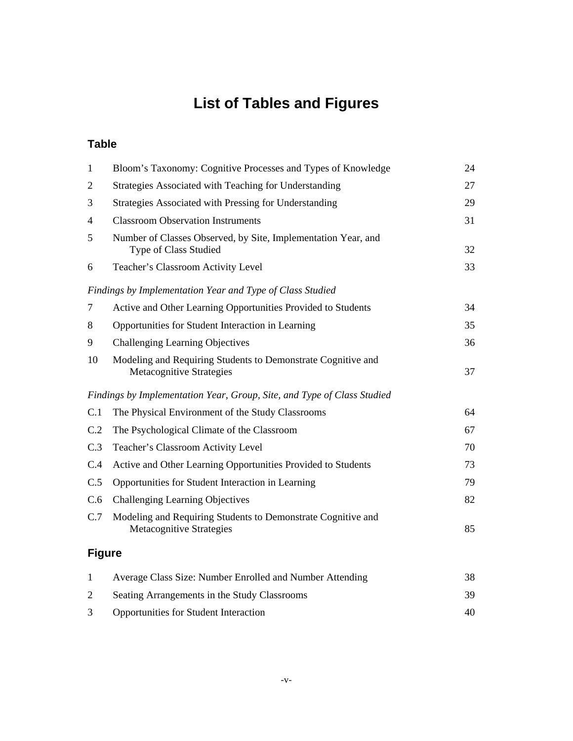# **List of Tables and Figures**

# **Table**

| $\mathbf{1}$   | Bloom's Taxonomy: Cognitive Processes and Types of Knowledge<br>24                       |    |  |
|----------------|------------------------------------------------------------------------------------------|----|--|
| $\overline{2}$ | Strategies Associated with Teaching for Understanding                                    |    |  |
| 3              | Strategies Associated with Pressing for Understanding                                    |    |  |
| 4              | <b>Classroom Observation Instruments</b>                                                 |    |  |
| 5              | Number of Classes Observed, by Site, Implementation Year, and<br>Type of Class Studied   | 32 |  |
| 6              | Teacher's Classroom Activity Level                                                       | 33 |  |
|                | Findings by Implementation Year and Type of Class Studied                                |    |  |
| 7              | Active and Other Learning Opportunities Provided to Students                             | 34 |  |
| 8              | Opportunities for Student Interaction in Learning                                        | 35 |  |
| 9              | <b>Challenging Learning Objectives</b>                                                   | 36 |  |
| 10             | Modeling and Requiring Students to Demonstrate Cognitive and<br>Metacognitive Strategies | 37 |  |
|                | Findings by Implementation Year, Group, Site, and Type of Class Studied                  |    |  |
| C.1            | The Physical Environment of the Study Classrooms                                         | 64 |  |
| C.2            | The Psychological Climate of the Classroom                                               | 67 |  |
| C.3            | Teacher's Classroom Activity Level                                                       |    |  |
| C.4            | Active and Other Learning Opportunities Provided to Students                             | 73 |  |
| C.5            | Opportunities for Student Interaction in Learning                                        | 79 |  |
| C.6            | Challenging Learning Objectives                                                          | 82 |  |
| C.7            | Modeling and Requiring Students to Demonstrate Cognitive and<br>Metacognitive Strategies | 85 |  |
| <b>Figure</b>  |                                                                                          |    |  |
| $\mathbf{1}$   | Average Class Size: Number Enrolled and Number Attending                                 | 38 |  |
| 2              | Seating Arrangements in the Study Classrooms                                             | 39 |  |
| 3              | Opportunities for Student Interaction                                                    | 40 |  |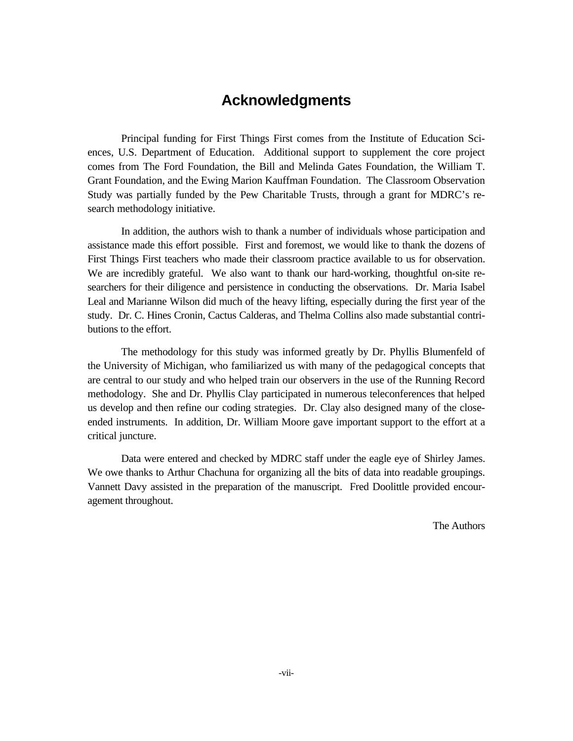# **Acknowledgments**

Principal funding for First Things First comes from the Institute of Education Sciences, U.S. Department of Education. Additional support to supplement the core project comes from The Ford Foundation, the Bill and Melinda Gates Foundation, the William T. Grant Foundation, and the Ewing Marion Kauffman Foundation. The Classroom Observation Study was partially funded by the Pew Charitable Trusts, through a grant for MDRC's research methodology initiative.

In addition, the authors wish to thank a number of individuals whose participation and assistance made this effort possible. First and foremost, we would like to thank the dozens of First Things First teachers who made their classroom practice available to us for observation. We are incredibly grateful. We also want to thank our hard-working, thoughtful on-site researchers for their diligence and persistence in conducting the observations. Dr. Maria Isabel Leal and Marianne Wilson did much of the heavy lifting, especially during the first year of the study. Dr. C. Hines Cronin, Cactus Calderas, and Thelma Collins also made substantial contributions to the effort.

The methodology for this study was informed greatly by Dr. Phyllis Blumenfeld of the University of Michigan, who familiarized us with many of the pedagogical concepts that are central to our study and who helped train our observers in the use of the Running Record methodology. She and Dr. Phyllis Clay participated in numerous teleconferences that helped us develop and then refine our coding strategies. Dr. Clay also designed many of the closeended instruments. In addition, Dr. William Moore gave important support to the effort at a critical juncture.

Data were entered and checked by MDRC staff under the eagle eye of Shirley James. We owe thanks to Arthur Chachuna for organizing all the bits of data into readable groupings. Vannett Davy assisted in the preparation of the manuscript. Fred Doolittle provided encouragement throughout.

The Authors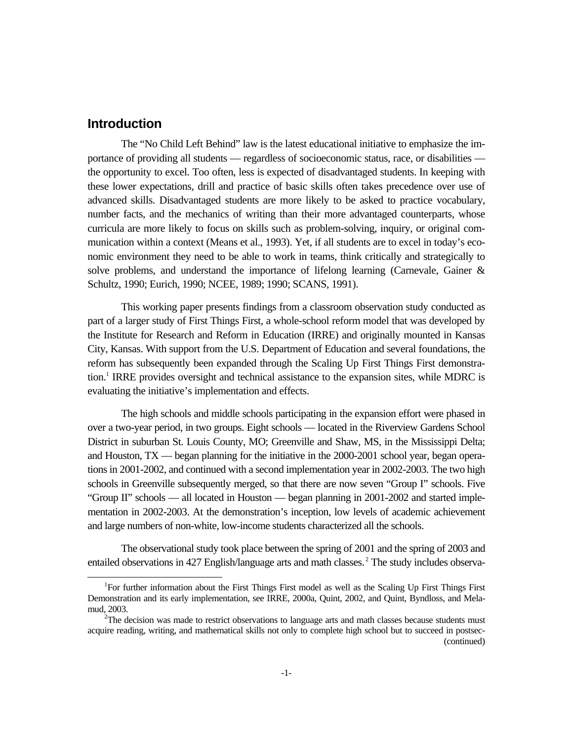## **Introduction**

The "No Child Left Behind" law is the latest educational initiative to emphasize the importance of providing all students — regardless of socioeconomic status, race, or disabilities the opportunity to excel. Too often, less is expected of disadvantaged students. In keeping with these lower expectations, drill and practice of basic skills often takes precedence over use of advanced skills. Disadvantaged students are more likely to be asked to practice vocabulary, number facts, and the mechanics of writing than their more advantaged counterparts, whose curricula are more likely to focus on skills such as problem-solving, inquiry, or original communication within a context (Means et al., 1993). Yet, if all students are to excel in today's economic environment they need to be able to work in teams, think critically and strategically to solve problems, and understand the importance of lifelong learning (Carnevale, Gainer & Schultz, 1990; Eurich, 1990; NCEE, 1989; 1990; SCANS, 1991).

This working paper presents findings from a classroom observation study conducted as part of a larger study of First Things First, a whole-school reform model that was developed by the Institute for Research and Reform in Education (IRRE) and originally mounted in Kansas City, Kansas. With support from the U.S. Department of Education and several foundations, the reform has subsequently been expanded through the Scaling Up First Things First demonstration.<sup>1</sup> IRRE provides oversight and technical assistance to the expansion sites, while MDRC is evaluating the initiative's implementation and effects.

The high schools and middle schools participating in the expansion effort were phased in over a two-year period, in two groups. Eight schools — located in the Riverview Gardens School District in suburban St. Louis County, MO; Greenville and Shaw, MS, in the Mississippi Delta; and Houston, TX — began planning for the initiative in the 2000-2001 school year, began operations in 2001-2002, and continued with a second implementation year in 2002-2003. The two high schools in Greenville subsequently merged, so that there are now seven "Group I" schools. Five "Group II" schools — all located in Houston — began planning in 2001-2002 and started implementation in 2002-2003. At the demonstration's inception, low levels of academic achievement and large numbers of non-white, low-income students characterized all the schools.

The observational study took place between the spring of 2001 and the spring of 2003 and entailed observations in 427 English/language arts and math classes.<sup>2</sup> The study includes observa-

 $\frac{1}{1}$ For further information about the First Things First model as well as the Scaling Up First Things First Demonstration and its early implementation, see IRRE, 2000a, Quint, 2002, and Quint, Byndloss, and Melamud. 2003.

 $T$ The decision was made to restrict observations to language arts and math classes because students must acquire reading, writing, and mathematical skills not only to complete high school but to succeed in postsec- (continued)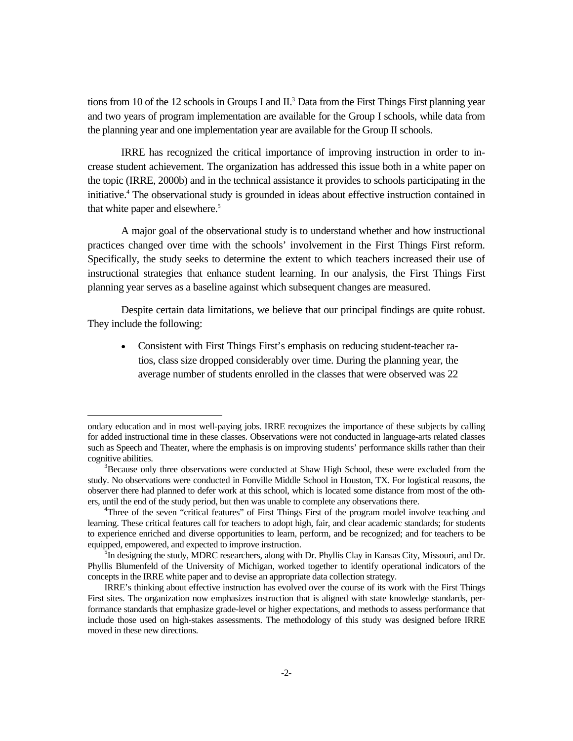tions from 10 of the 12 schools in Groups I and II.<sup>3</sup> Data from the First Things First planning year and two years of program implementation are available for the Group I schools, while data from the planning year and one implementation year are available for the Group II schools.

IRRE has recognized the critical importance of improving instruction in order to increase student achievement. The organization has addressed this issue both in a white paper on the topic (IRRE, 2000b) and in the technical assistance it provides to schools participating in the initiative.4 The observational study is grounded in ideas about effective instruction contained in that white paper and elsewhere.<sup>5</sup>

A major goal of the observational study is to understand whether and how instructional practices changed over time with the schools' involvement in the First Things First reform. Specifically, the study seeks to determine the extent to which teachers increased their use of instructional strategies that enhance student learning. In our analysis, the First Things First planning year serves as a baseline against which subsequent changes are measured.

Despite certain data limitations, we believe that our principal findings are quite robust. They include the following:

• Consistent with First Things First's emphasis on reducing student-teacher ratios, class size dropped considerably over time. During the planning year, the average number of students enrolled in the classes that were observed was 22

ondary education and in most well-paying jobs. IRRE recognizes the importance of these subjects by calling for added instructional time in these classes. Observations were not conducted in language-arts related classes such as Speech and Theater, where the emphasis is on improving students' performance skills rather than their cognitive abilities.

 $B^3$ Because only three observations were conducted at Shaw High School, these were excluded from the study. No observations were conducted in Fonville Middle School in Houston, TX. For logistical reasons, the observer there had planned to defer work at this school, which is located some distance from most of the others, until the end of the study period, but then was unable to complete any observations there. 4

<sup>&</sup>lt;sup>4</sup>Three of the seven "critical features" of First Things First of the program model involve teaching and learning. These critical features call for teachers to adopt high, fair, and clear academic standards; for students to experience enriched and diverse opportunities to learn, perform, and be recognized; and for teachers to be equipped, empowered, and expected to improve instruction.

 ${}^{5}$ In designing the study, MDRC researchers, along with Dr. Phyllis Clay in Kansas City, Missouri, and Dr. Phyllis Blumenfeld of the University of Michigan, worked together to identify operational indicators of the concepts in the IRRE white paper and to devise an appropriate data collection strategy.

IRRE's thinking about effective instruction has evolved over the course of its work with the First Things First sites. The organization now emphasizes instruction that is aligned with state knowledge standards, performance standards that emphasize grade-level or higher expectations, and methods to assess performance that include those used on high-stakes assessments. The methodology of this study was designed before IRRE moved in these new directions.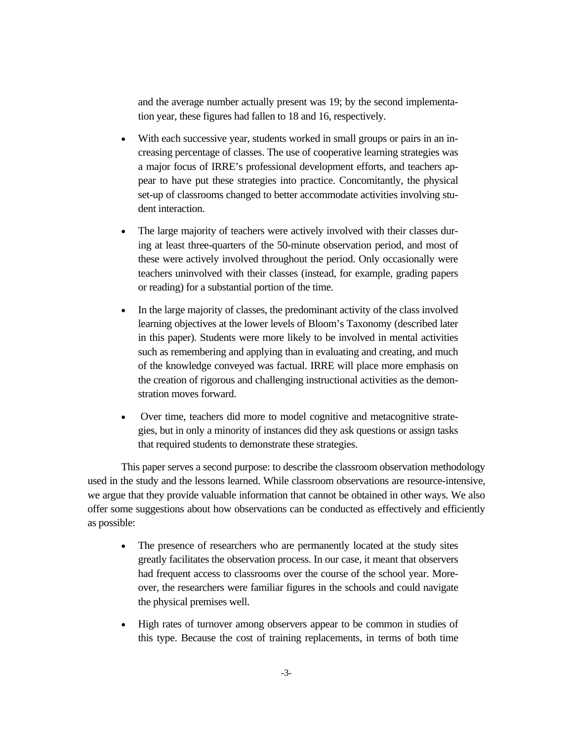and the average number actually present was 19; by the second implementation year, these figures had fallen to 18 and 16, respectively.

- With each successive year, students worked in small groups or pairs in an increasing percentage of classes. The use of cooperative learning strategies was a major focus of IRRE's professional development efforts, and teachers appear to have put these strategies into practice. Concomitantly, the physical set-up of classrooms changed to better accommodate activities involving student interaction.
- The large majority of teachers were actively involved with their classes during at least three-quarters of the 50-minute observation period, and most of these were actively involved throughout the period. Only occasionally were teachers uninvolved with their classes (instead, for example, grading papers or reading) for a substantial portion of the time.
- In the large majority of classes, the predominant activity of the class involved learning objectives at the lower levels of Bloom's Taxonomy (described later in this paper). Students were more likely to be involved in mental activities such as remembering and applying than in evaluating and creating, and much of the knowledge conveyed was factual. IRRE will place more emphasis on the creation of rigorous and challenging instructional activities as the demonstration moves forward.
- Over time, teachers did more to model cognitive and metacognitive strategies, but in only a minority of instances did they ask questions or assign tasks that required students to demonstrate these strategies.

This paper serves a second purpose: to describe the classroom observation methodology used in the study and the lessons learned. While classroom observations are resource-intensive, we argue that they provide valuable information that cannot be obtained in other ways. We also offer some suggestions about how observations can be conducted as effectively and efficiently as possible:

- The presence of researchers who are permanently located at the study sites greatly facilitates the observation process. In our case, it meant that observers had frequent access to classrooms over the course of the school year. Moreover, the researchers were familiar figures in the schools and could navigate the physical premises well.
- High rates of turnover among observers appear to be common in studies of this type. Because the cost of training replacements, in terms of both time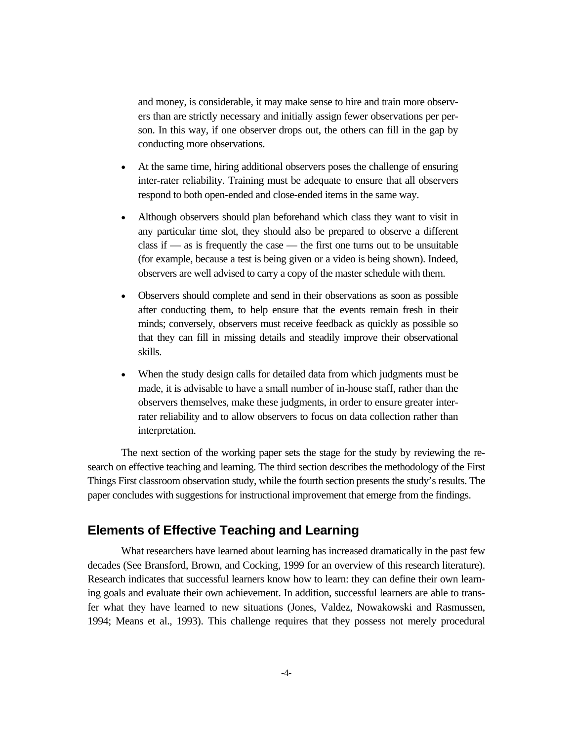and money, is considerable, it may make sense to hire and train more observers than are strictly necessary and initially assign fewer observations per person. In this way, if one observer drops out, the others can fill in the gap by conducting more observations.

- At the same time, hiring additional observers poses the challenge of ensuring inter-rater reliability. Training must be adequate to ensure that all observers respond to both open-ended and close-ended items in the same way.
- Although observers should plan beforehand which class they want to visit in any particular time slot, they should also be prepared to observe a different class if  $\frac{1}{x}$  as is frequently the case  $\frac{1}{x}$  the first one turns out to be unsuitable (for example, because a test is being given or a video is being shown). Indeed, observers are well advised to carry a copy of the master schedule with them.
- Observers should complete and send in their observations as soon as possible after conducting them, to help ensure that the events remain fresh in their minds; conversely, observers must receive feedback as quickly as possible so that they can fill in missing details and steadily improve their observational skills.
- When the study design calls for detailed data from which judgments must be made, it is advisable to have a small number of in-house staff, rather than the observers themselves, make these judgments, in order to ensure greater interrater reliability and to allow observers to focus on data collection rather than interpretation.

The next section of the working paper sets the stage for the study by reviewing the research on effective teaching and learning. The third section describes the methodology of the First Things First classroom observation study, while the fourth section presents the study's results. The paper concludes with suggestions for instructional improvement that emerge from the findings.

# **Elements of Effective Teaching and Learning**

What researchers have learned about learning has increased dramatically in the past few decades (See Bransford, Brown, and Cocking, 1999 for an overview of this research literature). Research indicates that successful learners know how to learn: they can define their own learning goals and evaluate their own achievement. In addition, successful learners are able to transfer what they have learned to new situations (Jones, Valdez, Nowakowski and Rasmussen, 1994; Means et al., 1993). This challenge requires that they possess not merely procedural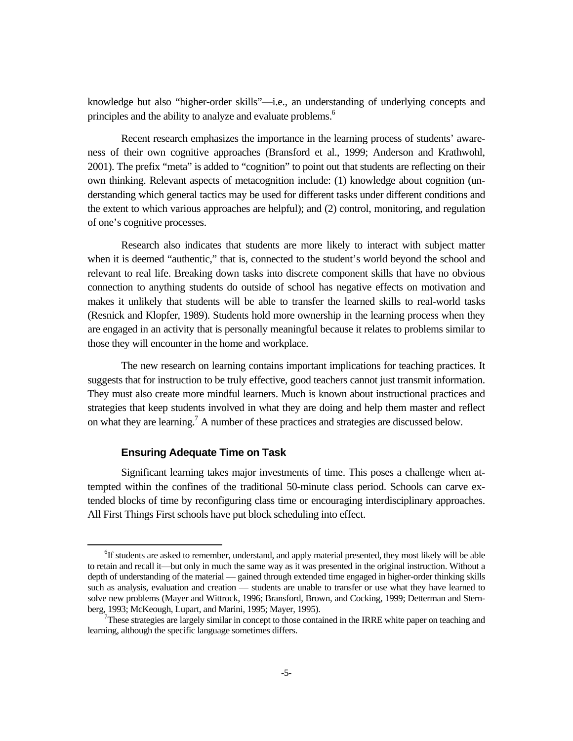knowledge but also "higher-order skills"—i.e., an understanding of underlying concepts and principles and the ability to analyze and evaluate problems.<sup>6</sup>

Recent research emphasizes the importance in the learning process of students' awareness of their own cognitive approaches (Bransford et al., 1999; Anderson and Krathwohl, 2001). The prefix "meta" is added to "cognition" to point out that students are reflecting on their own thinking. Relevant aspects of metacognition include: (1) knowledge about cognition (understanding which general tactics may be used for different tasks under different conditions and the extent to which various approaches are helpful); and (2) control, monitoring, and regulation of one's cognitive processes.

Research also indicates that students are more likely to interact with subject matter when it is deemed "authentic," that is, connected to the student's world beyond the school and relevant to real life. Breaking down tasks into discrete component skills that have no obvious connection to anything students do outside of school has negative effects on motivation and makes it unlikely that students will be able to transfer the learned skills to real-world tasks (Resnick and Klopfer, 1989). Students hold more ownership in the learning process when they are engaged in an activity that is personally meaningful because it relates to problems similar to those they will encounter in the home and workplace.

The new research on learning contains important implications for teaching practices. It suggests that for instruction to be truly effective, good teachers cannot just transmit information. They must also create more mindful learners. Much is known about instructional practices and strategies that keep students involved in what they are doing and help them master and reflect on what they are learning.<sup>7</sup> A number of these practices and strategies are discussed below.

### **Ensuring Adequate Time on Task**

Significant learning takes major investments of time. This poses a challenge when attempted within the confines of the traditional 50-minute class period. Schools can carve extended blocks of time by reconfiguring class time or encouraging interdisciplinary approaches. All First Things First schools have put block scheduling into effect.

 $\overline{6}$ <sup>6</sup>If students are asked to remember, understand, and apply material presented, they most likely will be able to retain and recall it—but only in much the same way as it was presented in the original instruction. Without a depth of understanding of the material — gained through extended time engaged in higher-order thinking skills such as analysis, evaluation and creation — students are unable to transfer or use what they have learned to solve new problems (Mayer and Wittrock, 1996; Bransford, Brown, and Cocking, 1999; Detterman and Sternberg, 1993; McKeough, Lupart, and Marini, 1995; Mayer, 1995). 7

These strategies are largely similar in concept to those contained in the IRRE white paper on teaching and learning, although the specific language sometimes differs.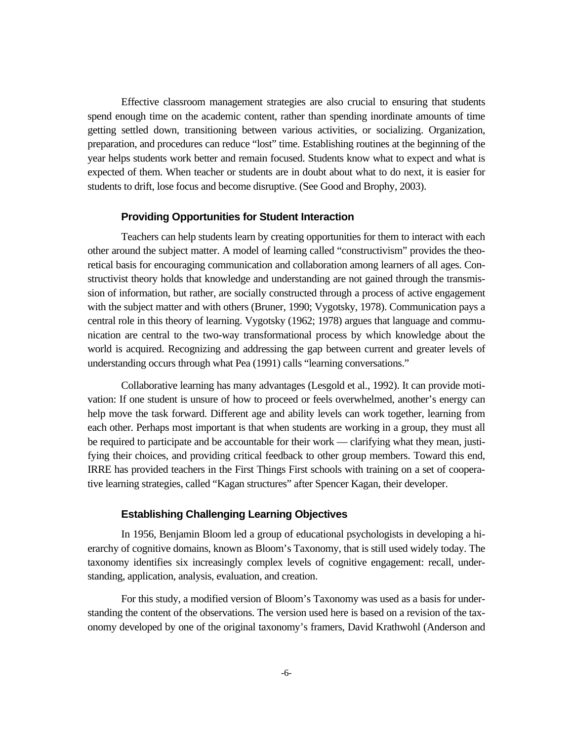Effective classroom management strategies are also crucial to ensuring that students spend enough time on the academic content, rather than spending inordinate amounts of time getting settled down, transitioning between various activities, or socializing. Organization, preparation, and procedures can reduce "lost" time. Establishing routines at the beginning of the year helps students work better and remain focused. Students know what to expect and what is expected of them. When teacher or students are in doubt about what to do next, it is easier for students to drift, lose focus and become disruptive. (See Good and Brophy, 2003).

#### **Providing Opportunities for Student Interaction**

Teachers can help students learn by creating opportunities for them to interact with each other around the subject matter. A model of learning called "constructivism" provides the theoretical basis for encouraging communication and collaboration among learners of all ages. Constructivist theory holds that knowledge and understanding are not gained through the transmission of information, but rather, are socially constructed through a process of active engagement with the subject matter and with others (Bruner, 1990; Vygotsky, 1978). Communication pays a central role in this theory of learning. Vygotsky (1962; 1978) argues that language and communication are central to the two-way transformational process by which knowledge about the world is acquired. Recognizing and addressing the gap between current and greater levels of understanding occurs through what Pea (1991) calls "learning conversations."

Collaborative learning has many advantages (Lesgold et al., 1992). It can provide motivation: If one student is unsure of how to proceed or feels overwhelmed, another's energy can help move the task forward. Different age and ability levels can work together, learning from each other. Perhaps most important is that when students are working in a group, they must all be required to participate and be accountable for their work — clarifying what they mean, justifying their choices, and providing critical feedback to other group members. Toward this end, IRRE has provided teachers in the First Things First schools with training on a set of cooperative learning strategies, called "Kagan structures" after Spencer Kagan, their developer.

### **Establishing Challenging Learning Objectives**

In 1956, Benjamin Bloom led a group of educational psychologists in developing a hierarchy of cognitive domains, known as Bloom's Taxonomy, that is still used widely today. The taxonomy identifies six increasingly complex levels of cognitive engagement: recall, understanding, application, analysis, evaluation, and creation.

For this study, a modified version of Bloom's Taxonomy was used as a basis for understanding the content of the observations. The version used here is based on a revision of the taxonomy developed by one of the original taxonomy's framers, David Krathwohl (Anderson and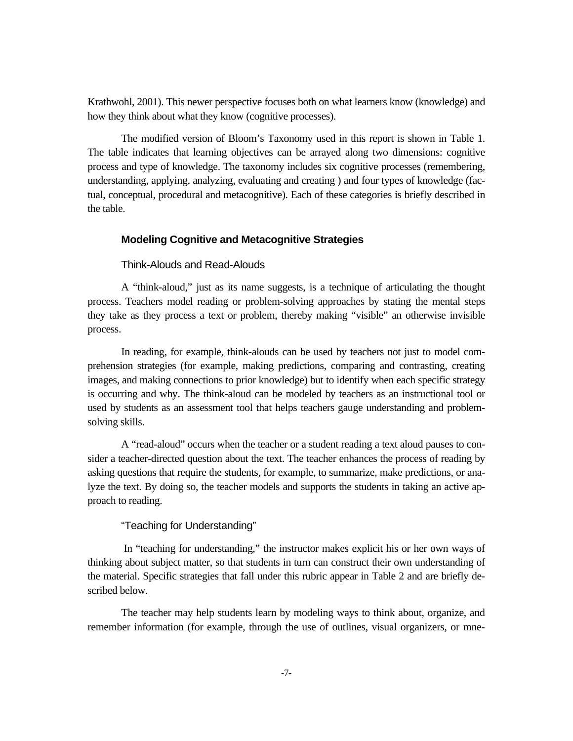Krathwohl, 2001). This newer perspective focuses both on what learners know (knowledge) and how they think about what they know (cognitive processes).

The modified version of Bloom's Taxonomy used in this report is shown in Table 1. The table indicates that learning objectives can be arrayed along two dimensions: cognitive process and type of knowledge. The taxonomy includes six cognitive processes (remembering, understanding, applying, analyzing, evaluating and creating ) and four types of knowledge (factual, conceptual, procedural and metacognitive). Each of these categories is briefly described in the table.

### **Modeling Cognitive and Metacognitive Strategies**

### Think-Alouds and Read-Alouds

A "think-aloud," just as its name suggests, is a technique of articulating the thought process. Teachers model reading or problem-solving approaches by stating the mental steps they take as they process a text or problem, thereby making "visible" an otherwise invisible process.

In reading, for example, think-alouds can be used by teachers not just to model comprehension strategies (for example, making predictions, comparing and contrasting, creating images, and making connections to prior knowledge) but to identify when each specific strategy is occurring and why. The think-aloud can be modeled by teachers as an instructional tool or used by students as an assessment tool that helps teachers gauge understanding and problemsolving skills.

A "read-aloud" occurs when the teacher or a student reading a text aloud pauses to consider a teacher-directed question about the text. The teacher enhances the process of reading by asking questions that require the students, for example, to summarize, make predictions, or analyze the text. By doing so, the teacher models and supports the students in taking an active approach to reading.

### "Teaching for Understanding"

 In "teaching for understanding," the instructor makes explicit his or her own ways of thinking about subject matter, so that students in turn can construct their own understanding of the material. Specific strategies that fall under this rubric appear in Table 2 and are briefly described below.

The teacher may help students learn by modeling ways to think about, organize, and remember information (for example, through the use of outlines, visual organizers, or mne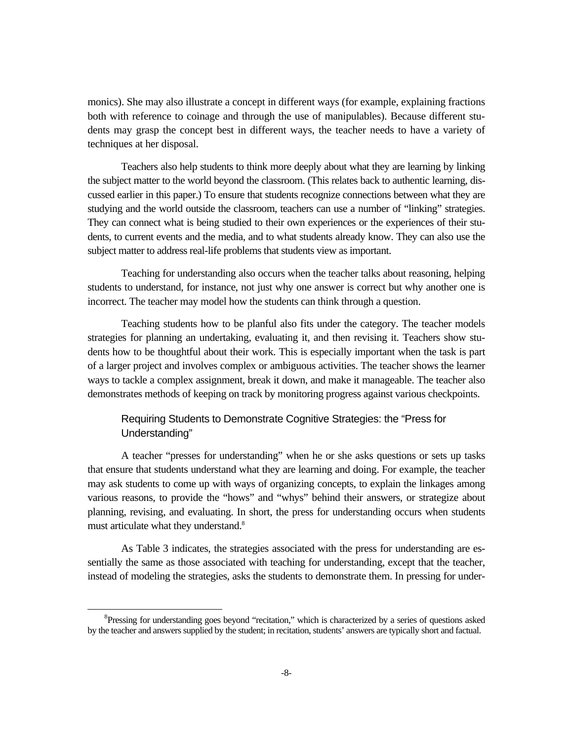monics). She may also illustrate a concept in different ways (for example, explaining fractions both with reference to coinage and through the use of manipulables). Because different students may grasp the concept best in different ways, the teacher needs to have a variety of techniques at her disposal.

Teachers also help students to think more deeply about what they are learning by linking the subject matter to the world beyond the classroom. (This relates back to authentic learning, discussed earlier in this paper.) To ensure that students recognize connections between what they are studying and the world outside the classroom, teachers can use a number of "linking" strategies. They can connect what is being studied to their own experiences or the experiences of their students, to current events and the media, and to what students already know. They can also use the subject matter to address real-life problems that students view as important.

Teaching for understanding also occurs when the teacher talks about reasoning, helping students to understand, for instance, not just why one answer is correct but why another one is incorrect. The teacher may model how the students can think through a question.

Teaching students how to be planful also fits under the category. The teacher models strategies for planning an undertaking, evaluating it, and then revising it. Teachers show students how to be thoughtful about their work. This is especially important when the task is part of a larger project and involves complex or ambiguous activities. The teacher shows the learner ways to tackle a complex assignment, break it down, and make it manageable. The teacher also demonstrates methods of keeping on track by monitoring progress against various checkpoints.

# Requiring Students to Demonstrate Cognitive Strategies: the "Press for Understanding"

A teacher "presses for understanding" when he or she asks questions or sets up tasks that ensure that students understand what they are learning and doing. For example, the teacher may ask students to come up with ways of organizing concepts, to explain the linkages among various reasons, to provide the "hows" and "whys" behind their answers, or strategize about planning, revising, and evaluating. In short, the press for understanding occurs when students must articulate what they understand.<sup>8</sup>

As Table 3 indicates, the strategies associated with the press for understanding are essentially the same as those associated with teaching for understanding, except that the teacher, instead of modeling the strategies, asks the students to demonstrate them. In pressing for under-

 <sup>8</sup> <sup>8</sup>Pressing for understanding goes beyond "recitation," which is characterized by a series of questions asked by the teacher and answers supplied by the student; in recitation, students' answers are typically short and factual.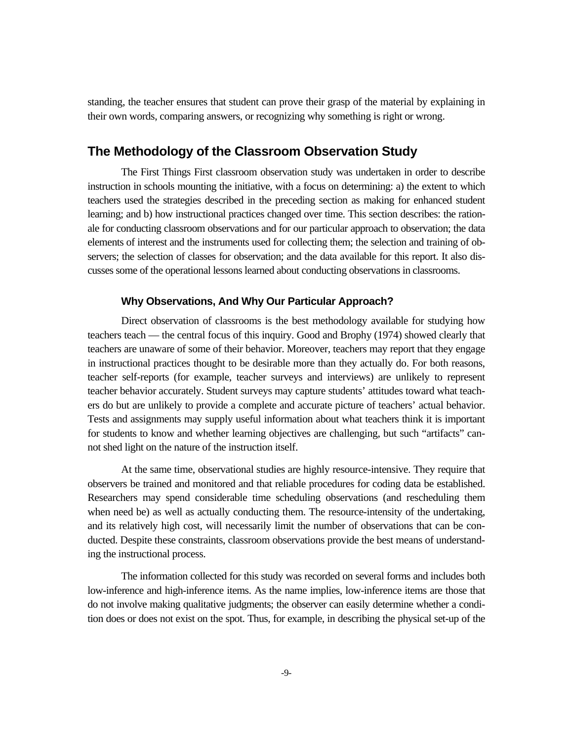standing, the teacher ensures that student can prove their grasp of the material by explaining in their own words, comparing answers, or recognizing why something is right or wrong.

# **The Methodology of the Classroom Observation Study**

The First Things First classroom observation study was undertaken in order to describe instruction in schools mounting the initiative, with a focus on determining: a) the extent to which teachers used the strategies described in the preceding section as making for enhanced student learning; and b) how instructional practices changed over time. This section describes: the rationale for conducting classroom observations and for our particular approach to observation; the data elements of interest and the instruments used for collecting them; the selection and training of observers; the selection of classes for observation; and the data available for this report. It also discusses some of the operational lessons learned about conducting observations in classrooms.

#### **Why Observations, And Why Our Particular Approach?**

Direct observation of classrooms is the best methodology available for studying how teachers teach — the central focus of this inquiry. Good and Brophy (1974) showed clearly that teachers are unaware of some of their behavior. Moreover, teachers may report that they engage in instructional practices thought to be desirable more than they actually do. For both reasons, teacher self-reports (for example, teacher surveys and interviews) are unlikely to represent teacher behavior accurately. Student surveys may capture students' attitudes toward what teachers do but are unlikely to provide a complete and accurate picture of teachers' actual behavior. Tests and assignments may supply useful information about what teachers think it is important for students to know and whether learning objectives are challenging, but such "artifacts" cannot shed light on the nature of the instruction itself.

At the same time, observational studies are highly resource-intensive. They require that observers be trained and monitored and that reliable procedures for coding data be established. Researchers may spend considerable time scheduling observations (and rescheduling them when need be) as well as actually conducting them. The resource-intensity of the undertaking, and its relatively high cost, will necessarily limit the number of observations that can be conducted. Despite these constraints, classroom observations provide the best means of understanding the instructional process.

The information collected for this study was recorded on several forms and includes both low-inference and high-inference items. As the name implies, low-inference items are those that do not involve making qualitative judgments; the observer can easily determine whether a condition does or does not exist on the spot. Thus, for example, in describing the physical set-up of the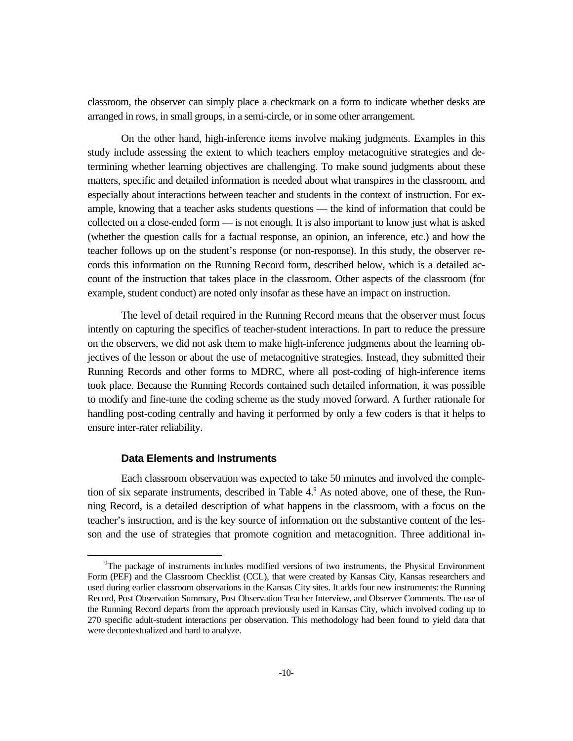classroom, the observer can simply place a checkmark on a form to indicate whether desks are arranged in rows, in small groups, in a semi-circle, or in some other arrangement.

On the other hand, high-inference items involve making judgments. Examples in this study include assessing the extent to which teachers employ metacognitive strategies and determining whether learning objectives are challenging. To make sound judgments about these matters, specific and detailed information is needed about what transpires in the classroom, and especially about interactions between teacher and students in the context of instruction. For example, knowing that a teacher asks students questions — the kind of information that could be collected on a close-ended form — is not enough. It is also important to know just what is asked (whether the question calls for a factual response, an opinion, an inference, etc.) and how the teacher follows up on the student's response (or non-response). In this study, the observer records this information on the Running Record form, described below, which is a detailed account of the instruction that takes place in the classroom. Other aspects of the classroom (for example, student conduct) are noted only insofar as these have an impact on instruction.

The level of detail required in the Running Record means that the observer must focus intently on capturing the specifics of teacher-student interactions. In part to reduce the pressure on the observers, we did not ask them to make high-inference judgments about the learning objectives of the lesson or about the use of metacognitive strategies. Instead, they submitted their Running Records and other forms to MDRC, where all post-coding of high-inference items took place. Because the Running Records contained such detailed information, it was possible to modify and fine-tune the coding scheme as the study moved forward. A further rationale for handling post-coding centrally and having it performed by only a few coders is that it helps to ensure inter-rater reliability.

#### **Data Elements and Instruments**

Each classroom observation was expected to take 50 minutes and involved the completion of six separate instruments, described in Table 4.<sup>9</sup> As noted above, one of these, the Running Record, is a detailed description of what happens in the classroom, with a focus on the teacher's instruction, and is the key source of information on the substantive content of the lesson and the use of strategies that promote cognition and metacognition. Three additional in-

 $\frac{1}{9}$  $T$ The package of instruments includes modified versions of two instruments, the Physical Environment Form (PEF) and the Classroom Checklist (CCL), that were created by Kansas City, Kansas researchers and used during earlier classroom observations in the Kansas City sites. It adds four new instruments: the Running Record, Post Observation Summary, Post Observation Teacher Interview, and Observer Comments. The use of the Running Record departs from the approach previously used in Kansas City, which involved coding up to 270 specific adult-student interactions per observation. This methodology had been found to yield data that were decontextualized and hard to analyze.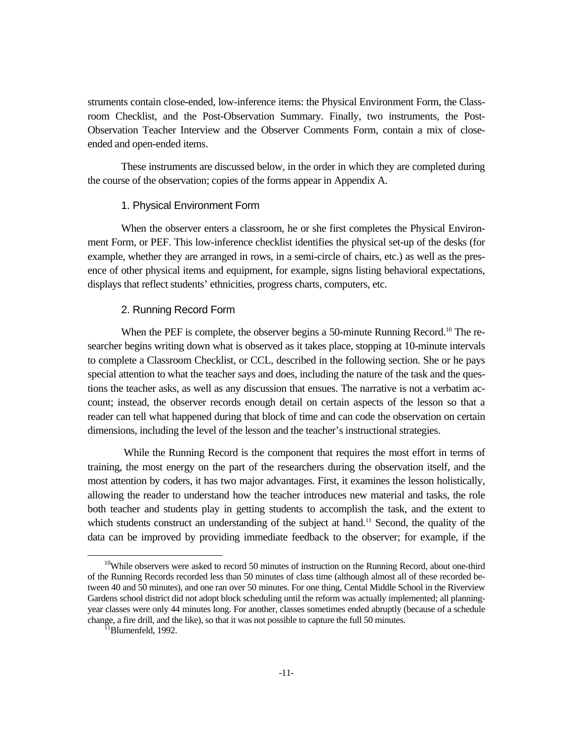struments contain close-ended, low-inference items: the Physical Environment Form, the Classroom Checklist, and the Post-Observation Summary. Finally, two instruments, the Post-Observation Teacher Interview and the Observer Comments Form, contain a mix of closeended and open-ended items.

These instruments are discussed below, in the order in which they are completed during the course of the observation; copies of the forms appear in Appendix A.

#### 1. Physical Environment Form

When the observer enters a classroom, he or she first completes the Physical Environment Form, or PEF. This low-inference checklist identifies the physical set-up of the desks (for example, whether they are arranged in rows, in a semi-circle of chairs, etc.) as well as the presence of other physical items and equipment, for example, signs listing behavioral expectations, displays that reflect students' ethnicities, progress charts, computers, etc.

### 2. Running Record Form

When the PEF is complete, the observer begins a 50-minute Running Record.<sup>10</sup> The researcher begins writing down what is observed as it takes place, stopping at 10-minute intervals to complete a Classroom Checklist, or CCL, described in the following section. She or he pays special attention to what the teacher says and does, including the nature of the task and the questions the teacher asks, as well as any discussion that ensues. The narrative is not a verbatim account; instead, the observer records enough detail on certain aspects of the lesson so that a reader can tell what happened during that block of time and can code the observation on certain dimensions, including the level of the lesson and the teacher's instructional strategies.

 While the Running Record is the component that requires the most effort in terms of training, the most energy on the part of the researchers during the observation itself, and the most attention by coders, it has two major advantages. First, it examines the lesson holistically, allowing the reader to understand how the teacher introduces new material and tasks, the role both teacher and students play in getting students to accomplish the task, and the extent to which students construct an understanding of the subject at hand.<sup>11</sup> Second, the quality of the data can be improved by providing immediate feedback to the observer; for example, if the

 $10$ While observers were asked to record 50 minutes of instruction on the Running Record, about one-third of the Running Records recorded less than 50 minutes of class time (although almost all of these recorded between 40 and 50 minutes), and one ran over 50 minutes. For one thing, Cental Middle School in the Riverview Gardens school district did not adopt block scheduling until the reform was actually implemented; all planningyear classes were only 44 minutes long. For another, classes sometimes ended abruptly (because of a schedule change, a fire drill, and the like), so that it was not possible to capture the full 50 minutes. 11Blumenfeld, 1992.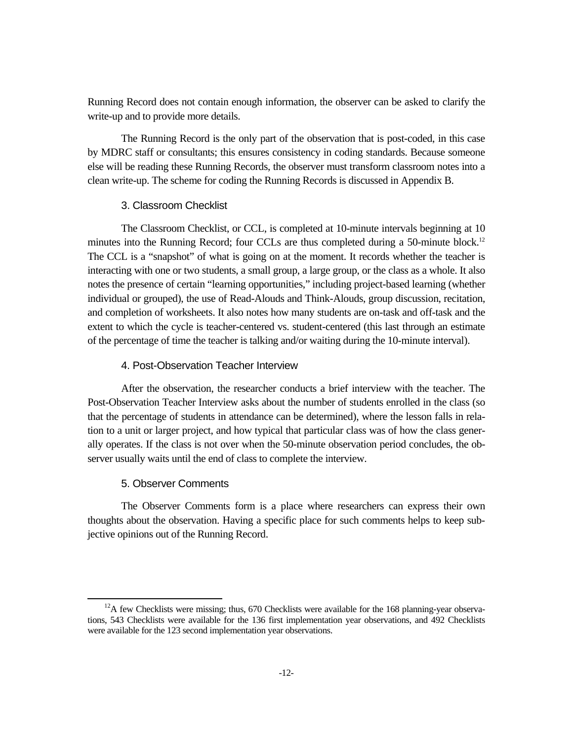Running Record does not contain enough information, the observer can be asked to clarify the write-up and to provide more details.

The Running Record is the only part of the observation that is post-coded, in this case by MDRC staff or consultants; this ensures consistency in coding standards. Because someone else will be reading these Running Records, the observer must transform classroom notes into a clean write-up. The scheme for coding the Running Records is discussed in Appendix B.

### 3. Classroom Checklist

The Classroom Checklist, or CCL, is completed at 10-minute intervals beginning at 10 minutes into the Running Record; four CCLs are thus completed during a 50-minute block.<sup>12</sup> The CCL is a "snapshot" of what is going on at the moment. It records whether the teacher is interacting with one or two students, a small group, a large group, or the class as a whole. It also notes the presence of certain "learning opportunities," including project-based learning (whether individual or grouped), the use of Read-Alouds and Think-Alouds, group discussion, recitation, and completion of worksheets. It also notes how many students are on-task and off-task and the extent to which the cycle is teacher-centered vs. student-centered (this last through an estimate of the percentage of time the teacher is talking and/or waiting during the 10-minute interval).

### 4. Post-Observation Teacher Interview

After the observation, the researcher conducts a brief interview with the teacher. The Post-Observation Teacher Interview asks about the number of students enrolled in the class (so that the percentage of students in attendance can be determined), where the lesson falls in relation to a unit or larger project, and how typical that particular class was of how the class generally operates. If the class is not over when the 50-minute observation period concludes, the observer usually waits until the end of class to complete the interview.

### 5. Observer Comments

The Observer Comments form is a place where researchers can express their own thoughts about the observation. Having a specific place for such comments helps to keep subjective opinions out of the Running Record.

 $12A$  few Checklists were missing; thus, 670 Checklists were available for the 168 planning-year observations, 543 Checklists were available for the 136 first implementation year observations, and 492 Checklists were available for the 123 second implementation year observations.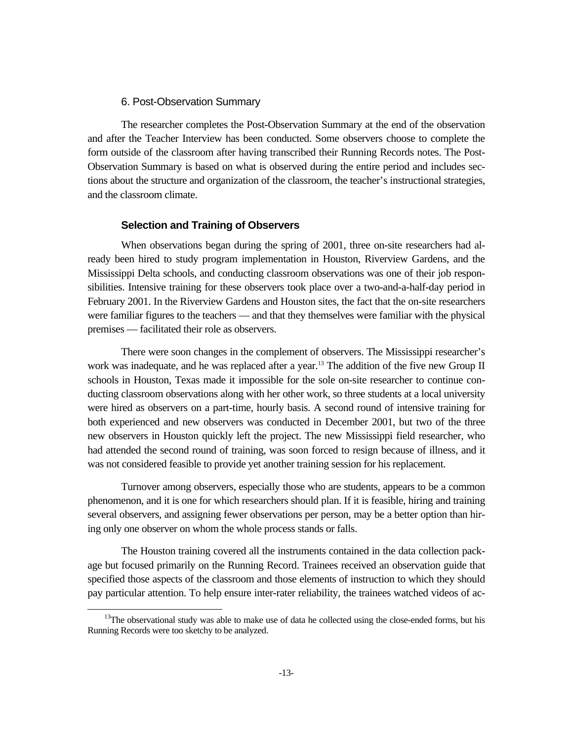#### 6. Post-Observation Summary

The researcher completes the Post-Observation Summary at the end of the observation and after the Teacher Interview has been conducted. Some observers choose to complete the form outside of the classroom after having transcribed their Running Records notes. The Post-Observation Summary is based on what is observed during the entire period and includes sections about the structure and organization of the classroom, the teacher's instructional strategies, and the classroom climate.

#### **Selection and Training of Observers**

When observations began during the spring of 2001, three on-site researchers had already been hired to study program implementation in Houston, Riverview Gardens, and the Mississippi Delta schools, and conducting classroom observations was one of their job responsibilities. Intensive training for these observers took place over a two-and-a-half-day period in February 2001. In the Riverview Gardens and Houston sites, the fact that the on-site researchers were familiar figures to the teachers — and that they themselves were familiar with the physical premises — facilitated their role as observers.

There were soon changes in the complement of observers. The Mississippi researcher's work was inadequate, and he was replaced after a year.<sup>13</sup> The addition of the five new Group II schools in Houston, Texas made it impossible for the sole on-site researcher to continue conducting classroom observations along with her other work, so three students at a local university were hired as observers on a part-time, hourly basis. A second round of intensive training for both experienced and new observers was conducted in December 2001, but two of the three new observers in Houston quickly left the project. The new Mississippi field researcher, who had attended the second round of training, was soon forced to resign because of illness, and it was not considered feasible to provide yet another training session for his replacement.

Turnover among observers, especially those who are students, appears to be a common phenomenon, and it is one for which researchers should plan. If it is feasible, hiring and training several observers, and assigning fewer observations per person, may be a better option than hiring only one observer on whom the whole process stands or falls.

The Houston training covered all the instruments contained in the data collection package but focused primarily on the Running Record. Trainees received an observation guide that specified those aspects of the classroom and those elements of instruction to which they should pay particular attention. To help ensure inter-rater reliability, the trainees watched videos of ac-

 $13$ The observational study was able to make use of data he collected using the close-ended forms, but his Running Records were too sketchy to be analyzed.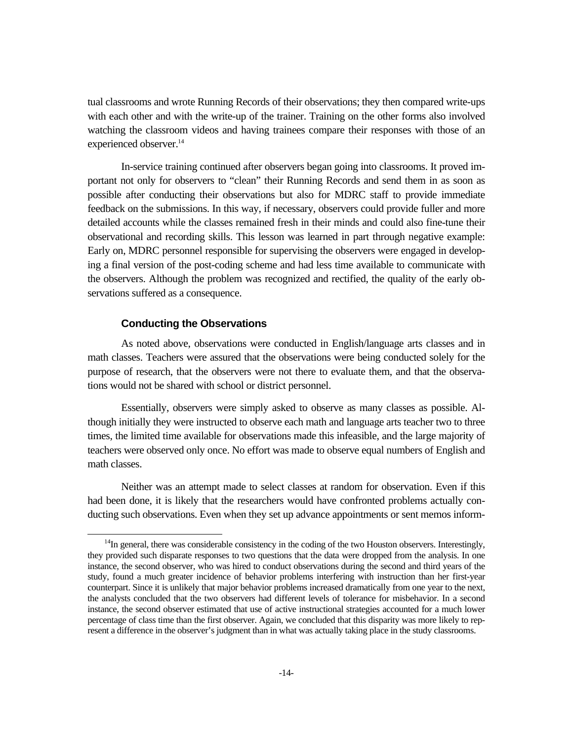tual classrooms and wrote Running Records of their observations; they then compared write-ups with each other and with the write-up of the trainer. Training on the other forms also involved watching the classroom videos and having trainees compare their responses with those of an experienced observer.<sup>14</sup>

In-service training continued after observers began going into classrooms. It proved important not only for observers to "clean" their Running Records and send them in as soon as possible after conducting their observations but also for MDRC staff to provide immediate feedback on the submissions. In this way, if necessary, observers could provide fuller and more detailed accounts while the classes remained fresh in their minds and could also fine-tune their observational and recording skills. This lesson was learned in part through negative example: Early on, MDRC personnel responsible for supervising the observers were engaged in developing a final version of the post-coding scheme and had less time available to communicate with the observers. Although the problem was recognized and rectified, the quality of the early observations suffered as a consequence.

### **Conducting the Observations**

As noted above, observations were conducted in English/language arts classes and in math classes. Teachers were assured that the observations were being conducted solely for the purpose of research, that the observers were not there to evaluate them, and that the observations would not be shared with school or district personnel.

Essentially, observers were simply asked to observe as many classes as possible. Although initially they were instructed to observe each math and language arts teacher two to three times, the limited time available for observations made this infeasible, and the large majority of teachers were observed only once. No effort was made to observe equal numbers of English and math classes.

Neither was an attempt made to select classes at random for observation. Even if this had been done, it is likely that the researchers would have confronted problems actually conducting such observations. Even when they set up advance appointments or sent memos inform-

 $14$ In general, there was considerable consistency in the coding of the two Houston observers. Interestingly, they provided such disparate responses to two questions that the data were dropped from the analysis. In one instance, the second observer, who was hired to conduct observations during the second and third years of the study, found a much greater incidence of behavior problems interfering with instruction than her first-year counterpart. Since it is unlikely that major behavior problems increased dramatically from one year to the next, the analysts concluded that the two observers had different levels of tolerance for misbehavior. In a second instance, the second observer estimated that use of active instructional strategies accounted for a much lower percentage of class time than the first observer. Again, we concluded that this disparity was more likely to represent a difference in the observer's judgment than in what was actually taking place in the study classrooms.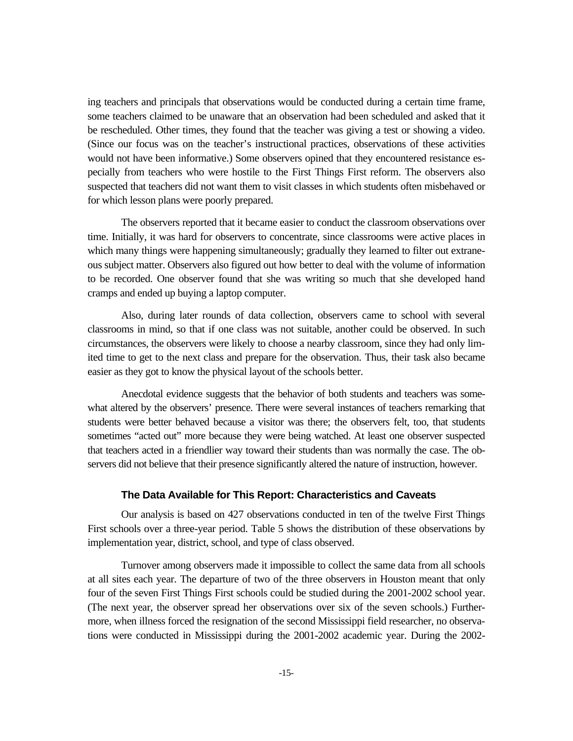ing teachers and principals that observations would be conducted during a certain time frame, some teachers claimed to be unaware that an observation had been scheduled and asked that it be rescheduled. Other times, they found that the teacher was giving a test or showing a video. (Since our focus was on the teacher's instructional practices, observations of these activities would not have been informative.) Some observers opined that they encountered resistance especially from teachers who were hostile to the First Things First reform. The observers also suspected that teachers did not want them to visit classes in which students often misbehaved or for which lesson plans were poorly prepared.

The observers reported that it became easier to conduct the classroom observations over time. Initially, it was hard for observers to concentrate, since classrooms were active places in which many things were happening simultaneously; gradually they learned to filter out extraneous subject matter. Observers also figured out how better to deal with the volume of information to be recorded. One observer found that she was writing so much that she developed hand cramps and ended up buying a laptop computer.

Also, during later rounds of data collection, observers came to school with several classrooms in mind, so that if one class was not suitable, another could be observed. In such circumstances, the observers were likely to choose a nearby classroom, since they had only limited time to get to the next class and prepare for the observation. Thus, their task also became easier as they got to know the physical layout of the schools better.

Anecdotal evidence suggests that the behavior of both students and teachers was somewhat altered by the observers' presence. There were several instances of teachers remarking that students were better behaved because a visitor was there; the observers felt, too, that students sometimes "acted out" more because they were being watched. At least one observer suspected that teachers acted in a friendlier way toward their students than was normally the case. The observers did not believe that their presence significantly altered the nature of instruction, however.

### **The Data Available for This Report: Characteristics and Caveats**

Our analysis is based on 427 observations conducted in ten of the twelve First Things First schools over a three-year period. Table 5 shows the distribution of these observations by implementation year, district, school, and type of class observed.

Turnover among observers made it impossible to collect the same data from all schools at all sites each year. The departure of two of the three observers in Houston meant that only four of the seven First Things First schools could be studied during the 2001-2002 school year. (The next year, the observer spread her observations over six of the seven schools.) Furthermore, when illness forced the resignation of the second Mississippi field researcher, no observations were conducted in Mississippi during the 2001-2002 academic year. During the 2002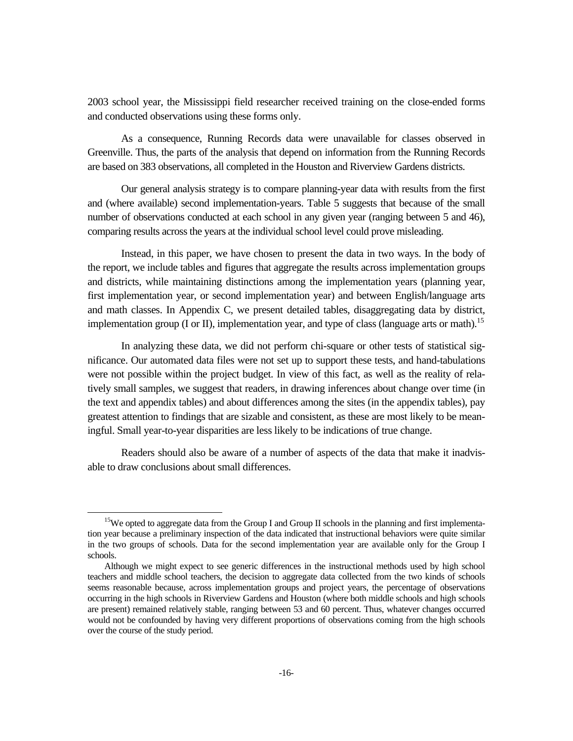2003 school year, the Mississippi field researcher received training on the close-ended forms and conducted observations using these forms only.

As a consequence, Running Records data were unavailable for classes observed in Greenville. Thus, the parts of the analysis that depend on information from the Running Records are based on 383 observations, all completed in the Houston and Riverview Gardens districts.

Our general analysis strategy is to compare planning-year data with results from the first and (where available) second implementation-years. Table 5 suggests that because of the small number of observations conducted at each school in any given year (ranging between 5 and 46), comparing results across the years at the individual school level could prove misleading.

Instead, in this paper, we have chosen to present the data in two ways. In the body of the report, we include tables and figures that aggregate the results across implementation groups and districts, while maintaining distinctions among the implementation years (planning year, first implementation year, or second implementation year) and between English/language arts and math classes. In Appendix C, we present detailed tables, disaggregating data by district, implementation group (I or II), implementation year, and type of class (language arts or math).<sup>15</sup>

In analyzing these data, we did not perform chi-square or other tests of statistical significance. Our automated data files were not set up to support these tests, and hand-tabulations were not possible within the project budget. In view of this fact, as well as the reality of relatively small samples, we suggest that readers, in drawing inferences about change over time (in the text and appendix tables) and about differences among the sites (in the appendix tables), pay greatest attention to findings that are sizable and consistent, as these are most likely to be meaningful. Small year-to-year disparities are less likely to be indications of true change.

Readers should also be aware of a number of aspects of the data that make it inadvisable to draw conclusions about small differences.

<sup>&</sup>lt;sup>15</sup>We opted to aggregate data from the Group I and Group II schools in the planning and first implementation year because a preliminary inspection of the data indicated that instructional behaviors were quite similar in the two groups of schools. Data for the second implementation year are available only for the Group I schools.

Although we might expect to see generic differences in the instructional methods used by high school teachers and middle school teachers, the decision to aggregate data collected from the two kinds of schools seems reasonable because, across implementation groups and project years, the percentage of observations occurring in the high schools in Riverview Gardens and Houston (where both middle schools and high schools are present) remained relatively stable, ranging between 53 and 60 percent. Thus, whatever changes occurred would not be confounded by having very different proportions of observations coming from the high schools over the course of the study period.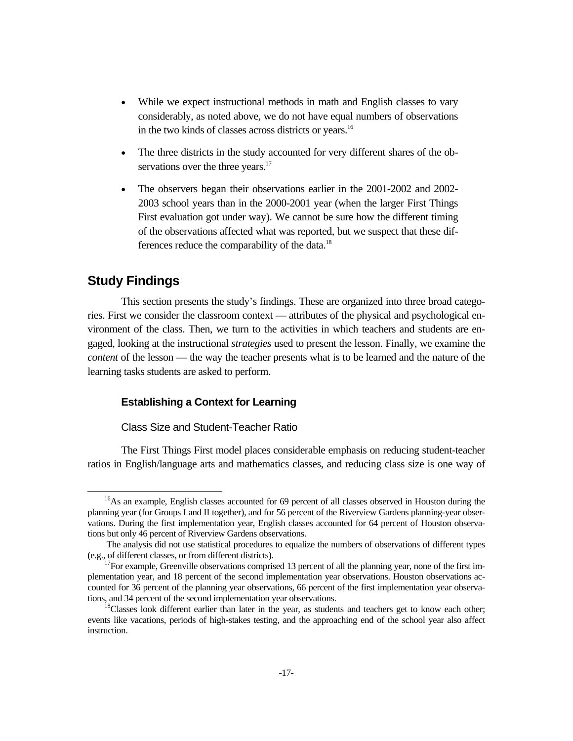- While we expect instructional methods in math and English classes to vary considerably, as noted above, we do not have equal numbers of observations in the two kinds of classes across districts or years.16
- The three districts in the study accounted for very different shares of the observations over the three years.<sup>17</sup>
- The observers began their observations earlier in the 2001-2002 and 2002- 2003 school years than in the 2000-2001 year (when the larger First Things First evaluation got under way). We cannot be sure how the different timing of the observations affected what was reported, but we suspect that these differences reduce the comparability of the data.18

# **Study Findings**

This section presents the study's findings. These are organized into three broad categories. First we consider the classroom context — attributes of the physical and psychological environment of the class. Then, we turn to the activities in which teachers and students are engaged, looking at the instructional *strategies* used to present the lesson. Finally, we examine the *content* of the lesson — the way the teacher presents what is to be learned and the nature of the learning tasks students are asked to perform.

#### **Establishing a Context for Learning**

### Class Size and Student-Teacher Ratio

The First Things First model places considerable emphasis on reducing student-teacher ratios in English/language arts and mathematics classes, and reducing class size is one way of

<sup>&</sup>lt;sup>16</sup>As an example, English classes accounted for 69 percent of all classes observed in Houston during the planning year (for Groups I and II together), and for 56 percent of the Riverview Gardens planning-year observations. During the first implementation year, English classes accounted for 64 percent of Houston observations but only 46 percent of Riverview Gardens observations.

The analysis did not use statistical procedures to equalize the numbers of observations of different types (e.g., of different classes, or from different districts).

 $^{17}$ For example, Greenville observations comprised 13 percent of all the planning year, none of the first implementation year, and 18 percent of the second implementation year observations. Houston observations accounted for 36 percent of the planning year observations, 66 percent of the first implementation year observations, and 34 percent of the second implementation year observations.<br><sup>18</sup>Classes look different earlier than later in the year, as students and teachers get to know each other;

events like vacations, periods of high-stakes testing, and the approaching end of the school year also affect instruction.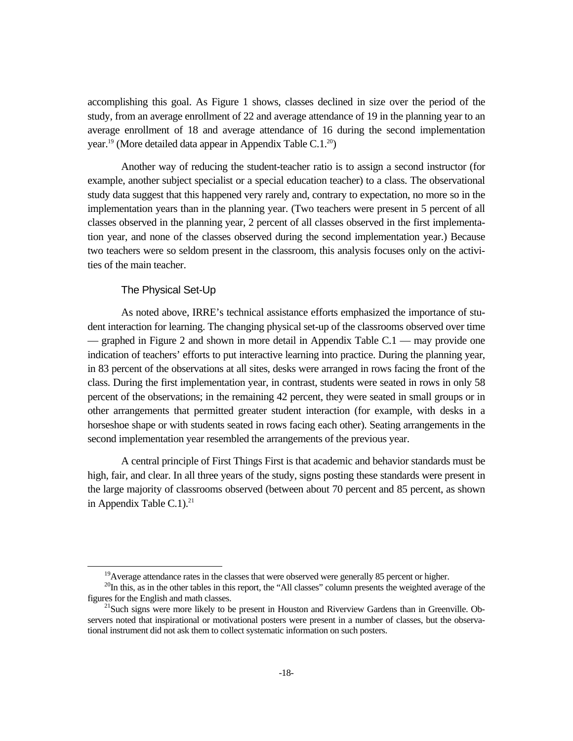accomplishing this goal. As Figure 1 shows, classes declined in size over the period of the study, from an average enrollment of 22 and average attendance of 19 in the planning year to an average enrollment of 18 and average attendance of 16 during the second implementation year.<sup>19</sup> (More detailed data appear in Appendix Table C.1.<sup>20</sup>)

Another way of reducing the student-teacher ratio is to assign a second instructor (for example, another subject specialist or a special education teacher) to a class. The observational study data suggest that this happened very rarely and, contrary to expectation, no more so in the implementation years than in the planning year. (Two teachers were present in 5 percent of all classes observed in the planning year, 2 percent of all classes observed in the first implementation year, and none of the classes observed during the second implementation year.) Because two teachers were so seldom present in the classroom, this analysis focuses only on the activities of the main teacher.

### The Physical Set-Up

As noted above, IRRE's technical assistance efforts emphasized the importance of student interaction for learning. The changing physical set-up of the classrooms observed over time — graphed in Figure 2 and shown in more detail in Appendix Table  $C.1$  — may provide one indication of teachers' efforts to put interactive learning into practice. During the planning year, in 83 percent of the observations at all sites, desks were arranged in rows facing the front of the class. During the first implementation year, in contrast, students were seated in rows in only 58 percent of the observations; in the remaining 42 percent, they were seated in small groups or in other arrangements that permitted greater student interaction (for example, with desks in a horseshoe shape or with students seated in rows facing each other). Seating arrangements in the second implementation year resembled the arrangements of the previous year.

A central principle of First Things First is that academic and behavior standards must be high, fair, and clear. In all three years of the study, signs posting these standards were present in the large majority of classrooms observed (between about 70 percent and 85 percent, as shown in Appendix Table  $C.1$ ).<sup>21</sup>

<sup>&</sup>lt;sup>19</sup>Average attendance rates in the classes that were observed were generally 85 percent or higher.

 $^{20}$ In this, as in the other tables in this report, the "All classes" column presents the weighted average of the figures for the English and math classes.<br><sup>21</sup>Such signs were more likely to be present in Houston and Riverview Gardens than in Greenville. Ob-

servers noted that inspirational or motivational posters were present in a number of classes, but the observational instrument did not ask them to collect systematic information on such posters.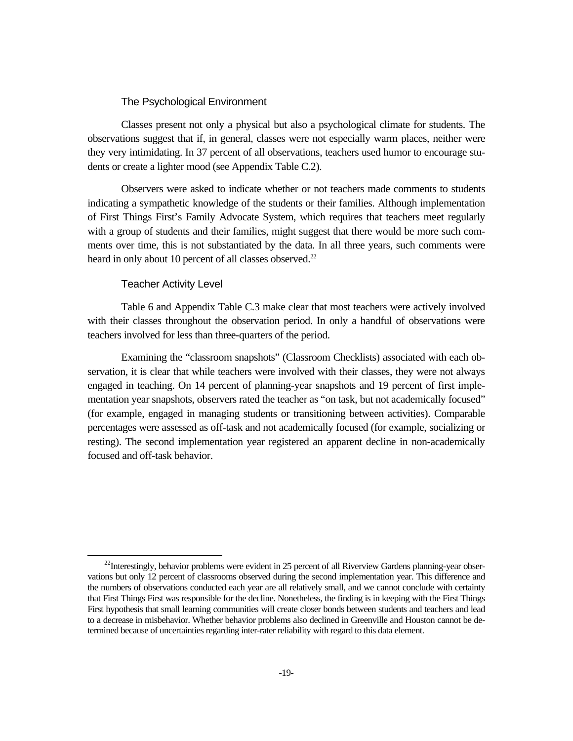#### The Psychological Environment

Classes present not only a physical but also a psychological climate for students. The observations suggest that if, in general, classes were not especially warm places, neither were they very intimidating. In 37 percent of all observations, teachers used humor to encourage students or create a lighter mood (see Appendix Table C.2).

Observers were asked to indicate whether or not teachers made comments to students indicating a sympathetic knowledge of the students or their families. Although implementation of First Things First's Family Advocate System, which requires that teachers meet regularly with a group of students and their families, might suggest that there would be more such comments over time, this is not substantiated by the data. In all three years, such comments were heard in only about 10 percent of all classes observed.<sup>22</sup>

#### Teacher Activity Level

Table 6 and Appendix Table C.3 make clear that most teachers were actively involved with their classes throughout the observation period. In only a handful of observations were teachers involved for less than three-quarters of the period.

Examining the "classroom snapshots" (Classroom Checklists) associated with each observation, it is clear that while teachers were involved with their classes, they were not always engaged in teaching. On 14 percent of planning-year snapshots and 19 percent of first implementation year snapshots, observers rated the teacher as "on task, but not academically focused" (for example, engaged in managing students or transitioning between activities). Comparable percentages were assessed as off-task and not academically focused (for example, socializing or resting). The second implementation year registered an apparent decline in non-academically focused and off-task behavior.

 $^{22}$ Interestingly, behavior problems were evident in 25 percent of all Riverview Gardens planning-year observations but only 12 percent of classrooms observed during the second implementation year. This difference and the numbers of observations conducted each year are all relatively small, and we cannot conclude with certainty that First Things First was responsible for the decline. Nonetheless, the finding is in keeping with the First Things First hypothesis that small learning communities will create closer bonds between students and teachers and lead to a decrease in misbehavior. Whether behavior problems also declined in Greenville and Houston cannot be determined because of uncertainties regarding inter-rater reliability with regard to this data element.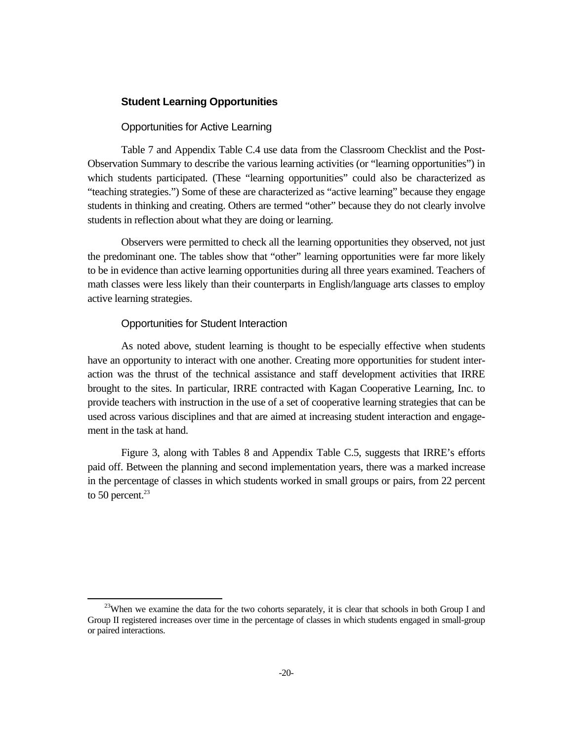#### **Student Learning Opportunities**

#### Opportunities for Active Learning

Table 7 and Appendix Table C.4 use data from the Classroom Checklist and the Post-Observation Summary to describe the various learning activities (or "learning opportunities") in which students participated. (These "learning opportunities" could also be characterized as "teaching strategies.") Some of these are characterized as "active learning" because they engage students in thinking and creating. Others are termed "other" because they do not clearly involve students in reflection about what they are doing or learning.

Observers were permitted to check all the learning opportunities they observed, not just the predominant one. The tables show that "other" learning opportunities were far more likely to be in evidence than active learning opportunities during all three years examined. Teachers of math classes were less likely than their counterparts in English/language arts classes to employ active learning strategies.

### Opportunities for Student Interaction

As noted above, student learning is thought to be especially effective when students have an opportunity to interact with one another. Creating more opportunities for student interaction was the thrust of the technical assistance and staff development activities that IRRE brought to the sites. In particular, IRRE contracted with Kagan Cooperative Learning, Inc. to provide teachers with instruction in the use of a set of cooperative learning strategies that can be used across various disciplines and that are aimed at increasing student interaction and engagement in the task at hand.

Figure 3, along with Tables 8 and Appendix Table C.5, suggests that IRRE's efforts paid off. Between the planning and second implementation years, there was a marked increase in the percentage of classes in which students worked in small groups or pairs, from 22 percent to 50 percent. $23$ 

<sup>&</sup>lt;sup>23</sup>When we examine the data for the two cohorts separately, it is clear that schools in both Group I and Group II registered increases over time in the percentage of classes in which students engaged in small-group or paired interactions.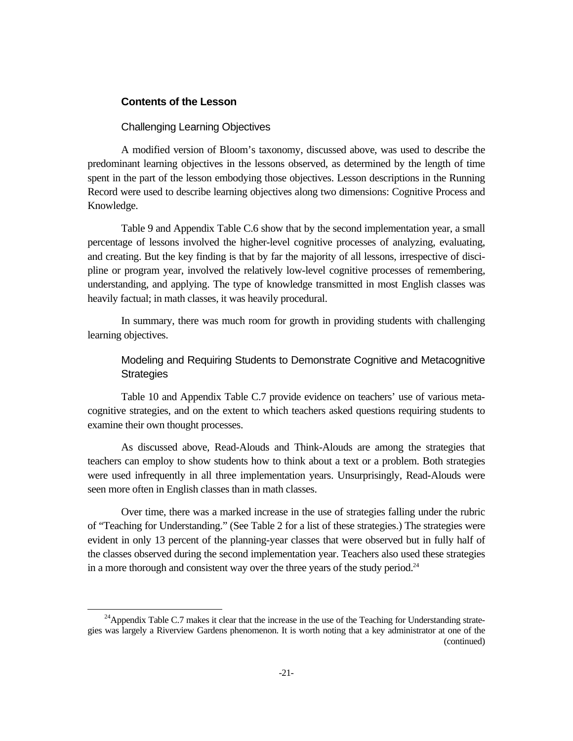#### **Contents of the Lesson**

#### Challenging Learning Objectives

A modified version of Bloom's taxonomy, discussed above, was used to describe the predominant learning objectives in the lessons observed, as determined by the length of time spent in the part of the lesson embodying those objectives. Lesson descriptions in the Running Record were used to describe learning objectives along two dimensions: Cognitive Process and Knowledge.

Table 9 and Appendix Table C.6 show that by the second implementation year, a small percentage of lessons involved the higher-level cognitive processes of analyzing, evaluating, and creating. But the key finding is that by far the majority of all lessons, irrespective of discipline or program year, involved the relatively low-level cognitive processes of remembering, understanding, and applying. The type of knowledge transmitted in most English classes was heavily factual; in math classes, it was heavily procedural.

In summary, there was much room for growth in providing students with challenging learning objectives.

## Modeling and Requiring Students to Demonstrate Cognitive and Metacognitive **Strategies**

Table 10 and Appendix Table C.7 provide evidence on teachers' use of various metacognitive strategies, and on the extent to which teachers asked questions requiring students to examine their own thought processes.

As discussed above, Read-Alouds and Think-Alouds are among the strategies that teachers can employ to show students how to think about a text or a problem. Both strategies were used infrequently in all three implementation years. Unsurprisingly, Read-Alouds were seen more often in English classes than in math classes.

Over time, there was a marked increase in the use of strategies falling under the rubric of "Teaching for Understanding." (See Table 2 for a list of these strategies.) The strategies were evident in only 13 percent of the planning-year classes that were observed but in fully half of the classes observed during the second implementation year. Teachers also used these strategies in a more thorough and consistent way over the three years of the study period.<sup>24</sup>

 $^{24}$ Appendix Table C.7 makes it clear that the increase in the use of the Teaching for Understanding strategies was largely a Riverview Gardens phenomenon. It is worth noting that a key administrator at one of the (continued)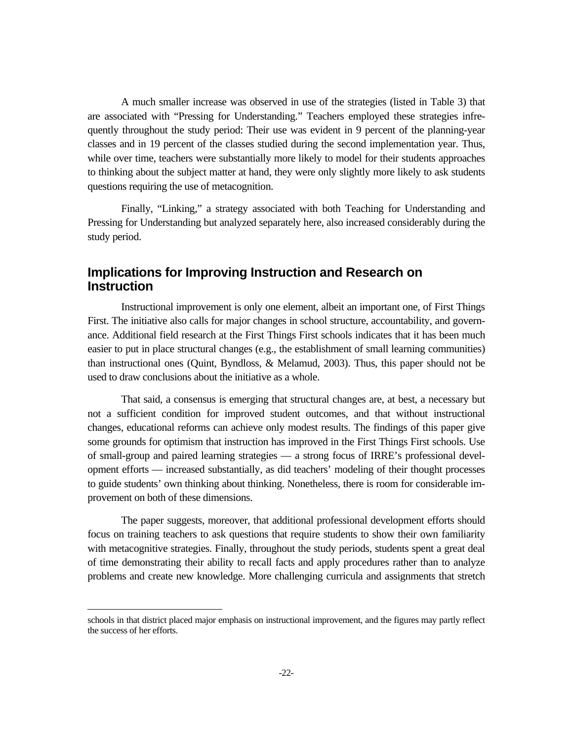A much smaller increase was observed in use of the strategies (listed in Table 3) that are associated with "Pressing for Understanding." Teachers employed these strategies infrequently throughout the study period: Their use was evident in 9 percent of the planning-year classes and in 19 percent of the classes studied during the second implementation year. Thus, while over time, teachers were substantially more likely to model for their students approaches to thinking about the subject matter at hand, they were only slightly more likely to ask students questions requiring the use of metacognition.

Finally, "Linking," a strategy associated with both Teaching for Understanding and Pressing for Understanding but analyzed separately here, also increased considerably during the study period.

# **Implications for Improving Instruction and Research on Instruction**

Instructional improvement is only one element, albeit an important one, of First Things First. The initiative also calls for major changes in school structure, accountability, and governance. Additional field research at the First Things First schools indicates that it has been much easier to put in place structural changes (e.g., the establishment of small learning communities) than instructional ones (Quint, Byndloss, & Melamud, 2003). Thus, this paper should not be used to draw conclusions about the initiative as a whole.

That said, a consensus is emerging that structural changes are, at best, a necessary but not a sufficient condition for improved student outcomes, and that without instructional changes, educational reforms can achieve only modest results. The findings of this paper give some grounds for optimism that instruction has improved in the First Things First schools. Use of small-group and paired learning strategies — a strong focus of IRRE's professional development efforts — increased substantially, as did teachers' modeling of their thought processes to guide students' own thinking about thinking. Nonetheless, there is room for considerable improvement on both of these dimensions.

The paper suggests, moreover, that additional professional development efforts should focus on training teachers to ask questions that require students to show their own familiarity with metacognitive strategies. Finally, throughout the study periods, students spent a great deal of time demonstrating their ability to recall facts and apply procedures rather than to analyze problems and create new knowledge. More challenging curricula and assignments that stretch

schools in that district placed major emphasis on instructional improvement, and the figures may partly reflect the success of her efforts.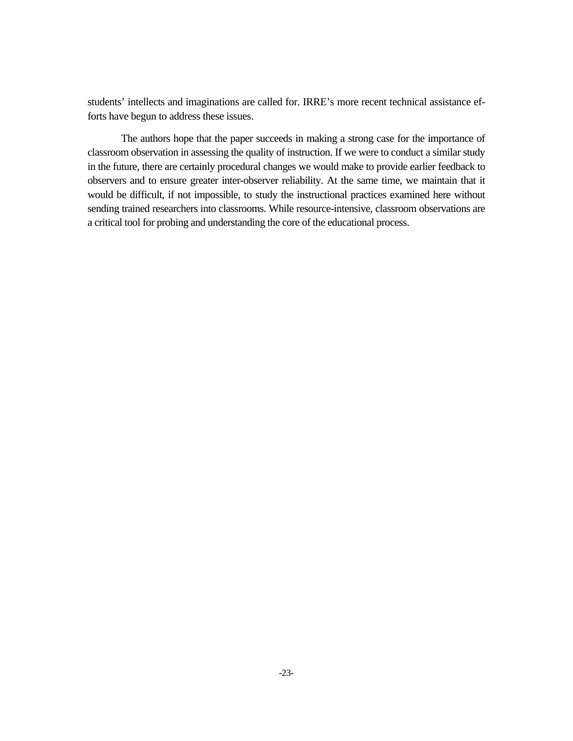students' intellects and imaginations are called for. IRRE's more recent technical assistance efforts have begun to address these issues.

The authors hope that the paper succeeds in making a strong case for the importance of classroom observation in assessing the quality of instruction. If we were to conduct a similar study in the future, there are certainly procedural changes we would make to provide earlier feedback to observers and to ensure greater inter-observer reliability. At the same time, we maintain that it would be difficult, if not impossible, to study the instructional practices examined here without sending trained researchers into classrooms. While resource-intensive, classroom observations are a critical tool for probing and understanding the core of the educational process.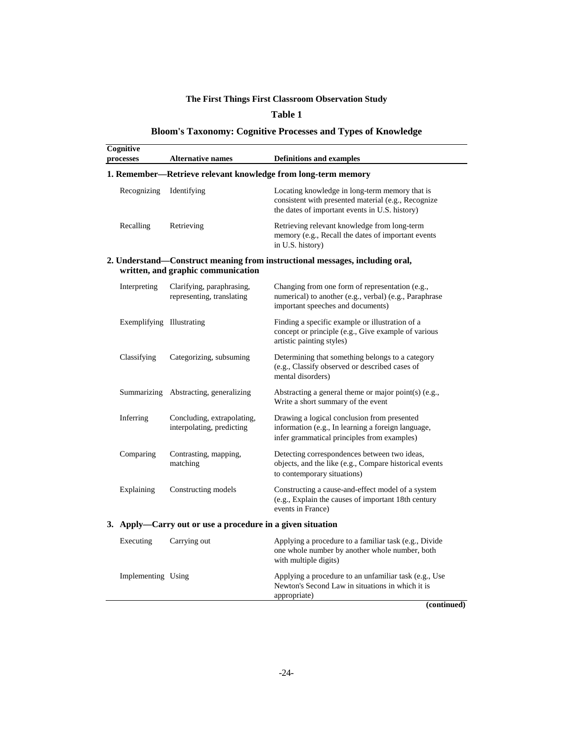# **The First Things First Classroom Observation Study**

## **Table 1**

## **Bloom's Taxonomy: Cognitive Processes and Types of Knowledge**

| Cognitive<br>processes                                        | Alternative names                                       | <b>Definitions and examples</b>                                                                                                                         |  |
|---------------------------------------------------------------|---------------------------------------------------------|---------------------------------------------------------------------------------------------------------------------------------------------------------|--|
| 1. Remember-Retrieve relevant knowledge from long-term memory |                                                         |                                                                                                                                                         |  |
| Recognizing                                                   | Identifying                                             | Locating knowledge in long-term memory that is<br>consistent with presented material (e.g., Recognize<br>the dates of important events in U.S. history) |  |
| Recalling                                                     | Retrieving                                              | Retrieving relevant knowledge from long-term<br>memory (e.g., Recall the dates of important events<br>in U.S. history)                                  |  |
|                                                               | written, and graphic communication                      | 2. Understand—Construct meaning from instructional messages, including oral,                                                                            |  |
| Interpreting                                                  | Clarifying, paraphrasing,<br>representing, translating  | Changing from one form of representation (e.g.,<br>numerical) to another (e.g., verbal) (e.g., Paraphrase<br>important speeches and documents)          |  |
| Exemplifying Illustrating                                     |                                                         | Finding a specific example or illustration of a<br>concept or principle (e.g., Give example of various<br>artistic painting styles)                     |  |
| Classifying                                                   | Categorizing, subsuming                                 | Determining that something belongs to a category<br>(e.g., Classify observed or described cases of<br>mental disorders)                                 |  |
|                                                               | Summarizing Abstracting, generalizing                   | Abstracting a general theme or major point(s) (e.g.,<br>Write a short summary of the event                                                              |  |
| Inferring                                                     | Concluding, extrapolating,<br>interpolating, predicting | Drawing a logical conclusion from presented<br>information (e.g., In learning a foreign language,<br>infer grammatical principles from examples)        |  |
| Comparing                                                     | Contrasting, mapping,<br>matching                       | Detecting correspondences between two ideas,<br>objects, and the like (e.g., Compare historical events<br>to contemporary situations)                   |  |
| Explaining                                                    | Constructing models                                     | Constructing a cause-and-effect model of a system<br>(e.g., Explain the causes of important 18th century<br>events in France)                           |  |
| 3. Apply—Carry out or use a procedure in a given situation    |                                                         |                                                                                                                                                         |  |
| Executing                                                     | Carrying out                                            | Applying a procedure to a familiar task (e.g., Divide<br>one whole number by another whole number, both<br>with multiple digits)                        |  |
| Implementing Using                                            |                                                         | Applying a procedure to an unfamiliar task (e.g., Use<br>Newton's Second Law in situations in which it is<br>appropriate)                               |  |

**(continued)**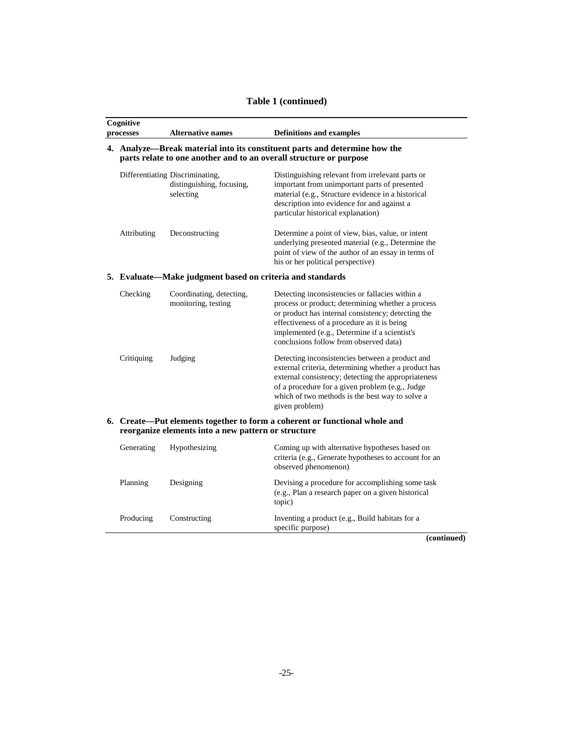# **Table 1 (continued)**

| Cognitive<br>processes                                                                                                                           | <b>Alternative names</b>                                                  | <b>Definitions and examples</b>                                                                                                                                                                                                                                                                      |
|--------------------------------------------------------------------------------------------------------------------------------------------------|---------------------------------------------------------------------------|------------------------------------------------------------------------------------------------------------------------------------------------------------------------------------------------------------------------------------------------------------------------------------------------------|
| 4. Analyze—Break material into its constituent parts and determine how the<br>parts relate to one another and to an overall structure or purpose |                                                                           |                                                                                                                                                                                                                                                                                                      |
|                                                                                                                                                  | Differentiating Discriminating,<br>distinguishing, focusing,<br>selecting | Distinguishing relevant from irrelevant parts or<br>important from unimportant parts of presented<br>material (e.g., Structure evidence in a historical<br>description into evidence for and against a<br>particular historical explanation)                                                         |
| Attributing                                                                                                                                      | Deconstructing                                                            | Determine a point of view, bias, value, or intent<br>underlying presented material (e.g., Determine the<br>point of view of the author of an essay in terms of<br>his or her political perspective)                                                                                                  |
|                                                                                                                                                  | 5. Evaluate-Make judgment based on criteria and standards                 |                                                                                                                                                                                                                                                                                                      |
| Checking                                                                                                                                         | Coordinating, detecting,<br>monitoring, testing                           | Detecting inconsistencies or fallacies within a<br>process or product; determining whether a process<br>or product has internal consistency; detecting the<br>effectiveness of a procedure as it is being<br>implemented (e.g., Determine if a scientist's<br>conclusions follow from observed data) |
| Critiquing                                                                                                                                       | Judging                                                                   | Detecting inconsistencies between a product and<br>external criteria, determining whether a product has<br>external consistency; detecting the appropriateness<br>of a procedure for a given problem (e.g., Judge<br>which of two methods is the best way to solve a<br>given problem)               |
| 6. Create—Put elements together to form a coherent or functional whole and<br>reorganize elements into a new pattern or structure                |                                                                           |                                                                                                                                                                                                                                                                                                      |
| Generating                                                                                                                                       | Hypothesizing                                                             | Coming up with alternative hypotheses based on<br>criteria (e.g., Generate hypotheses to account for an<br>observed phenomenon)                                                                                                                                                                      |
| Planning                                                                                                                                         | Designing                                                                 | Devising a procedure for accomplishing some task<br>(e.g., Plan a research paper on a given historical<br>topic)                                                                                                                                                                                     |
| Producing                                                                                                                                        | Constructing                                                              | Inventing a product (e.g., Build habitats for a<br>specific purpose)                                                                                                                                                                                                                                 |

**(continued)**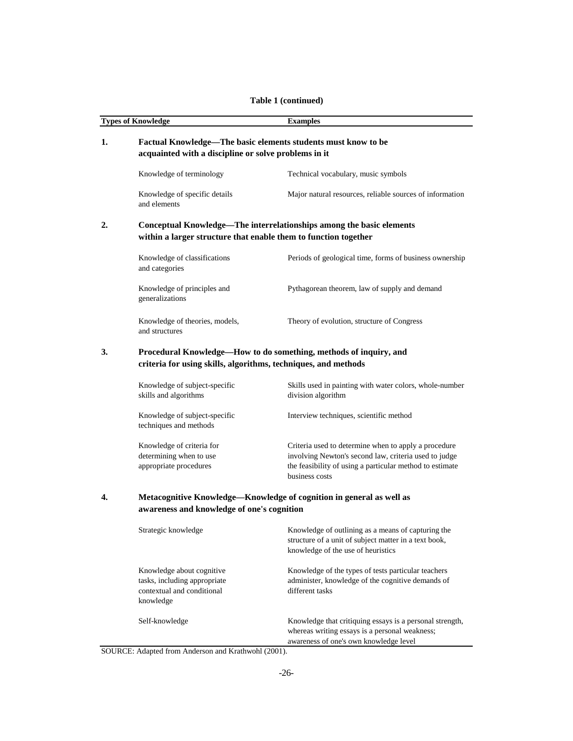# **Types of Knowledge Examples 1. Factual Knowledge—The basic elements students must know to be acquainted with a discipline or solve problems in it** Knowledge of terminology Technical vocabulary, music symbols Knowledge of specific details Major natural resources, reliable sources of information and elements **2. Conceptual Knowledge—The interrelationships among the basic elements within a larger structure that enable them to function together** Knowledge of classifications Periods of geological time, forms of business ownership and categories Knowledge of principles and Pythagorean theorem, law of supply and demand generalizations Knowledge of theories, models, Theory of evolution, structure of Congress and structures **3. Procedural Knowledge—How to do something, methods of inquiry, and criteria for using skills, algorithms, techniques, and methods** Knowledge of subject-specific Skills used in painting with water colors, whole-number skills and algorithms division algorithm Knowledge of subject-specific Interview techniques, scientific method techniques and methods Knowledge of criteria for **Criteria** used to determine when to apply a procedure determining when to use involving Newton's second law, criteria used to judge appropriate procedures the feasibility of using a particular method to estimate business costs **4. Metacognitive Knowledge—Knowledge of cognition in general as well as Table 1 (continued)**

# **awareness and knowledge of one's cognition**

| Strategic knowledge                                                                                  | Knowledge of outlining as a means of capturing the<br>structure of a unit of subject matter in a text book,<br>knowledge of the use of heuristics    |
|------------------------------------------------------------------------------------------------------|------------------------------------------------------------------------------------------------------------------------------------------------------|
| Knowledge about cognitive<br>tasks, including appropriate<br>contextual and conditional<br>knowledge | Knowledge of the types of tests particular teachers<br>administer, knowledge of the cognitive demands of<br>different tasks                          |
| Self-knowledge                                                                                       | Knowledge that critiquing essays is a personal strength,<br>whereas writing essays is a personal weakness;<br>awareness of one's own knowledge level |

SOURCE: Adapted from Anderson and Krathwohl (2001).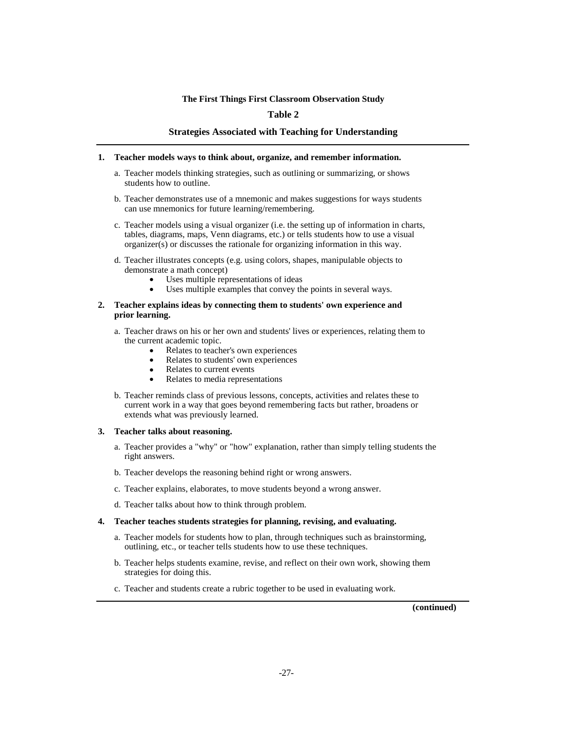#### **The First Things First Classroom Observation Study**

#### **Table 2**

#### **Strategies Associated with Teaching for Understanding**

#### **1. Teacher models ways to think about, organize, and remember information.**

- a. Teacher models thinking strategies, such as outlining or summarizing, or shows students how to outline.
- b. Teacher demonstrates use of a mnemonic and makes suggestions for ways students can use mnemonics for future learning/remembering.
- c. Teacher models using a visual organizer (i.e. the setting up of information in charts, tables, diagrams, maps, Venn diagrams, etc.) or tells students how to use a visual organizer(s) or discusses the rationale for organizing information in this way.
- d. Teacher illustrates concepts (e.g. using colors, shapes, manipulable objects to demonstrate a math concept)
	- Uses multiple representations of ideas
	- Uses multiple examples that convey the points in several ways.

#### **2. Teacher explains ideas by connecting them to students' own experience and prior learning.**

- a. Teacher draws on his or her own and students' lives or experiences, relating them to the current academic topic.
	- Relates to teacher's own experiences
	- Relates to students' own experiences
	- Relates to current events
	- Relates to media representations
- b. Teacher reminds class of previous lessons, concepts, activities and relates these to current work in a way that goes beyond remembering facts but rather, broadens or extends what was previously learned.

#### **3. Teacher talks about reasoning.**

- a. Teacher provides a "why" or "how" explanation, rather than simply telling students the right answers.
- b. Teacher develops the reasoning behind right or wrong answers.
- c. Teacher explains, elaborates, to move students beyond a wrong answer.
- d. Teacher talks about how to think through problem.

#### **4. Teacher teaches students strategies for planning, revising, and evaluating.**

- a. Teacher models for students how to plan, through techniques such as brainstorming, outlining, etc., or teacher tells students how to use these techniques.
- b. Teacher helps students examine, revise, and reflect on their own work, showing them strategies for doing this.
- c. Teacher and students create a rubric together to be used in evaluating work.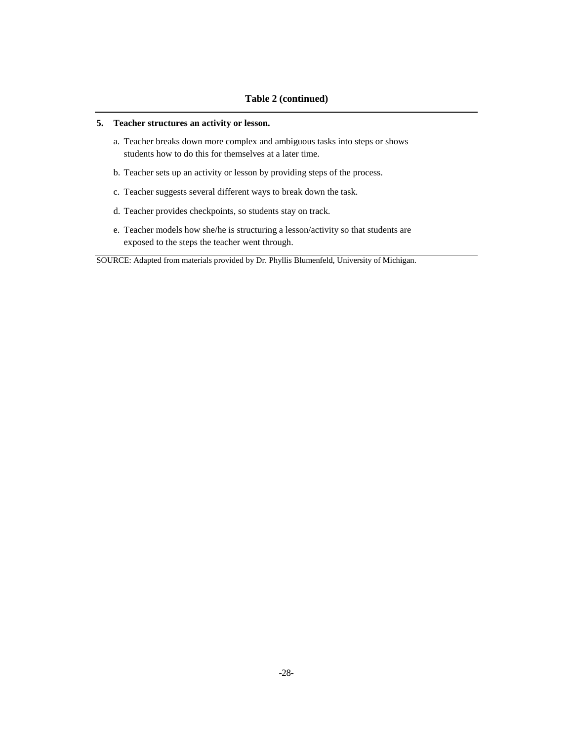#### **5. Teacher structures an activity or lesson.**

- a. Teacher breaks down more complex and ambiguous tasks into steps or shows students how to do this for themselves at a later time.
- b. Teacher sets up an activity or lesson by providing steps of the process.
- c. Teacher suggests several different ways to break down the task.
- d. Teacher provides checkpoints, so students stay on track.
- e. Teacher models how she/he is structuring a lesson/activity so that students are exposed to the steps the teacher went through.

SOURCE: Adapted from materials provided by Dr. Phyllis Blumenfeld, University of Michigan.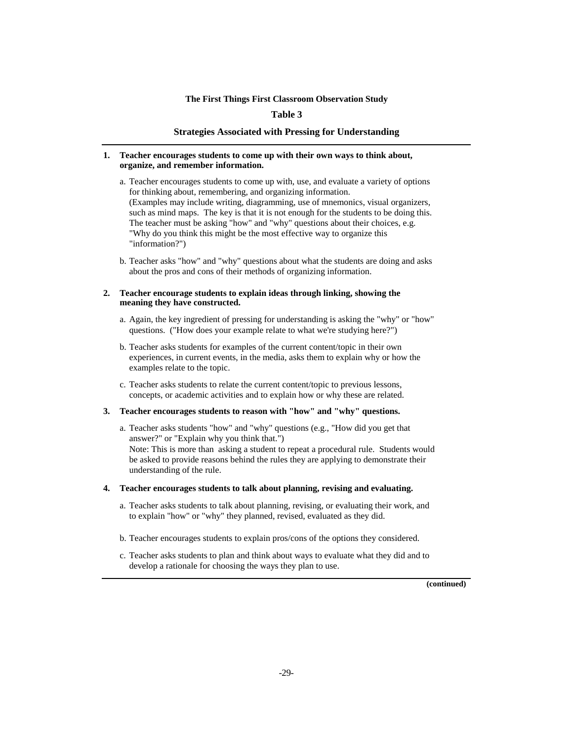### **Table 3**

### **Strategies Associated with Pressing for Understanding**

### **1. Teacher encourages students to come up with their own ways to think about, organize, and remember information.**

- a. Teacher encourages students to come up with, use, and evaluate a variety of options for thinking about, remembering, and organizing information. (Examples may include writing, diagramming, use of mnemonics, visual organizers, such as mind maps. The key is that it is not enough for the students to be doing this. The teacher must be asking "how" and "why" questions about their choices, e.g. "Why do you think this might be the most effective way to organize this "information?")
- b. Teacher asks "how" and "why" questions about what the students are doing and asks about the pros and cons of their methods of organizing information.

### **2. Teacher encourage students to explain ideas through linking, showing the meaning they have constructed.**

- a. Again, the key ingredient of pressing for understanding is asking the "why" or "how" questions. ("How does your example relate to what we're studying here?")
- b. Teacher asks students for examples of the current content/topic in their own experiences, in current events, in the media, asks them to explain why or how the examples relate to the topic.
- c. Teacher asks students to relate the current content/topic to previous lessons, concepts, or academic activities and to explain how or why these are related.

### **3. Teacher encourages students to reason with "how" and "why" questions.**

a. Teacher asks students "how" and "why" questions (e.g., "How did you get that answer?" or "Explain why you think that.") Note: This is more than asking a student to repeat a procedural rule. Students would be asked to provide reasons behind the rules they are applying to demonstrate their understanding of the rule.

### **4. Teacher encourages students to talk about planning, revising and evaluating.**

- a. Teacher asks students to talk about planning, revising, or evaluating their work, and to explain "how" or "why" they planned, revised, evaluated as they did.
- b. Teacher encourages students to explain pros/cons of the options they considered.
- c. Teacher asks students to plan and think about ways to evaluate what they did and to develop a rationale for choosing the ways they plan to use.

 **(continued)**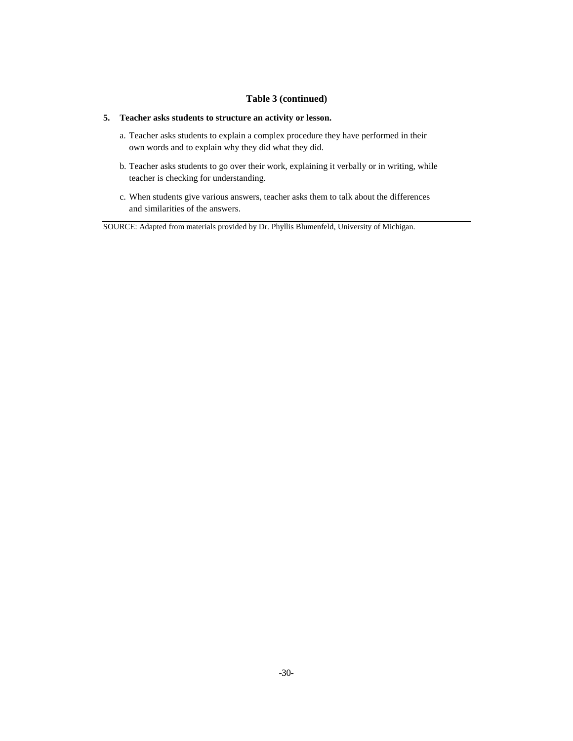### **Table 3 (continued)**

### **5. Teacher asks students to structure an activity or lesson.**

- a. Teacher asks students to explain a complex procedure they have performed in their own words and to explain why they did what they did.
- b. Teacher asks students to go over their work, explaining it verbally or in writing, while teacher is checking for understanding.
- c. When students give various answers, teacher asks them to talk about the differences and similarities of the answers.

SOURCE: Adapted from materials provided by Dr. Phyllis Blumenfeld, University of Michigan.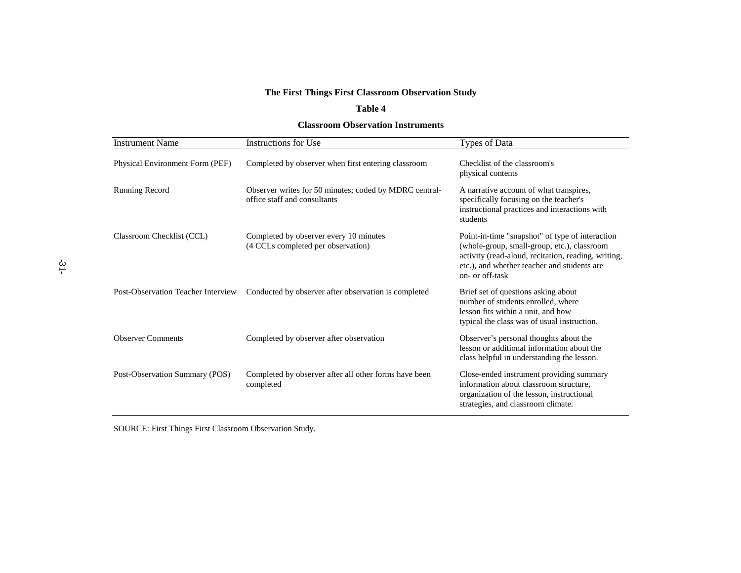#### **Table 4**

#### **Classroom Observation Instruments**

| <b>Instrument Name</b>             | Instructions for Use                                                                   | Types of Data                                                                                                                                                                                                           |
|------------------------------------|----------------------------------------------------------------------------------------|-------------------------------------------------------------------------------------------------------------------------------------------------------------------------------------------------------------------------|
| Physical Environment Form (PEF)    | Completed by observer when first entering classroom                                    | Checklist of the classroom's<br>physical contents                                                                                                                                                                       |
| Running Record                     | Observer writes for 50 minutes; coded by MDRC central-<br>office staff and consultants | A narrative account of what transpires,<br>specifically focusing on the teacher's<br>instructional practices and interactions with<br>students                                                                          |
| Classroom Checklist (CCL)          | Completed by observer every 10 minutes<br>(4 CCLs completed per observation)           | Point-in-time "snapshot" of type of interaction<br>(whole-group, small-group, etc.), classroom<br>activity (read-aloud, recitation, reading, writing,<br>etc.), and whether teacher and students are<br>on- or off-task |
| Post-Observation Teacher Interview | Conducted by observer after observation is completed                                   | Brief set of questions asking about<br>number of students enrolled, where<br>lesson fits within a unit, and how<br>typical the class was of usual instruction.                                                          |
| <b>Observer Comments</b>           | Completed by observer after observation                                                | Observer's personal thoughts about the<br>lesson or additional information about the<br>class helpful in understanding the lesson.                                                                                      |
| Post-Observation Summary (POS)     | Completed by observer after all other forms have been<br>completed                     | Close-ended instrument providing summary<br>information about classroom structure,<br>organization of the lesson, instructional<br>strategies, and classroom climate.                                                   |

SOURCE: First Things First Classroom Observation Study.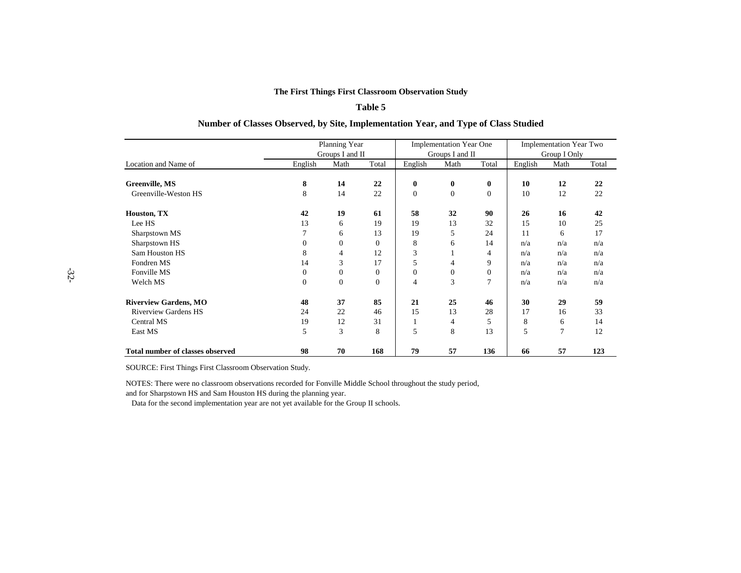#### **Table 5**

### **Number of Classes Observed, by Site, Implementation Year, and Type of Class Studied**

|                                  |                | Planning Year                      |                  | <b>Implementation Year One</b> |                  |                  |              | <b>Implementation Year Two</b> |       |
|----------------------------------|----------------|------------------------------------|------------------|--------------------------------|------------------|------------------|--------------|--------------------------------|-------|
|                                  |                | Groups I and II<br>Groups I and II |                  |                                |                  |                  | Group I Only |                                |       |
| Location and Name of             | English        | Math                               | Total            | English                        | Math             | Total            | English      | Math                           | Total |
| <b>Greenville, MS</b>            | 8              | 14                                 | 22               | $\bf{0}$                       | $\bf{0}$         | $\bf{0}$         | 10           | 12                             | 22    |
| Greenville-Weston HS             | 8              | 14                                 | 22               | $\boldsymbol{0}$               | $\boldsymbol{0}$ | $\boldsymbol{0}$ | 10           | 12                             | 22    |
| Houston, TX                      | 42             | 19                                 | 61               | 58                             | 32               | 90               | 26           | 16                             | 42    |
| Lee HS                           | 13             | 6                                  | 19               | 19                             | 13               | 32               | 15           | 10                             | 25    |
| Sharpstown MS                    | 7              | 6                                  | 13               | 19                             | 5                | 24               | 11           | 6                              | 17    |
| Sharpstown HS                    | 0              | 0                                  | $\mathbf{0}$     | 8                              | 6                | 14               | n/a          | n/a                            | n/a   |
| Sam Houston HS                   | 8              | 4                                  | 12               | 3                              |                  | 4                | n/a          | n/a                            | n/a   |
| Fondren MS                       | 14             | 3                                  | 17               | 5                              | 4                | 9                | n/a          | n/a                            | n/a   |
| Fonville MS                      | $\mathbf{0}$   | $\overline{0}$                     | $\overline{0}$   | $\boldsymbol{0}$               | $\mathbf{0}$     | $\mathbf{0}$     | n/a          | n/a                            | n/a   |
| Welch MS                         | $\overline{0}$ | $\boldsymbol{0}$                   | $\boldsymbol{0}$ | 4                              | 3                | $\overline{7}$   | n/a          | n/a                            | n/a   |
| <b>Riverview Gardens, MO</b>     | 48             | 37                                 | 85               | 21                             | 25               | 46               | 30           | 29                             | 59    |
| <b>Riverview Gardens HS</b>      | 24             | 22                                 | 46               | 15                             | 13               | 28               | 17           | 16                             | 33    |
| Central MS                       | 19             | 12                                 | 31               | 1                              | 4                | 5                | 8            | 6                              | 14    |
| East MS                          | 5              | 3                                  | 8                | 5                              | 8                | 13               | 5            | 7                              | 12    |
| Total number of classes observed | 98             | 70                                 | 168              | 79                             | 57               | 136              | 66           | 57                             | 123   |

SOURCE: First Things First Classroom Observation Study.

NOTES: There were no classroom observations recorded for Fonville Middle School throughout the study period,

and for Sharpstown HS and Sam Houston HS during the planning year.

Data for the second implementation year are not yet available for the Group II schools.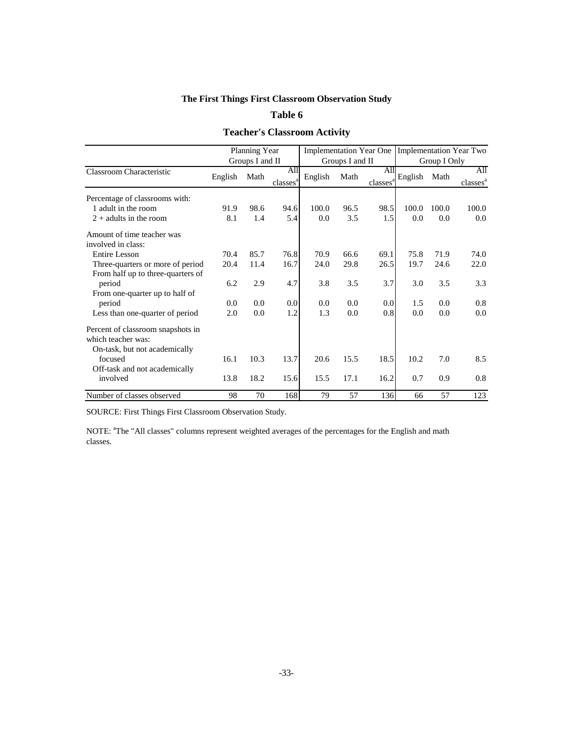**Table 6**

## **Teacher's Classroom Activity**

|                                                                                          |         | Planning Year   |                             | <b>Implementation Year One</b> |                 |                                      | <b>Implementation Year Two</b> |              |                             |
|------------------------------------------------------------------------------------------|---------|-----------------|-----------------------------|--------------------------------|-----------------|--------------------------------------|--------------------------------|--------------|-----------------------------|
|                                                                                          |         | Groups I and II |                             |                                | Groups I and II |                                      |                                | Group I Only |                             |
| Classroom Characteristic                                                                 | English | Math            | All<br>classes <sup>a</sup> | English                        | Math            | All<br>$\overline{\text{classes}}^a$ | English                        | Math         | All<br>classes <sup>a</sup> |
| Percentage of classrooms with:                                                           |         |                 |                             |                                |                 |                                      |                                |              |                             |
| 1 adult in the room                                                                      | 91.9    | 98.6            | 94.6                        | 100.0                          | 96.5            | 98.5                                 | 100.0                          | 100.0        | 100.0                       |
| $2 +$ adults in the room                                                                 | 8.1     | 1.4             | 5.4                         | 0.0                            | 3.5             | 1.5                                  | 0.0                            | 0.0          | 0.0                         |
| Amount of time teacher was<br>involved in class:                                         |         |                 |                             |                                |                 |                                      |                                |              |                             |
| Entire Lesson                                                                            | 70.4    | 85.7            | 76.8                        | 70.9                           | 66.6            | 69.1                                 | 75.8                           | 71.9         | 74.0                        |
| Three-quarters or more of period<br>From half up to three-quarters of                    | 20.4    | 11.4            | 16.7                        | 24.0                           | 29.8            | 26.5                                 | 19.7                           | 24.6         | 22.0                        |
| period<br>From one-quarter up to half of                                                 | 6.2     | 2.9             | 4.7                         | 3.8                            | 3.5             | 3.7                                  | 3.0                            | 3.5          | 3.3                         |
| period                                                                                   | 0.0     | 0.0             | 0.0 <sub>l</sub>            | 0.0                            | 0.0             | 0.0                                  | 1.5                            | 0.0          | 0.8                         |
| Less than one-quarter of period                                                          | 2.0     | 0.0             | 1.2                         | 1.3                            | 0.0             | 0.8                                  | 0.0                            | 0.0          | 0.0                         |
| Percent of classroom snapshots in<br>which teacher was:<br>On-task, but not academically |         |                 |                             |                                |                 |                                      |                                |              |                             |
| focused                                                                                  | 16.1    | 10.3            | 13.7                        | 20.6                           | 15.5            | 18.5                                 | 10.2                           | 7.0          | 8.5                         |
| Off-task and not academically<br>involved                                                | 13.8    | 18.2            | 15.6                        | 15.5                           | 17.1            | 16.2                                 | 0.7                            | 0.9          | 0.8                         |
| Number of classes observed                                                               | 98      | 70              | 168                         | 79                             | 57              | 136                                  | 66                             | 57           | 123                         |

SOURCE: First Things First Classroom Observation Study.

NOTE: <sup>a</sup>The "All classes" columns represent weighted averages of the percentages for the English and math classes.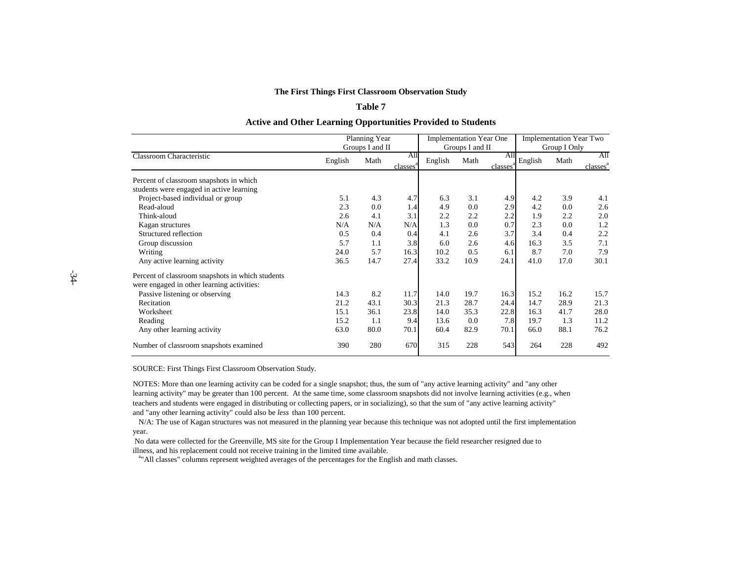### **Table 7**

### **Active and Other Learning Opportunities Provided to Students**

|                                                                                                |         | Planning Year   |                             | <b>Implementation Year One</b> |      |                             | <b>Implementation Year Two</b> |      |                             |  |  |
|------------------------------------------------------------------------------------------------|---------|-----------------|-----------------------------|--------------------------------|------|-----------------------------|--------------------------------|------|-----------------------------|--|--|
|                                                                                                |         | Groups I and II |                             |                                |      | Groups I and II             |                                |      | Group I Only                |  |  |
| Classroom Characteristic                                                                       | English | Math            | All<br>classes <sup>a</sup> | English                        | Math | All<br>classes <sup>a</sup> | English                        | Math | All<br>classes <sup>a</sup> |  |  |
| Percent of classroom snapshots in which                                                        |         |                 |                             |                                |      |                             |                                |      |                             |  |  |
| students were engaged in active learning                                                       |         |                 |                             |                                |      |                             |                                |      |                             |  |  |
| Project-based individual or group                                                              | 5.1     | 4.3             | 4.7                         | 6.3                            | 3.1  | 4.9                         | 4.2                            | 3.9  | 4.1                         |  |  |
| Read-aloud                                                                                     | 2.3     | 0.0             | 1.4                         | 4.9                            | 0.0  | 2.9                         | 4.2                            | 0.0  | 2.6                         |  |  |
| Think-aloud                                                                                    | 2.6     | 4.1             | 3.1                         | 2.2                            | 2.2  | 2.2                         | 1.9                            | 2.2  | 2.0                         |  |  |
| Kagan structures                                                                               | N/A     | N/A             | N/A                         | 1.3                            | 0.0  | 0.7                         | 2.3                            | 0.0  | 1.2                         |  |  |
| Structured reflection                                                                          | 0.5     | 0.4             | 0.4                         | 4.1                            | 2.6  | 3.7                         | 3.4                            | 0.4  | 2.2                         |  |  |
| Group discussion                                                                               | 5.7     | 1.1             | 3.8                         | 6.0                            | 2.6  | 4.6                         | 16.3                           | 3.5  | 7.1                         |  |  |
| Writing                                                                                        | 24.0    | 5.7             | 16.3                        | 10.2                           | 0.5  | 6.1                         | 8.7                            | 7.0  | 7.9                         |  |  |
| Any active learning activity                                                                   | 36.5    | 14.7            | 27.4                        | 33.2                           | 10.9 | 24.1                        | 41.0                           | 17.0 | 30.1                        |  |  |
| Percent of classroom snapshots in which students<br>were engaged in other learning activities: |         |                 |                             |                                |      |                             |                                |      |                             |  |  |
| Passive listening or observing                                                                 | 14.3    | 8.2             | 11.7                        | 14.0                           | 19.7 | 16.3                        | 15.2                           | 16.2 | 15.7                        |  |  |
| Recitation                                                                                     | 21.2    | 43.1            | 30.3                        | 21.3                           | 28.7 | 24.4                        | 14.7                           | 28.9 | 21.3                        |  |  |
| Worksheet                                                                                      | 15.1    | 36.1            | 23.8                        | 14.0                           | 35.3 | 22.8                        | 16.3                           | 41.7 | 28.0                        |  |  |
| Reading                                                                                        | 15.2    | 1.1             | 9.4                         | 13.6                           | 0.0  | 7.8                         | 19.7                           | 1.3  | 11.2                        |  |  |
| Any other learning activity                                                                    | 63.0    | 80.0            | 70.1                        | 60.4                           | 82.9 | 70.1                        | 66.0                           | 88.1 | 76.2                        |  |  |
| Number of classroom snapshots examined                                                         | 390     | 280             | 670                         | 315                            | 228  | 543                         | 264                            | 228  | 492                         |  |  |

SOURCE: First Things First Classroom Observation Study.

NOTES: More than one learning activity can be coded for a single snapshot; thus, the sum of "any active learning activity" and "any other learning activity" may be greater than 100 percent. At the same time, some classroom snapshots did not involve learning activities (e.g., when teachers and students were engaged in distributing or collecting papers, or in socializing), so that the sum of "any active learning activity" and "any other learning activity" could also be *less* than 100 percent.

 N/A: The use of Kagan structures was not measured in the planning year because this technique was not adopted until the first implementation year.

 No data were collected for the Greenville, MS site for the Group I Implementation Year because the field researcher resigned due to illness, and his replacement could not receive training in the limited time available.

<sup>a</sup>"All classes" columns represent weighted averages of the percentages for the English and math classes.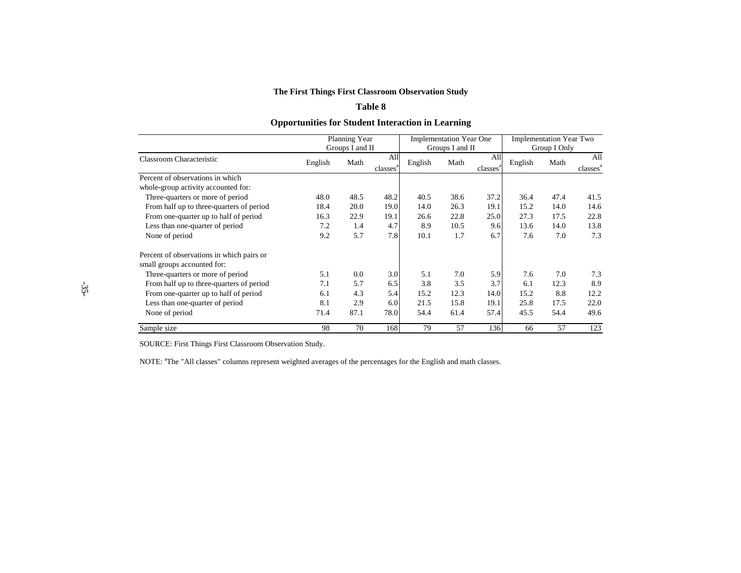### **Table 8**

## **Opportunities for Student Interaction in Learning**

|                                           | Planning Year |                 |                             | <b>Implementation Year One</b> |                 |                | <b>Implementation Year Two</b> |      |                                            |
|-------------------------------------------|---------------|-----------------|-----------------------------|--------------------------------|-----------------|----------------|--------------------------------|------|--------------------------------------------|
|                                           |               | Groups I and II |                             |                                | Groups I and II |                | Group I Only                   |      |                                            |
| Classroom Characteristic                  | English       | Math            | All<br>classes <sup>"</sup> | English                        | Math            | All<br>classes | English                        | Math | All<br>$\mathop{{\rm classes}}\nolimits^a$ |
| Percent of observations in which          |               |                 |                             |                                |                 |                |                                |      |                                            |
| whole-group activity accounted for:       |               |                 |                             |                                |                 |                |                                |      |                                            |
| Three-quarters or more of period          | 48.0          | 48.5            | 48.2                        | 40.5                           | 38.6            | 37.2           | 36.4                           | 47.4 | 41.5                                       |
| From half up to three-quarters of period  | 18.4          | 20.0            | 19.0                        | 14.0                           | 26.3            | 19.1           | 15.2                           | 14.0 | 14.6                                       |
| From one-quarter up to half of period     | 16.3          | 22.9            | 19.1                        | 26.6                           | 22.8            | 25.0           | 27.3                           | 17.5 | 22.8                                       |
| Less than one-quarter of period           | 7.2           | 1.4             | 4.7                         | 8.9                            | 10.5            | 9.6            | 13.6                           | 14.0 | 13.8                                       |
| None of period                            | 9.2           | 5.7             | 7.8                         | 10.1                           | 1.7             | 6.7            | 7.6                            | 7.0  | 7.3                                        |
| Percent of observations in which pairs or |               |                 |                             |                                |                 |                |                                |      |                                            |
| small groups accounted for:               |               |                 |                             |                                |                 |                |                                |      |                                            |
| Three-quarters or more of period          | 5.1           | 0.0             | 3.0                         | 5.1                            | 7.0             | 5.9            | 7.6                            | 7.0  | 7.3                                        |
| From half up to three-quarters of period  | 7.1           | 5.7             | 6.5                         | 3.8                            | 3.5             | 3.7            | 6.1                            | 12.3 | 8.9                                        |
| From one-quarter up to half of period     | 6.1           | 4.3             | 5.4                         | 15.2                           | 12.3            | 14.0           | 15.2                           | 8.8  | 12.2                                       |
| Less than one-quarter of period           | 8.1           | 2.9             | 6.0                         | 21.5                           | 15.8            | 19.1           | 25.8                           | 17.5 | 22.0                                       |
| None of period                            | 71.4          | 87.1            | 78.0                        | 54.4                           | 61.4            | 57.4           | 45.5                           | 54.4 | 49.6                                       |
| Sample size                               | 98            | 70              | 168                         | 79                             | 57              | 136            | 66                             | 57   | 123                                        |

SOURCE: First Things First Classroom Observation Study.

NOTE: <sup>a</sup>The "All classes" columns represent weighted averages of the percentages for the English and math classes.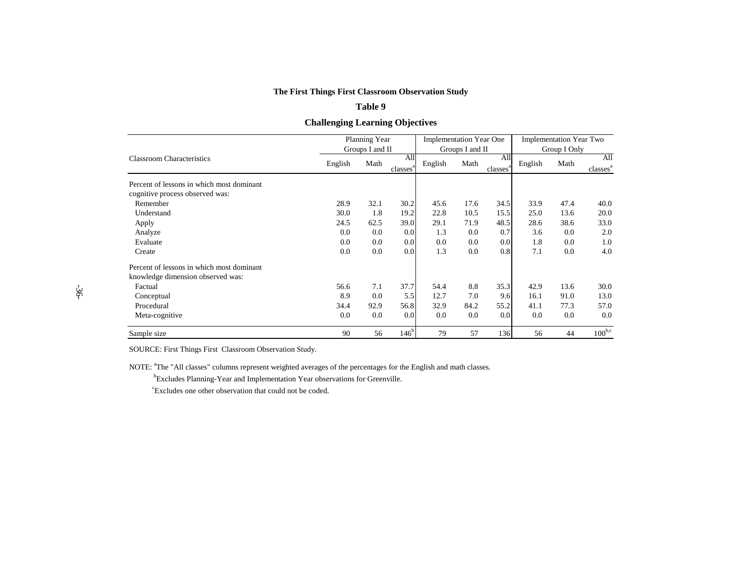#### **Table 9**

## **Challenging Learning Objectives**

|                                           |         | Planning Year   |                             |         | <b>Implementation Year One</b> |                             |         | <b>Implementation Year Two</b> |                             |  |
|-------------------------------------------|---------|-----------------|-----------------------------|---------|--------------------------------|-----------------------------|---------|--------------------------------|-----------------------------|--|
|                                           |         | Groups I and II |                             |         | Groups I and II                |                             |         | Group I Only                   |                             |  |
| <b>Classroom Characteristics</b>          | English | Math            | All<br>classes <sup>a</sup> | English | Math                           | All<br>classes <sup>a</sup> | English | Math                           | All<br>classes <sup>a</sup> |  |
| Percent of lessons in which most dominant |         |                 |                             |         |                                |                             |         |                                |                             |  |
| cognitive process observed was:           |         |                 |                             |         |                                |                             |         |                                |                             |  |
| Remember                                  | 28.9    | 32.1            | 30.2                        | 45.6    | 17.6                           | 34.5                        | 33.9    | 47.4                           | 40.0                        |  |
| Understand                                | 30.0    | 1.8             | 19.2                        | 22.8    | 10.5                           | 15.5                        | 25.0    | 13.6                           | 20.0                        |  |
| Apply                                     | 24.5    | 62.5            | 39.0                        | 29.1    | 71.9                           | 48.5                        | 28.6    | 38.6                           | 33.0                        |  |
| Analyze                                   | 0.0     | 0.0             | 0.0                         | 1.3     | 0.0                            | 0.7                         | 3.6     | 0.0                            | 2.0                         |  |
| Evaluate                                  | 0.0     | 0.0             | 0.0                         | 0.0     | 0.0                            | 0.0                         | 1.8     | 0.0                            | 1.0                         |  |
| Create                                    | 0.0     | 0.0             | 0.0                         | 1.3     | 0.0                            | 0.8                         | 7.1     | 0.0                            | 4.0                         |  |
| Percent of lessons in which most dominant |         |                 |                             |         |                                |                             |         |                                |                             |  |
| knowledge dimension observed was:         |         |                 |                             |         |                                |                             |         |                                |                             |  |
| Factual                                   | 56.6    | 7.1             | 37.7                        | 54.4    | 8.8                            | 35.3                        | 42.9    | 13.6                           | 30.0                        |  |
| Conceptual                                | 8.9     | 0.0             | 5.5                         | 12.7    | 7.0                            | 9.6                         | 16.1    | 91.0                           | 13.0                        |  |
| Procedural                                | 34.4    | 92.9            | 56.8                        | 32.9    | 84.2                           | 55.2                        | 41.1    | 77.3                           | 57.0                        |  |
| Meta-cognitive                            | 0.0     | 0.0             | 0.0                         | 0.0     | 0.0                            | 0.0                         | 0.0     | 0.0                            | 0.0                         |  |
| Sample size                               | 90      | 56              | 146 <sup>b</sup>            | 79      | 57                             | 136                         | 56      | 44                             | $100^{b,c}$                 |  |

SOURCE: First Things First Classroom Observation Study.

NOTE: <sup>a</sup>The "All classes" columns represent weighted averages of the percentages for the English and math classes.

bExcludes Planning-Year and Implementation Year observations for Greenville.

<sup>c</sup>Excludes one other observation that could not be coded.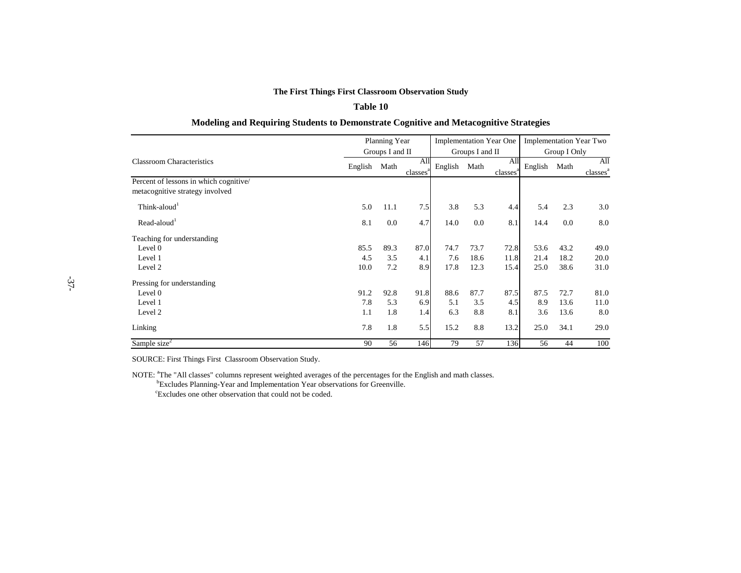### **Table 10**

## **Modeling and Requiring Students to Demonstrate Cognitive and Metacognitive Strategies**

|                                                                           | Planning Year   |      |                             |         | <b>Implementation Year One</b> |                             |         | <b>Implementation Year Two</b> |                                      |  |
|---------------------------------------------------------------------------|-----------------|------|-----------------------------|---------|--------------------------------|-----------------------------|---------|--------------------------------|--------------------------------------|--|
|                                                                           | Groups I and II |      |                             |         | Groups I and II                |                             |         | Group I Only                   |                                      |  |
| <b>Classroom Characteristics</b>                                          | English         | Math | All<br>classes <sup>"</sup> | English | Math                           | All<br>classes <sup>a</sup> | English | Math                           | All<br>$\overline{\text{classes}}^a$ |  |
| Percent of lessons in which cognitive/<br>metacognitive strategy involved |                 |      |                             |         |                                |                             |         |                                |                                      |  |
| Think-aloud <sup>1</sup>                                                  | 5.0             | 11.1 | 7.5                         | 3.8     | 5.3                            | 4.4                         | 5.4     | 2.3                            | 3.0                                  |  |
| Read-aloud                                                                | 8.1             | 0.0  | 4.7                         | 14.0    | 0.0                            | 8.1                         | 14.4    | 0.0                            | 8.0                                  |  |
| Teaching for understanding                                                |                 |      |                             |         |                                |                             |         |                                |                                      |  |
| Level 0                                                                   | 85.5            | 89.3 | 87.0                        | 74.7    | 73.7                           | 72.8                        | 53.6    | 43.2                           | 49.0                                 |  |
| Level 1                                                                   | 4.5             | 3.5  | 4.1                         | 7.6     | 18.6                           | 11.8                        | 21.4    | 18.2                           | 20.0                                 |  |
| Level 2                                                                   | 10.0            | 7.2  | 8.9                         | 17.8    | 12.3                           | 15.4                        | 25.0    | 38.6                           | 31.0                                 |  |
| Pressing for understanding                                                |                 |      |                             |         |                                |                             |         |                                |                                      |  |
| Level 0                                                                   | 91.2            | 92.8 | 91.8                        | 88.6    | 87.7                           | 87.5                        | 87.5    | 72.7                           | 81.0                                 |  |
| Level 1                                                                   | 7.8             | 5.3  | 6.9                         | 5.1     | 3.5                            | 4.5                         | 8.9     | 13.6                           | 11.0                                 |  |
| Level 2                                                                   | 1.1             | 1.8  | 1.4                         | 6.3     | 8.8                            | 8.1                         | 3.6     | 13.6                           | 8.0                                  |  |
| Linking                                                                   | 7.8             | 1.8  | 5.5                         | 15.2    | 8.8                            | 13.2                        | 25.0    | 34.1                           | 29.0                                 |  |
| Sample size <sup>2</sup>                                                  | 90              | 56   | 146                         | 79      | 57                             | 136                         | 56      | 44                             | 100                                  |  |

SOURCE: First Things First Classroom Observation Study.

NOTE: <sup>a</sup>The "All classes" columns represent weighted averages of the percentages for the English and math classes.

b<br>Excludes Planning-Year and Implementation Year observations for Greenville.

<sup>c</sup>Excludes one other observation that could not be coded.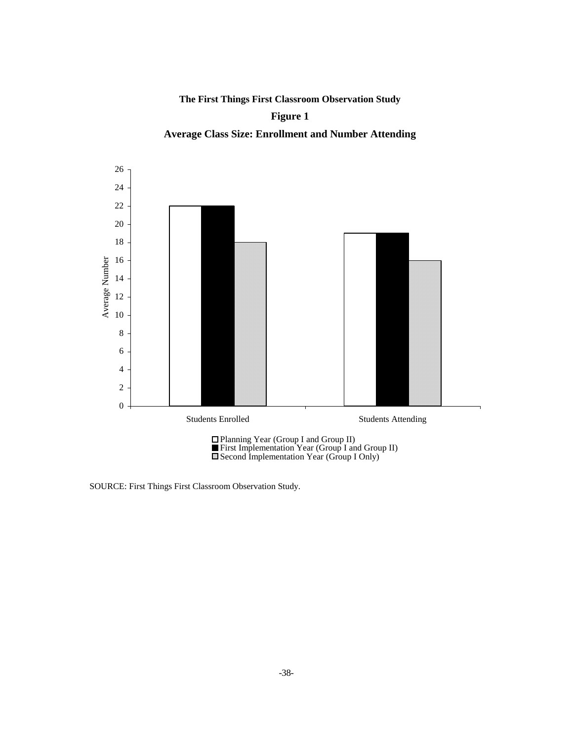



SOURCE: First Things First Classroom Observation Study.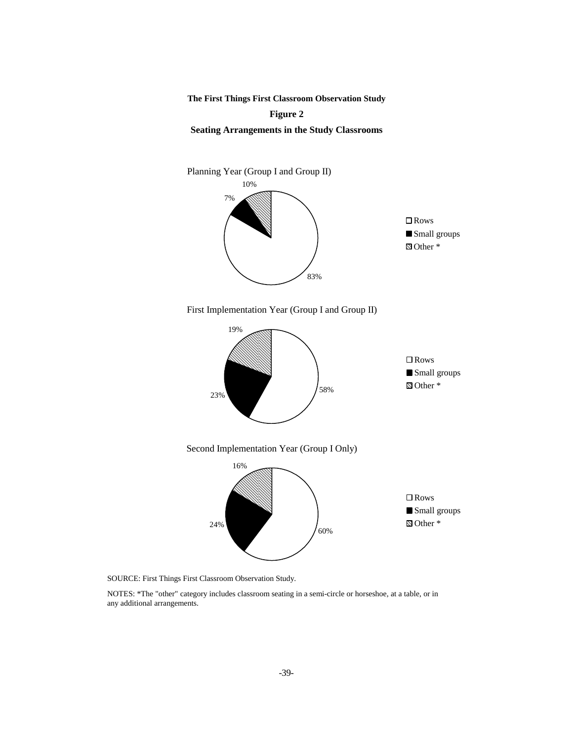**Figure 2**

**Seating Arrangements in the Study Classrooms**

Planning Year (Group I and Group II)



First Implementation Year (Group I and Group II)



24% 16% Rows Small groups Other \*

60%



NOTES: \*The "other" category includes classroom seating in a semi-circle or horseshoe, at a table, or in any additional arrangements.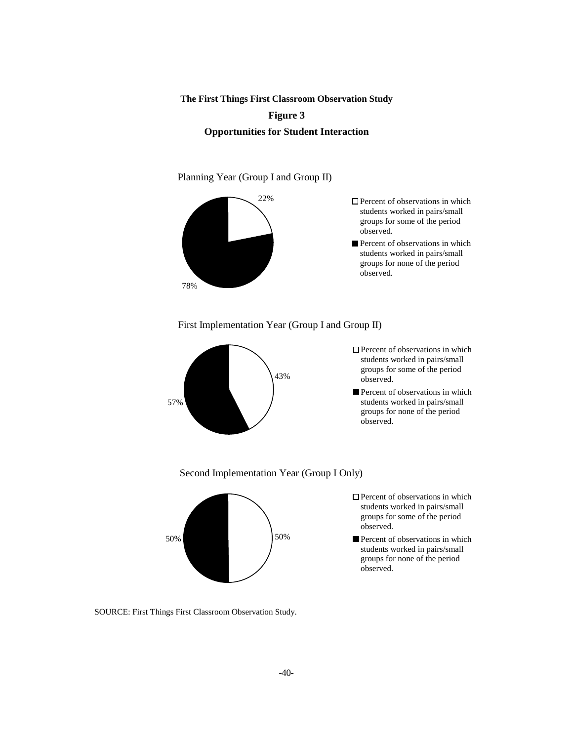# **The First Things First Classroom Observation Study Opportunities for Student Interaction Figure 3**

Planning Year (Group I and Group II)



### First Implementation Year (Group I and Group II)



- $\Box$  <br> Percent of observations in which students worked in pairs/small groups for some of the period observed.
- Percent of observations in which students worked in pairs/small groups for none of the period observed.

## Second Implementation Year (Group I Only)



- **O** Percent of observations in which students worked in pairs/small groups for some of the period observed.
- Percent of observations in which students worked in pairs/small groups for none of the period observed.

SOURCE: First Things First Classroom Observation Study.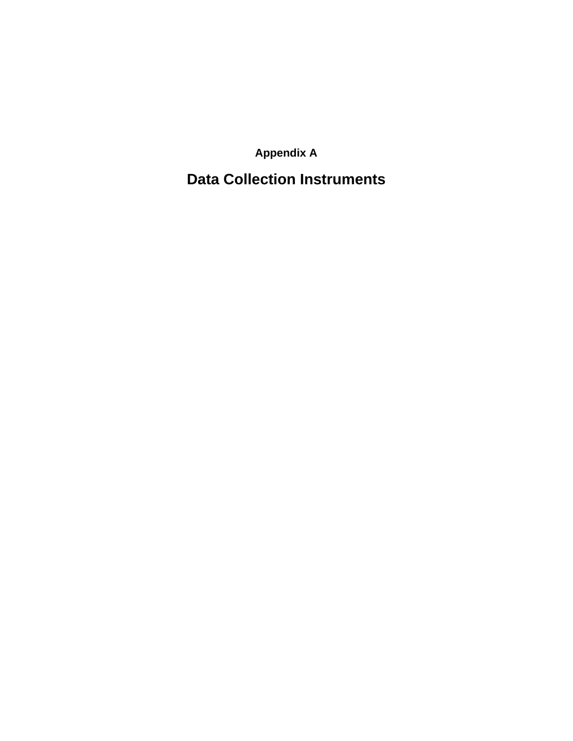**Appendix A** 

# **Data Collection Instruments**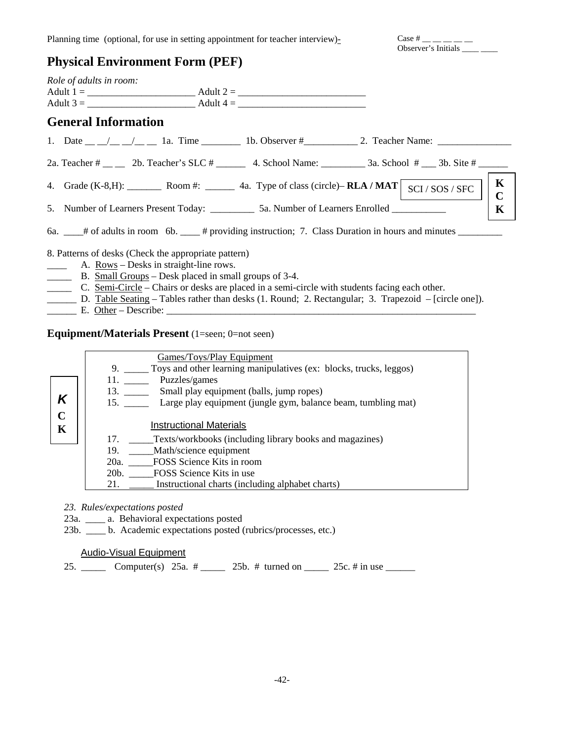Planning time (optional, for use in setting appointment for teacher interview)

| Case #              |  |
|---------------------|--|
| Observer's Initials |  |

# **Physical Environment Form (PEF)**

| Role of adults in room:                                                                                                                                                                            |                                                                                                 |  |                            |
|----------------------------------------------------------------------------------------------------------------------------------------------------------------------------------------------------|-------------------------------------------------------------------------------------------------|--|----------------------------|
|                                                                                                                                                                                                    |                                                                                                 |  |                            |
|                                                                                                                                                                                                    |                                                                                                 |  |                            |
| <b>General Information</b>                                                                                                                                                                         |                                                                                                 |  |                            |
| 1. Date $\_\_\_\_\_\_\_\_\_\$ 1a. Time $\_\_\_\_\$ 1b. Observer # $\_\_\_\_\_\_$ 2. Teacher Name: $\_\_\_\_\_\_\_\_\_\_\_$                                                                         |                                                                                                 |  |                            |
| 2a. Teacher $\#$ __ 2b. Teacher's SLC $\#$ _____ 4. School Name: ________ 3a. School $\#$ ___ 3b. Site $\#$ ______                                                                                 |                                                                                                 |  |                            |
| 4. Grade (K-8,H): Room #: $\_\_\_\_\$ 4a. Type of class (circle)-RLA / MAT $\_\_{{\rm{SCI}}/$ SOS / SFC                                                                                            |                                                                                                 |  | $\mathbf K$<br>$\mathbf C$ |
|                                                                                                                                                                                                    |                                                                                                 |  | K                          |
| 6a. $\mu$ to f adults in room 6b. $\mu$ the providing instruction; 7. Class Duration in hours and minutes                                                                                          |                                                                                                 |  |                            |
| 8. Patterns of desks (Check the appropriate pattern)<br>$\frac{1}{2}$<br>$\overline{\phantom{a}}$<br>C. Semi-Circle – Chairs or desks are placed in a semi-circle with students facing each other. | A. Rows – Desks in straight-line rows.<br>B. Small Groups – Desk placed in small groups of 3-4. |  |                            |
| D. Table Seating - Tables rather than desks (1. Round; 2. Rectangular; 3. Trapezoid - [circle one]).                                                                                               |                                                                                                 |  |                            |

E. Other – Describe:

**Equipment/Materials Present** (1=seen; 0=not seen)



*23. Rules/expectations posted* 

23a. \_\_\_\_ a. Behavioral expectations posted

23b. \_\_\_\_ b. Academic expectations posted (rubrics/processes, etc.)

## Audio-Visual Equipment

25. \_\_\_\_\_ Computer(s) 25a.  $\#$  \_\_\_\_\_ 25b.  $\#$  turned on \_\_\_\_\_ 25c.  $\#$  in use \_\_\_\_\_\_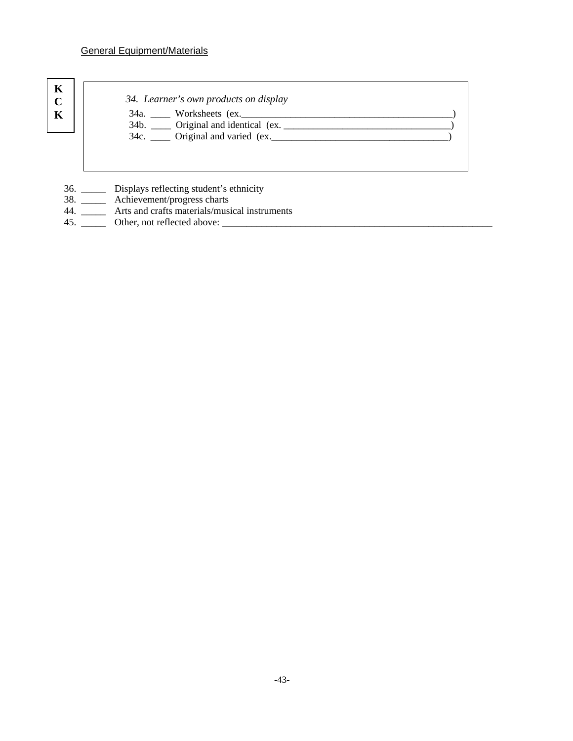## General Equipment/Materials

| $\mathbf C$<br>K | 34. Learner's own products on display |  |
|------------------|---------------------------------------|--|
|                  |                                       |  |
|                  |                                       |  |
|                  |                                       |  |
|                  |                                       |  |

- 36. \_\_\_\_\_ Displays reflecting student's ethnicity
- 38. \_\_\_\_\_ Achievement/progress charts
- 44. \_\_\_\_\_ Arts and crafts materials/musical instruments
- 45. \_\_\_\_\_ Other, not reflected above: \_\_\_\_\_\_\_\_\_\_\_\_\_\_\_\_\_\_\_\_\_\_\_\_\_\_\_\_\_\_\_\_\_\_\_\_\_\_\_\_\_\_\_\_\_\_\_\_\_\_\_\_\_\_\_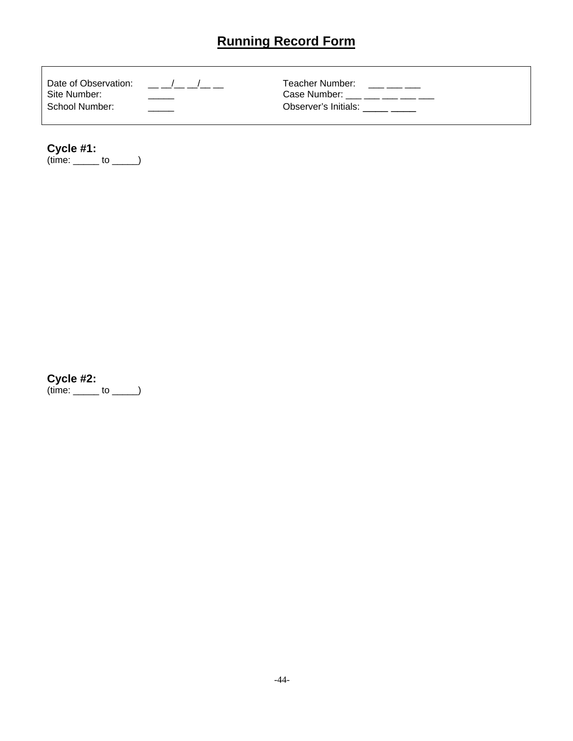# **Running Record Form**

| Date of Observation: The Mate of Observation:<br>Site Number:<br>School Number: |  | Teacher Number:<br>Case Number:<br>Observer's Initials: |
|---------------------------------------------------------------------------------|--|---------------------------------------------------------|
|---------------------------------------------------------------------------------|--|---------------------------------------------------------|

# **Cycle #1:**

 $(\text{time:}\_\_\_$  to  $\_\_\)_$ 

**Cycle #2:**  $(\text{time:}\_\_\_$  to  $\_\_\)_$ 

-44-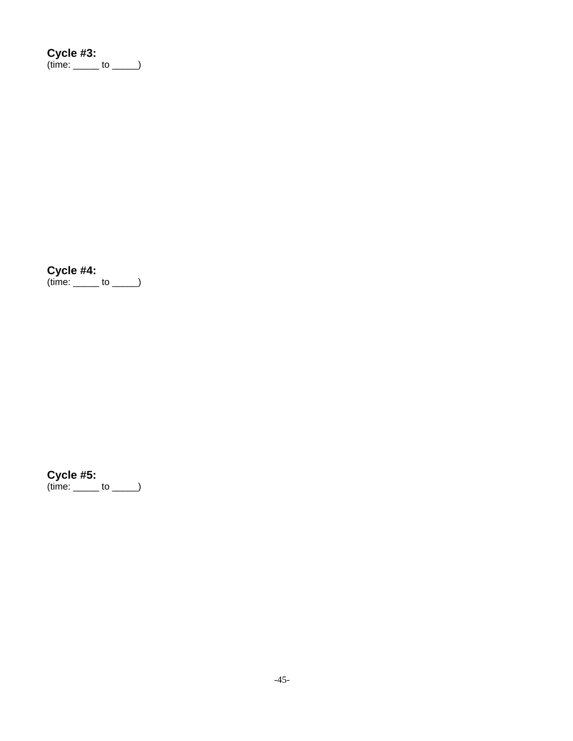**Cycle #3:**   $(\text{time:}\_\_\_$  to  $\_\_\)_$ 

**Cycle #4:**   $(\text{time:}\_\_\_$  to  $\_\_\)$ 

**Cycle #5:** 

 $(\text{time:}\_\_\text{true})$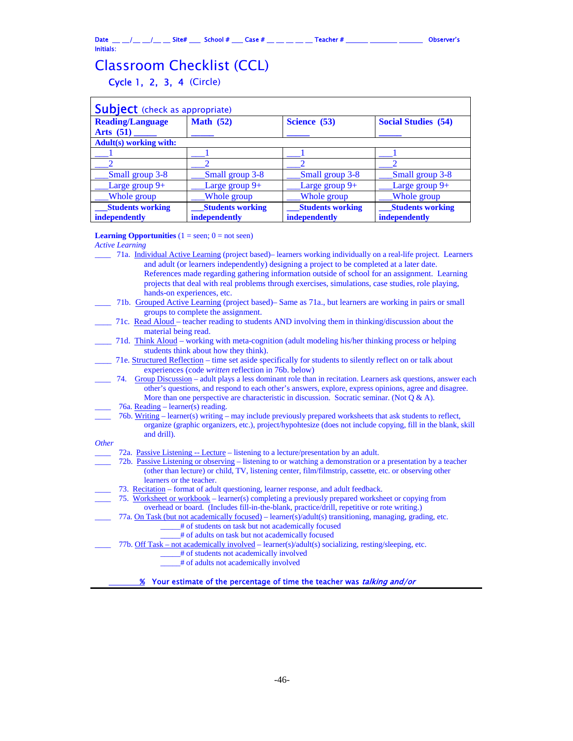| Date / / Site# School # Case # |  | <b>Example 2</b> Teacher # |  |
|--------------------------------|--|----------------------------|--|
| Initials:                      |  |                            |  |

Observer's

# Classroom Checklist (CCL)

Cycle 1, 2, 3, 4 (Circle)

| <b>Subject</b> (check as appropriate)    |                                          |                                          |                                          |  |  |  |  |  |  |  |  |
|------------------------------------------|------------------------------------------|------------------------------------------|------------------------------------------|--|--|--|--|--|--|--|--|
| <b>Reading/Language</b>                  | <b>Math</b> $(52)$                       | Science (53)                             | <b>Social Studies</b> (54)               |  |  |  |  |  |  |  |  |
| Arts $(51)$                              |                                          |                                          |                                          |  |  |  |  |  |  |  |  |
| <b>Adult(s)</b> working with:            |                                          |                                          |                                          |  |  |  |  |  |  |  |  |
|                                          |                                          |                                          |                                          |  |  |  |  |  |  |  |  |
|                                          |                                          |                                          |                                          |  |  |  |  |  |  |  |  |
| Small group 3-8                          | Small group 3-8                          | Small group 3-8                          | Small group 3-8                          |  |  |  |  |  |  |  |  |
| Large group $9+$                         | Large group $9+$                         | Large group $9+$                         | Large group 9+                           |  |  |  |  |  |  |  |  |
| Whole group                              | Whole group                              | Whole group                              | Whole group                              |  |  |  |  |  |  |  |  |
| <b>Students working</b><br>independently | <b>Students working</b><br>independently | <b>Students working</b><br>independently | <b>Students working</b><br>independently |  |  |  |  |  |  |  |  |

**Learning Opportunities**  $(1 = \text{seen}; 0 = \text{not seen})$ 

*Active Learning* 

|              | 71a. Individual Active Learning (project based) - learners working individually on a real-life project. Learners |
|--------------|------------------------------------------------------------------------------------------------------------------|
|              | and adult (or learners independently) designing a project to be completed at a later date.                       |
|              | References made regarding gathering information outside of school for an assignment. Learning                    |
|              | projects that deal with real problems through exercises, simulations, case studies, role playing,                |
|              | hands-on experiences, etc.                                                                                       |
|              | 71b. Grouped Active Learning (project based) – Same as 71a., but learners are working in pairs or small          |
|              | groups to complete the assignment.                                                                               |
|              | 71c. Read Aloud – teacher reading to students AND involving them in thinking/discussion about the                |
|              | material being read.                                                                                             |
|              | 71d. Think Aloud – working with meta-cognition (adult modeling his/her thinking process or helping               |
|              | students think about how they think).                                                                            |
|              | 71e. Structured Reflection – time set aside specifically for students to silently reflect on or talk about       |
|              | experiences (code written reflection in 76b. below)                                                              |
|              | 74. Group Discussion - adult plays a less dominant role than in recitation. Learners ask questions, answer each  |
|              | other's questions, and respond to each other's answers, explore, express opinions, agree and disagree.           |
|              | More than one perspective are characteristic in discussion. Socratic seminar. (Not Q & A).                       |
|              | 76a. Reading $-$ learner(s) reading.                                                                             |
|              | 76b. Writing – learner(s) writing – may include previously prepared worksheets that ask students to reflect,     |
|              | organize (graphic organizers, etc.), project/hypohtesize (does not include copying, fill in the blank, skill     |
| <b>Other</b> | and drill).                                                                                                      |
|              | 72a. Passive Listening -- Lecture – listening to a lecture/presentation by an adult.                             |
|              | 72b. Passive Listening or observing – listening to or watching a demonstration or a presentation by a teacher    |
|              | (other than lecture) or child, TV, listening center, film/filmstrip, cassette, etc. or observing other           |
|              | learners or the teacher.                                                                                         |
|              | 73. Recitation – format of adult questioning, learner response, and adult feedback.                              |
|              | 75. Worksheet or workbook – learner(s) completing a previously prepared worksheet or copying from                |
|              | overhead or board. (Includes fill-in-the-blank, practice/drill, repetitive or rote writing.)                     |
|              | 77a. On Task (but not academically focused) – learner(s)/adult(s) transitioning, managing, grading, etc.         |
|              | # of students on task but not academically focused                                                               |
|              | # of adults on task but not academically focused                                                                 |
|              | 77b. Off Task – not academically involved – learner(s)/adult(s) socializing, resting/sleeping, etc.              |
|              | # of students not academically involved                                                                          |
|              | # of adults not academically involved                                                                            |
|              |                                                                                                                  |
|              | % Your estimate of the percentage of time the teacher was <i>talking and/or</i>                                  |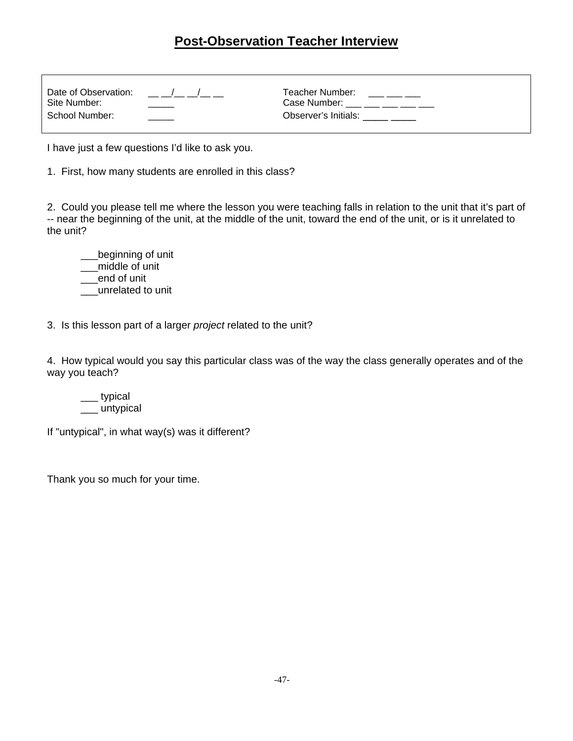# **Post-Observation Teacher Interview**

| Date of Observation: 1<br>Site Number:<br>School Number: |  | Teacher Number:<br>Case Number:<br>Observer's Initials: |
|----------------------------------------------------------|--|---------------------------------------------------------|
|----------------------------------------------------------|--|---------------------------------------------------------|

I have just a few questions I'd like to ask you.

1. First, how many students are enrolled in this class?

2. Could you please tell me where the lesson you were teaching falls in relation to the unit that it's part of -- near the beginning of the unit, at the middle of the unit, toward the end of the unit, or is it unrelated to the unit?

\_\_\_beginning of unit \_\_middle of unit \_\_\_end of unit \_\_\_unrelated to unit

3. Is this lesson part of a larger *project* related to the unit?

4. How typical would you say this particular class was of the way the class generally operates and of the way you teach?

\_\_\_ typical \_\_\_ untypical

If "untypical", in what way(s) was it different?

Thank you so much for your time.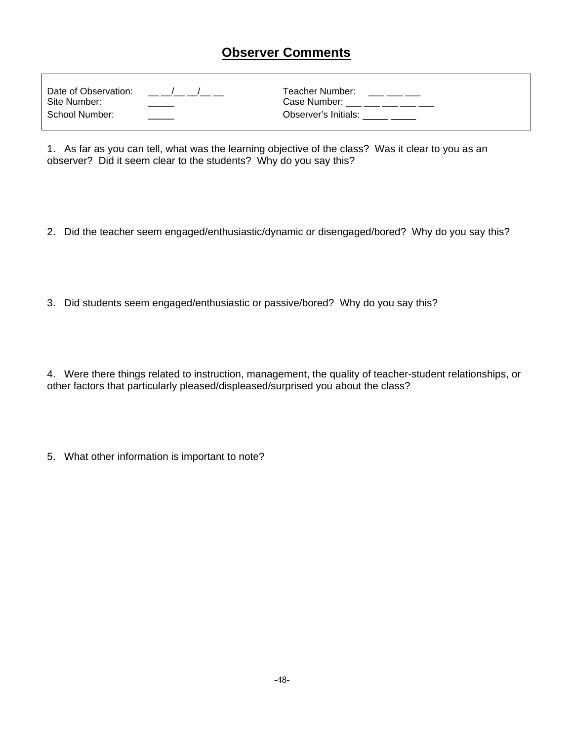# **Observer Comments**

| Date of Observation:<br>Site Number:<br>School Number: |  | Teacher Number:<br>Case Number:<br>Observer's Initials: |
|--------------------------------------------------------|--|---------------------------------------------------------|
|--------------------------------------------------------|--|---------------------------------------------------------|

1. As far as you can tell, what was the learning objective of the class? Was it clear to you as an observer? Did it seem clear to the students? Why do you say this?

- 2. Did the teacher seem engaged/enthusiastic/dynamic or disengaged/bored? Why do you say this?
- 3. Did students seem engaged/enthusiastic or passive/bored? Why do you say this?

4. Were there things related to instruction, management, the quality of teacher-student relationships, or other factors that particularly pleased/displeased/surprised you about the class?

5. What other information is important to note?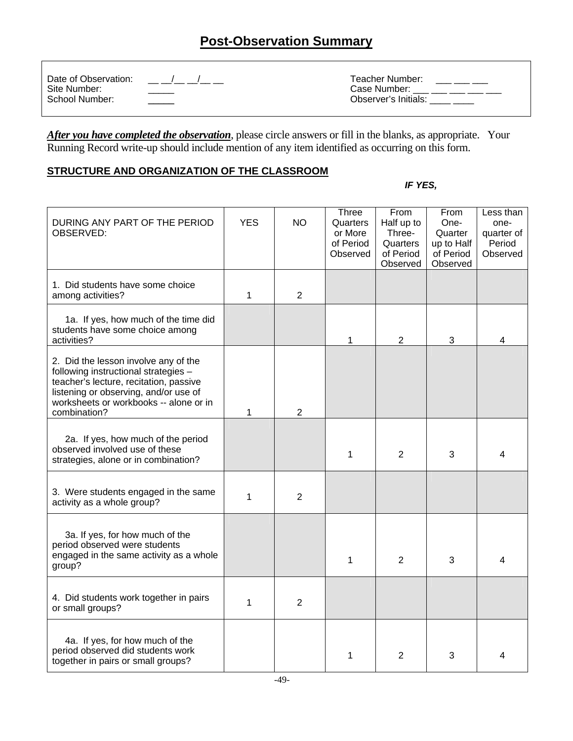# **Post-Observation Summary**

| Date of Observation:<br>Site Number:<br>School Number: | the control of the control of the | Teacher Number:<br>Case Number:<br>Observer's Initials: |
|--------------------------------------------------------|-----------------------------------|---------------------------------------------------------|
|--------------------------------------------------------|-----------------------------------|---------------------------------------------------------|

*After you have completed the observation*, please circle answers or fill in the blanks, as appropriate. Your Running Record write-up should include mention of any item identified as occurring on this form.

# **STRUCTURE AND ORGANIZATION OF THE CLASSROOM**

## *IF YES,*

| DURING ANY PART OF THE PERIOD<br>OBSERVED:                                                                                                                                                                                | <b>YES</b> | NO.            | <b>Three</b><br>Quarters<br>or More<br>of Period<br>Observed | From<br>Half up to<br>Three-<br>Quarters<br>of Period<br>Observed | From<br>One-<br>Quarter<br>up to Half<br>of Period<br>Observed | Less than<br>one-<br>quarter of<br>Period<br>Observed |
|---------------------------------------------------------------------------------------------------------------------------------------------------------------------------------------------------------------------------|------------|----------------|--------------------------------------------------------------|-------------------------------------------------------------------|----------------------------------------------------------------|-------------------------------------------------------|
| 1. Did students have some choice<br>among activities?                                                                                                                                                                     | 1          | $\overline{2}$ |                                                              |                                                                   |                                                                |                                                       |
| 1a. If yes, how much of the time did<br>students have some choice among<br>activities?                                                                                                                                    |            |                | 1                                                            | $\overline{2}$                                                    | 3                                                              | 4                                                     |
| 2. Did the lesson involve any of the<br>following instructional strategies -<br>teacher's lecture, recitation, passive<br>listening or observing, and/or use of<br>worksheets or workbooks -- alone or in<br>combination? | 1          | 2              |                                                              |                                                                   |                                                                |                                                       |
| 2a. If yes, how much of the period<br>observed involved use of these<br>strategies, alone or in combination?                                                                                                              |            |                | 1                                                            | $\overline{2}$                                                    | 3                                                              | 4                                                     |
| 3. Were students engaged in the same<br>activity as a whole group?                                                                                                                                                        | 1          | $\overline{2}$ |                                                              |                                                                   |                                                                |                                                       |
| 3a. If yes, for how much of the<br>period observed were students<br>engaged in the same activity as a whole<br>group?                                                                                                     |            |                | 1                                                            | $\overline{2}$                                                    | 3                                                              | 4                                                     |
| 4. Did students work together in pairs<br>or small groups?                                                                                                                                                                | 1          | $\overline{2}$ |                                                              |                                                                   |                                                                |                                                       |
| 4a. If yes, for how much of the<br>period observed did students work<br>together in pairs or small groups?                                                                                                                |            |                | 1                                                            | $\overline{2}$                                                    | 3                                                              | 4                                                     |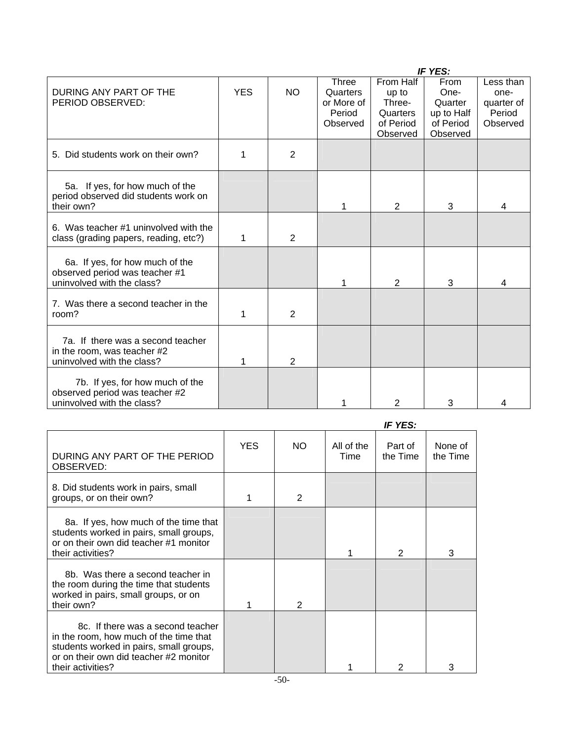|                                                                                                 |            |                | IF YES:                                               |                                                                   |                                                                |                                                       |  |  |  |
|-------------------------------------------------------------------------------------------------|------------|----------------|-------------------------------------------------------|-------------------------------------------------------------------|----------------------------------------------------------------|-------------------------------------------------------|--|--|--|
| DURING ANY PART OF THE<br>PERIOD OBSERVED:                                                      | <b>YES</b> | <b>NO</b>      | Three<br>Quarters<br>or More of<br>Period<br>Observed | From Half<br>up to<br>Three-<br>Quarters<br>of Period<br>Observed | From<br>One-<br>Quarter<br>up to Half<br>of Period<br>Observed | Less than<br>one-<br>quarter of<br>Period<br>Observed |  |  |  |
| 5. Did students work on their own?                                                              | 1          | $\overline{2}$ |                                                       |                                                                   |                                                                |                                                       |  |  |  |
| 5a. If yes, for how much of the<br>period observed did students work on<br>their own?           |            |                | 1                                                     | 2                                                                 | 3                                                              | 4                                                     |  |  |  |
| 6. Was teacher #1 uninvolved with the<br>class (grading papers, reading, etc?)                  | 1          | 2              |                                                       |                                                                   |                                                                |                                                       |  |  |  |
| 6a. If yes, for how much of the<br>observed period was teacher #1<br>uninvolved with the class? |            |                |                                                       | 2                                                                 | 3                                                              | 4                                                     |  |  |  |
| 7. Was there a second teacher in the<br>room?                                                   | 1          | 2              |                                                       |                                                                   |                                                                |                                                       |  |  |  |
| 7a. If there was a second teacher<br>in the room, was teacher #2<br>uninvolved with the class?  | 1          | $\overline{2}$ |                                                       |                                                                   |                                                                |                                                       |  |  |  |
| 7b. If yes, for how much of the<br>observed period was teacher #2<br>uninvolved with the class? |            |                |                                                       | $\overline{2}$                                                    | 3                                                              | 4                                                     |  |  |  |

|                                                                                                                                                                                       |            |               |                    | IF YES:             |                     |
|---------------------------------------------------------------------------------------------------------------------------------------------------------------------------------------|------------|---------------|--------------------|---------------------|---------------------|
| DURING ANY PART OF THE PERIOD<br>OBSERVED:                                                                                                                                            | <b>YES</b> | NO.           | All of the<br>Time | Part of<br>the Time | None of<br>the Time |
| 8. Did students work in pairs, small<br>groups, or on their own?                                                                                                                      |            | $\mathcal{P}$ |                    |                     |                     |
| 8a. If yes, how much of the time that<br>students worked in pairs, small groups,<br>or on their own did teacher #1 monitor<br>their activities?                                       |            |               | 1                  | 2                   | 3                   |
| 8b. Was there a second teacher in<br>the room during the time that students<br>worked in pairs, small groups, or on<br>their own?                                                     |            | $\mathcal{P}$ |                    |                     |                     |
| 8c. If there was a second teacher<br>in the room, how much of the time that<br>students worked in pairs, small groups,<br>or on their own did teacher #2 monitor<br>their activities? |            |               |                    |                     |                     |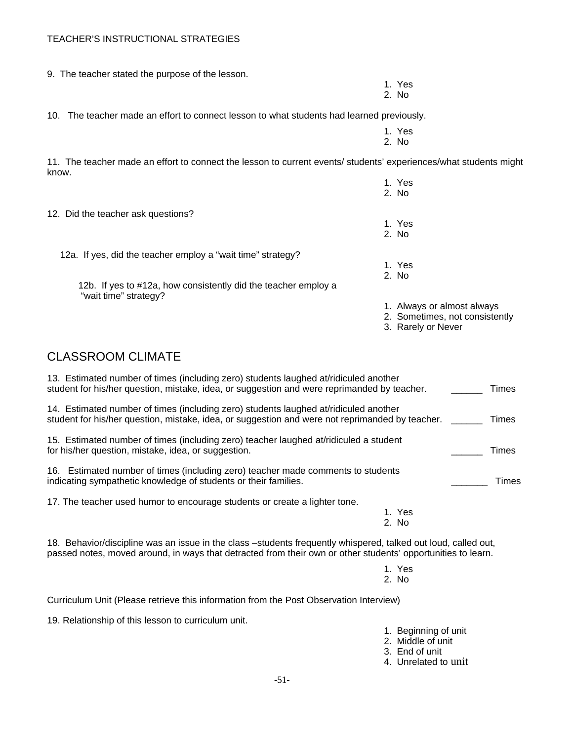## TEACHER'S INSTRUCTIONAL STRATEGIES

|  | 9. The teacher stated the purpose of the lesson. |  |  |  |  |
|--|--------------------------------------------------|--|--|--|--|
|  |                                                  |  |  |  |  |

1. Yes 2. No

10. The teacher made an effort to connect lesson to what students had learned previously.

1. Yes 2. No

11. The teacher made an effort to connect the lesson to current events/ students' experiences/what students might know. 1. Yes

|                                                                                         | .<br>2. No                     |
|-----------------------------------------------------------------------------------------|--------------------------------|
|                                                                                         |                                |
| 12. Did the teacher ask questions?                                                      |                                |
|                                                                                         | 1. Yes                         |
|                                                                                         | 2. No                          |
| 12a. If yes, did the teacher employ a "wait time" strategy?                             |                                |
|                                                                                         | 1. Yes                         |
|                                                                                         | 2. No                          |
| 12b. If yes to #12a, how consistently did the teacher employ a<br>"wait time" strategy? |                                |
|                                                                                         | 1. Always or almost always     |
|                                                                                         | 2. Sometimes, not consistently |
|                                                                                         | 3. Rarely or Never             |

# CLASSROOM CLIMATE

| 13. Estimated number of times (including zero) students laughed at/ridiculed another<br>student for his/her question, mistake, idea, or suggestion and were reprimanded by teacher.     | Times        |
|-----------------------------------------------------------------------------------------------------------------------------------------------------------------------------------------|--------------|
| 14. Estimated number of times (including zero) students laughed at/ridiculed another<br>student for his/her question, mistake, idea, or suggestion and were not reprimanded by teacher. | Times        |
| 15. Estimated number of times (including zero) teacher laughed at/ridiculed a student<br>for his/her question, mistake, idea, or suggestion.                                            | Times        |
| 16. Estimated number of times (including zero) teacher made comments to students<br>indicating sympathetic knowledge of students or their families.                                     | <b>Times</b> |
| 17. The teacher used humor to encourage students or create a lighter tone.                                                                                                              |              |

 2. No 18. Behavior/discipline was an issue in the class –students frequently whispered, talked out loud, called out, passed notes, moved around, in ways that detracted from their own or other students' opportunities to learn.

1. Yes

1. Yes

2. No

Curriculum Unit (Please retrieve this information from the Post Observation Interview)

19. Relationship of this lesson to curriculum unit.

- 1. Beginning of unit
- 2. Middle of unit
- 3. End of unit
- 4. Unrelated to unit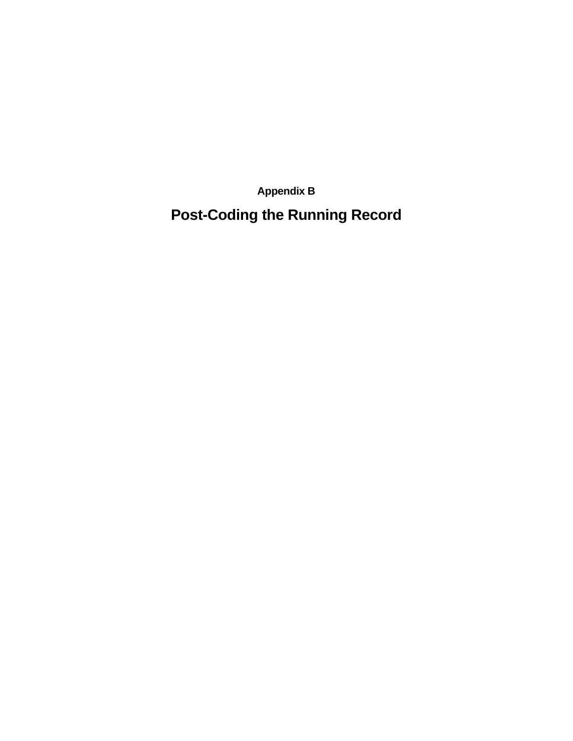**Appendix B** 

**Post-Coding the Running Record**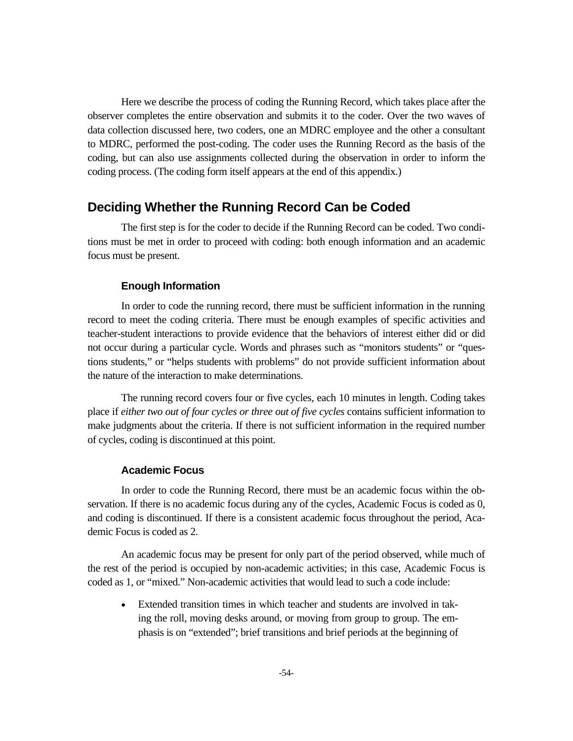Here we describe the process of coding the Running Record, which takes place after the observer completes the entire observation and submits it to the coder. Over the two waves of data collection discussed here, two coders, one an MDRC employee and the other a consultant to MDRC, performed the post-coding. The coder uses the Running Record as the basis of the coding, but can also use assignments collected during the observation in order to inform the coding process. (The coding form itself appears at the end of this appendix.)

## **Deciding Whether the Running Record Can be Coded**

The first step is for the coder to decide if the Running Record can be coded. Two conditions must be met in order to proceed with coding: both enough information and an academic focus must be present.

### **Enough Information**

In order to code the running record, there must be sufficient information in the running record to meet the coding criteria. There must be enough examples of specific activities and teacher-student interactions to provide evidence that the behaviors of interest either did or did not occur during a particular cycle. Words and phrases such as "monitors students" or "questions students," or "helps students with problems" do not provide sufficient information about the nature of the interaction to make determinations.

The running record covers four or five cycles, each 10 minutes in length. Coding takes place if *either two out of four cycles or three out of five cycles* contains sufficient information to make judgments about the criteria. If there is not sufficient information in the required number of cycles, coding is discontinued at this point.

### **Academic Focus**

In order to code the Running Record, there must be an academic focus within the observation. If there is no academic focus during any of the cycles, Academic Focus is coded as 0, and coding is discontinued. If there is a consistent academic focus throughout the period, Academic Focus is coded as 2.

An academic focus may be present for only part of the period observed, while much of the rest of the period is occupied by non-academic activities; in this case, Academic Focus is coded as 1, or "mixed." Non-academic activities that would lead to such a code include:

• Extended transition times in which teacher and students are involved in taking the roll, moving desks around, or moving from group to group. The emphasis is on "extended"; brief transitions and brief periods at the beginning of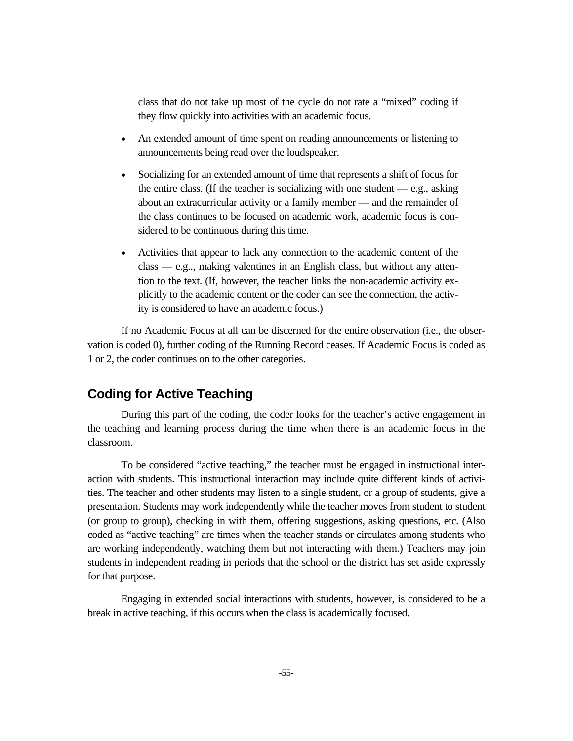class that do not take up most of the cycle do not rate a "mixed" coding if they flow quickly into activities with an academic focus.

- An extended amount of time spent on reading announcements or listening to announcements being read over the loudspeaker.
- Socializing for an extended amount of time that represents a shift of focus for the entire class. (If the teacher is socializing with one student  $-e.g.,$  asking about an extracurricular activity or a family member — and the remainder of the class continues to be focused on academic work, academic focus is considered to be continuous during this time.
- Activities that appear to lack any connection to the academic content of the class — e.g.., making valentines in an English class, but without any attention to the text. (If, however, the teacher links the non-academic activity explicitly to the academic content or the coder can see the connection, the activity is considered to have an academic focus.)

If no Academic Focus at all can be discerned for the entire observation (i.e., the observation is coded 0), further coding of the Running Record ceases. If Academic Focus is coded as 1 or 2, the coder continues on to the other categories.

# **Coding for Active Teaching**

During this part of the coding, the coder looks for the teacher's active engagement in the teaching and learning process during the time when there is an academic focus in the classroom.

To be considered "active teaching," the teacher must be engaged in instructional interaction with students. This instructional interaction may include quite different kinds of activities. The teacher and other students may listen to a single student, or a group of students, give a presentation. Students may work independently while the teacher moves from student to student (or group to group), checking in with them, offering suggestions, asking questions, etc. (Also coded as "active teaching" are times when the teacher stands or circulates among students who are working independently, watching them but not interacting with them.) Teachers may join students in independent reading in periods that the school or the district has set aside expressly for that purpose.

Engaging in extended social interactions with students, however, is considered to be a break in active teaching, if this occurs when the class is academically focused.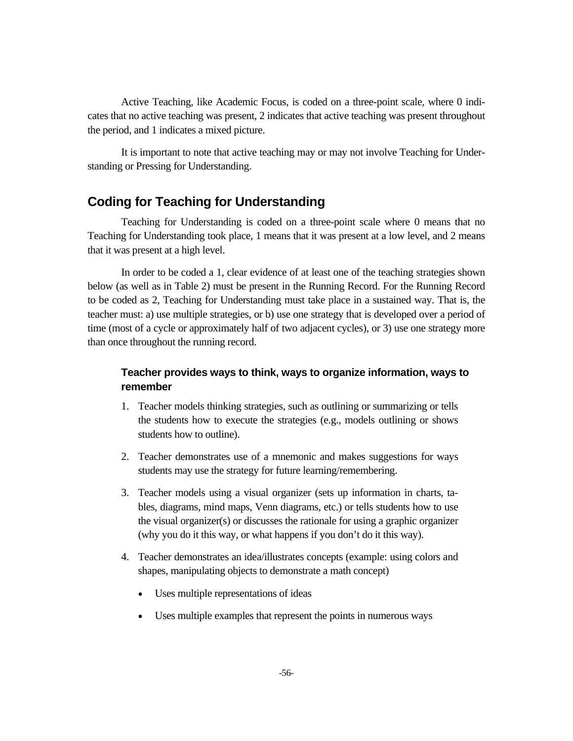Active Teaching, like Academic Focus, is coded on a three-point scale, where 0 indicates that no active teaching was present, 2 indicates that active teaching was present throughout the period, and 1 indicates a mixed picture.

It is important to note that active teaching may or may not involve Teaching for Understanding or Pressing for Understanding.

# **Coding for Teaching for Understanding**

Teaching for Understanding is coded on a three-point scale where 0 means that no Teaching for Understanding took place, 1 means that it was present at a low level, and 2 means that it was present at a high level.

In order to be coded a 1, clear evidence of at least one of the teaching strategies shown below (as well as in Table 2) must be present in the Running Record. For the Running Record to be coded as 2, Teaching for Understanding must take place in a sustained way. That is, the teacher must: a) use multiple strategies, or b) use one strategy that is developed over a period of time (most of a cycle or approximately half of two adjacent cycles), or 3) use one strategy more than once throughout the running record.

## **Teacher provides ways to think, ways to organize information, ways to remember**

- 1. Teacher models thinking strategies, such as outlining or summarizing or tells the students how to execute the strategies (e.g., models outlining or shows students how to outline).
- 2. Teacher demonstrates use of a mnemonic and makes suggestions for ways students may use the strategy for future learning/remembering.
- 3. Teacher models using a visual organizer (sets up information in charts, tables, diagrams, mind maps, Venn diagrams, etc.) or tells students how to use the visual organizer(s) or discusses the rationale for using a graphic organizer (why you do it this way, or what happens if you don't do it this way).
- 4. Teacher demonstrates an idea/illustrates concepts (example: using colors and shapes, manipulating objects to demonstrate a math concept)
	- Uses multiple representations of ideas
	- Uses multiple examples that represent the points in numerous ways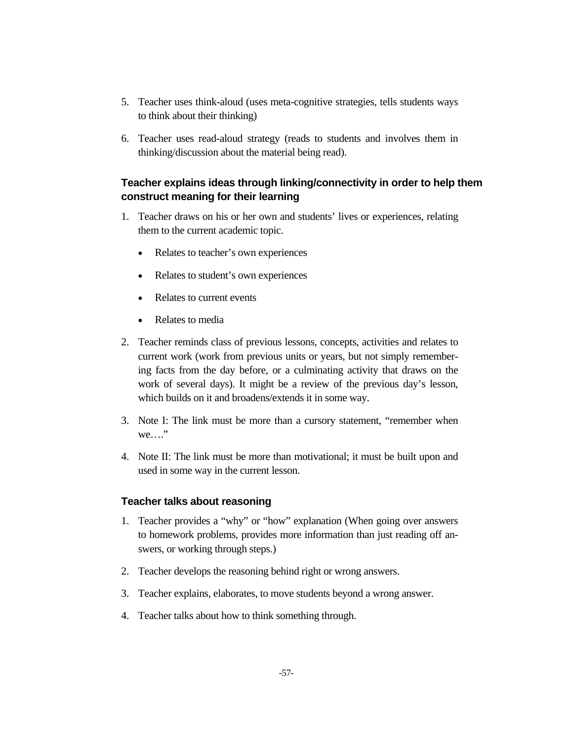- 5. Teacher uses think-aloud (uses meta-cognitive strategies, tells students ways to think about their thinking)
- 6. Teacher uses read-aloud strategy (reads to students and involves them in thinking/discussion about the material being read).

# **Teacher explains ideas through linking/connectivity in order to help them construct meaning for their learning**

- 1. Teacher draws on his or her own and students' lives or experiences, relating them to the current academic topic.
	- Relates to teacher's own experiences
	- Relates to student's own experiences
	- Relates to current events
	- Relates to media
- 2. Teacher reminds class of previous lessons, concepts, activities and relates to current work (work from previous units or years, but not simply remembering facts from the day before, or a culminating activity that draws on the work of several days). It might be a review of the previous day's lesson, which builds on it and broadens/extends it in some way.
- 3. Note I: The link must be more than a cursory statement, "remember when we…."
- 4. Note II: The link must be more than motivational; it must be built upon and used in some way in the current lesson.

## **Teacher talks about reasoning**

- 1. Teacher provides a "why" or "how" explanation (When going over answers to homework problems, provides more information than just reading off answers, or working through steps.)
- 2. Teacher develops the reasoning behind right or wrong answers.
- 3. Teacher explains, elaborates, to move students beyond a wrong answer.
- 4. Teacher talks about how to think something through.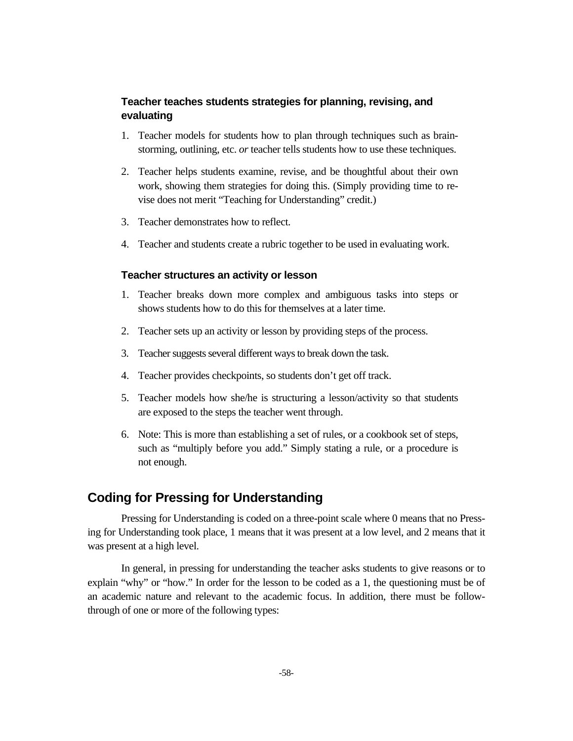## **Teacher teaches students strategies for planning, revising, and evaluating**

- 1. Teacher models for students how to plan through techniques such as brainstorming, outlining, etc. *or* teacher tells students how to use these techniques.
- 2. Teacher helps students examine, revise, and be thoughtful about their own work, showing them strategies for doing this. (Simply providing time to revise does not merit "Teaching for Understanding" credit.)
- 3. Teacher demonstrates how to reflect.
- 4. Teacher and students create a rubric together to be used in evaluating work.

## **Teacher structures an activity or lesson**

- 1. Teacher breaks down more complex and ambiguous tasks into steps or shows students how to do this for themselves at a later time.
- 2. Teacher sets up an activity or lesson by providing steps of the process.
- 3. Teacher suggests several different ways to break down the task.
- 4. Teacher provides checkpoints, so students don't get off track.
- 5. Teacher models how she/he is structuring a lesson/activity so that students are exposed to the steps the teacher went through.
- 6. Note: This is more than establishing a set of rules, or a cookbook set of steps, such as "multiply before you add." Simply stating a rule, or a procedure is not enough.

## **Coding for Pressing for Understanding**

Pressing for Understanding is coded on a three-point scale where 0 means that no Pressing for Understanding took place, 1 means that it was present at a low level, and 2 means that it was present at a high level.

In general, in pressing for understanding the teacher asks students to give reasons or to explain "why" or "how." In order for the lesson to be coded as a 1, the questioning must be of an academic nature and relevant to the academic focus. In addition, there must be followthrough of one or more of the following types: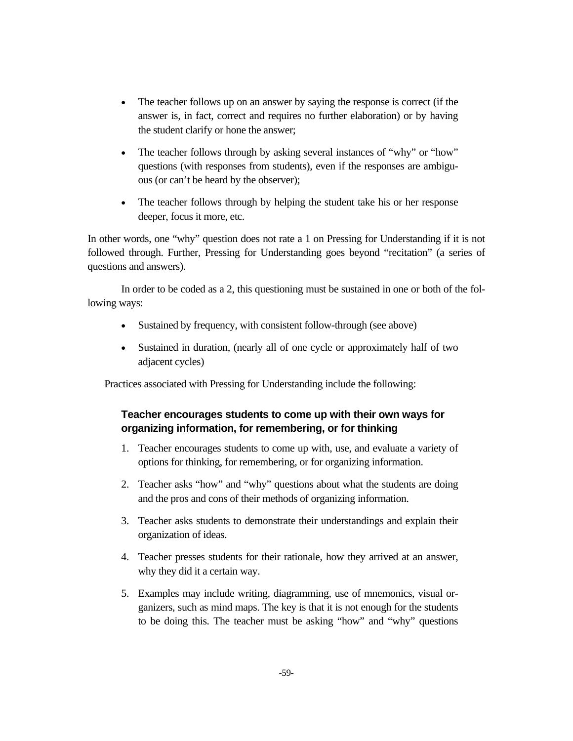- The teacher follows up on an answer by saying the response is correct (if the answer is, in fact, correct and requires no further elaboration) or by having the student clarify or hone the answer;
- The teacher follows through by asking several instances of "why" or "how" questions (with responses from students), even if the responses are ambiguous (or can't be heard by the observer);
- The teacher follows through by helping the student take his or her response deeper, focus it more, etc.

In other words, one "why" question does not rate a 1 on Pressing for Understanding if it is not followed through. Further, Pressing for Understanding goes beyond "recitation" (a series of questions and answers).

In order to be coded as a 2, this questioning must be sustained in one or both of the following ways:

- Sustained by frequency, with consistent follow-through (see above)
- Sustained in duration, (nearly all of one cycle or approximately half of two adjacent cycles)

Practices associated with Pressing for Understanding include the following:

# **Teacher encourages students to come up with their own ways for organizing information, for remembering, or for thinking**

- 1. Teacher encourages students to come up with, use, and evaluate a variety of options for thinking, for remembering, or for organizing information.
- 2. Teacher asks "how" and "why" questions about what the students are doing and the pros and cons of their methods of organizing information.
- 3. Teacher asks students to demonstrate their understandings and explain their organization of ideas.
- 4. Teacher presses students for their rationale, how they arrived at an answer, why they did it a certain way.
- 5. Examples may include writing, diagramming, use of mnemonics, visual organizers, such as mind maps. The key is that it is not enough for the students to be doing this. The teacher must be asking "how" and "why" questions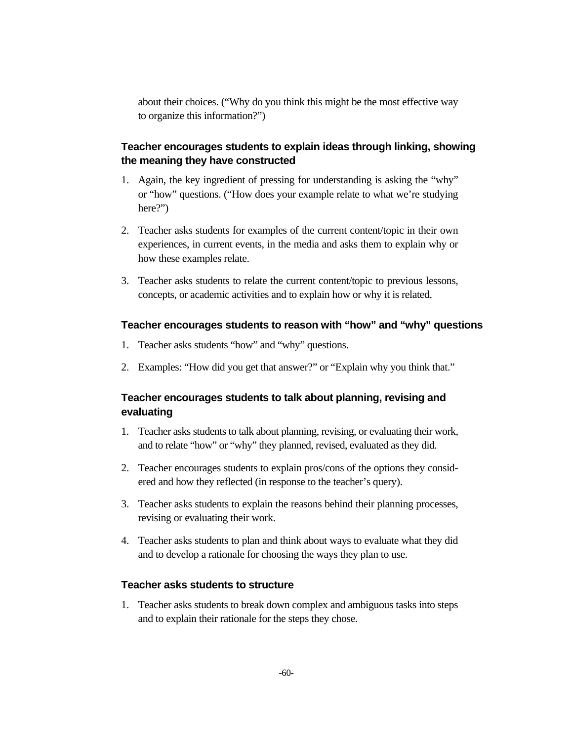about their choices. ("Why do you think this might be the most effective way to organize this information?")

## **Teacher encourages students to explain ideas through linking, showing the meaning they have constructed**

- 1. Again, the key ingredient of pressing for understanding is asking the "why" or "how" questions. ("How does your example relate to what we're studying here?")
- 2. Teacher asks students for examples of the current content/topic in their own experiences, in current events, in the media and asks them to explain why or how these examples relate.
- 3. Teacher asks students to relate the current content/topic to previous lessons, concepts, or academic activities and to explain how or why it is related.

## **Teacher encourages students to reason with "how" and "why" questions**

- 1. Teacher asks students "how" and "why" questions.
- 2. Examples: "How did you get that answer?" or "Explain why you think that."

# **Teacher encourages students to talk about planning, revising and evaluating**

- 1. Teacher asks students to talk about planning, revising, or evaluating their work, and to relate "how" or "why" they planned, revised, evaluated as they did.
- 2. Teacher encourages students to explain pros/cons of the options they considered and how they reflected (in response to the teacher's query).
- 3. Teacher asks students to explain the reasons behind their planning processes, revising or evaluating their work.
- 4. Teacher asks students to plan and think about ways to evaluate what they did and to develop a rationale for choosing the ways they plan to use.

## **Teacher asks students to structure**

1. Teacher asks students to break down complex and ambiguous tasks into steps and to explain their rationale for the steps they chose.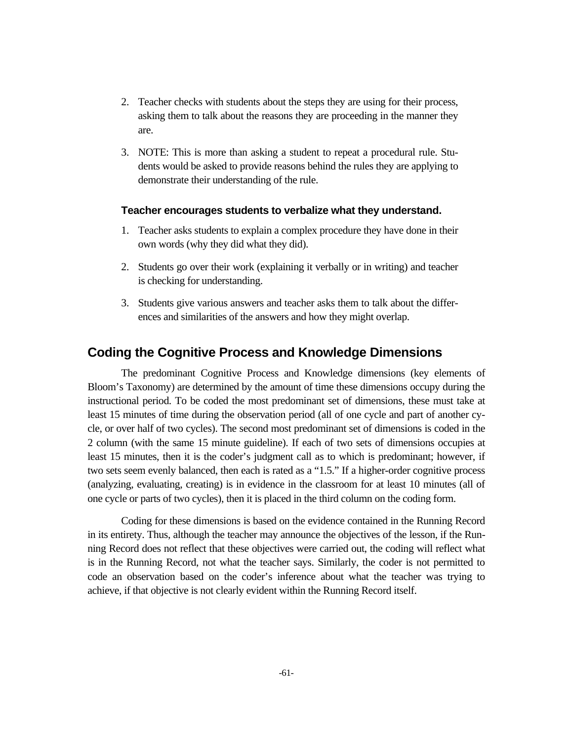- 2. Teacher checks with students about the steps they are using for their process, asking them to talk about the reasons they are proceeding in the manner they are.
- 3. NOTE: This is more than asking a student to repeat a procedural rule. Students would be asked to provide reasons behind the rules they are applying to demonstrate their understanding of the rule.

## **Teacher encourages students to verbalize what they understand.**

- 1. Teacher asks students to explain a complex procedure they have done in their own words (why they did what they did).
- 2. Students go over their work (explaining it verbally or in writing) and teacher is checking for understanding.
- 3. Students give various answers and teacher asks them to talk about the differences and similarities of the answers and how they might overlap.

## **Coding the Cognitive Process and Knowledge Dimensions**

The predominant Cognitive Process and Knowledge dimensions (key elements of Bloom's Taxonomy) are determined by the amount of time these dimensions occupy during the instructional period. To be coded the most predominant set of dimensions, these must take at least 15 minutes of time during the observation period (all of one cycle and part of another cycle, or over half of two cycles). The second most predominant set of dimensions is coded in the 2 column (with the same 15 minute guideline). If each of two sets of dimensions occupies at least 15 minutes, then it is the coder's judgment call as to which is predominant; however, if two sets seem evenly balanced, then each is rated as a "1.5." If a higher-order cognitive process (analyzing, evaluating, creating) is in evidence in the classroom for at least 10 minutes (all of one cycle or parts of two cycles), then it is placed in the third column on the coding form.

Coding for these dimensions is based on the evidence contained in the Running Record in its entirety. Thus, although the teacher may announce the objectives of the lesson, if the Running Record does not reflect that these objectives were carried out, the coding will reflect what is in the Running Record, not what the teacher says. Similarly, the coder is not permitted to code an observation based on the coder's inference about what the teacher was trying to achieve, if that objective is not clearly evident within the Running Record itself.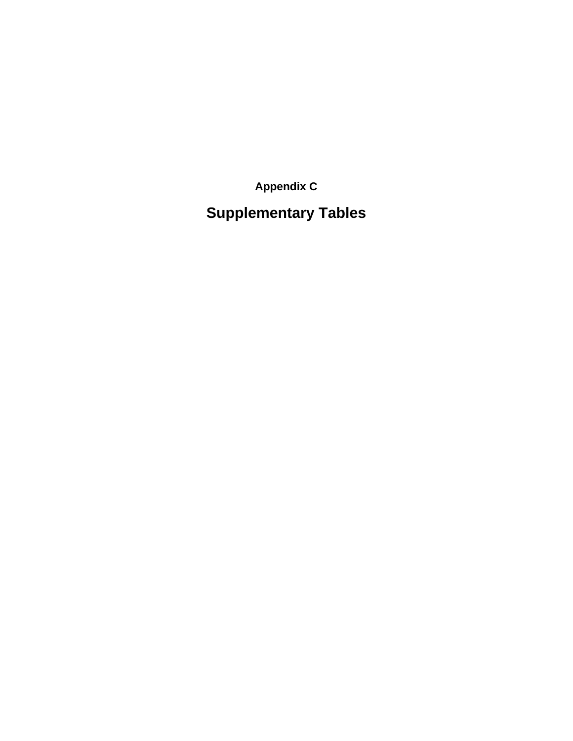**Appendix C** 

**Supplementary Tables**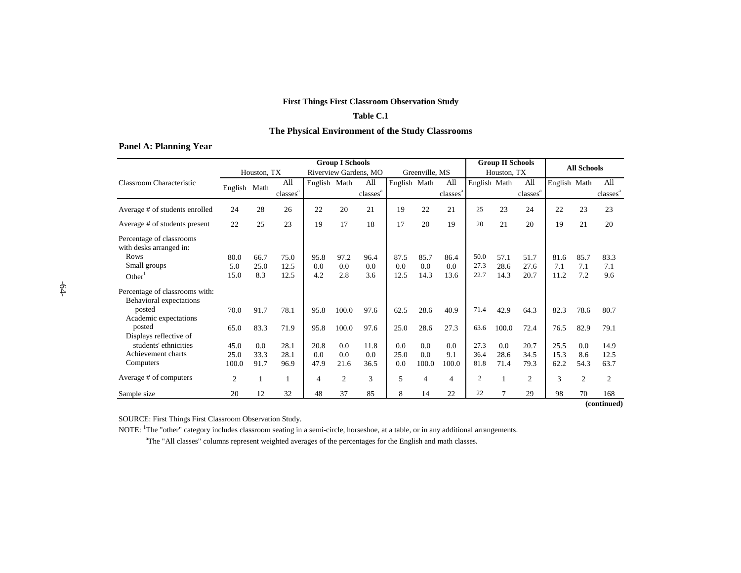### **Table C.1**

## **The Physical Environment of the Study Classrooms**

## **Panel A: Planning Year**

|                                                           |                |             |                      |              | <b>Group I Schools</b> |                       |              |                |                      |              | <b>Group II Schools</b> |                      |              |                    |                      |
|-----------------------------------------------------------|----------------|-------------|----------------------|--------------|------------------------|-----------------------|--------------|----------------|----------------------|--------------|-------------------------|----------------------|--------------|--------------------|----------------------|
|                                                           |                | Houston, TX |                      |              |                        | Riverview Gardens, MO |              | Greenville, MS |                      |              | Houston, TX             |                      |              | <b>All Schools</b> |                      |
| Classroom Characteristic                                  |                |             | All                  | English Math |                        | All                   | English Math |                | All                  | English Math |                         | All                  | English Math |                    | All                  |
|                                                           | English Math   |             | classes <sup>a</sup> |              |                        | classes <sup>a</sup>  |              |                | classes <sup>a</sup> |              |                         | classes <sup>a</sup> |              |                    | classes <sup>a</sup> |
| Average # of students enrolled                            | 24             | 28          | 26                   | 22           | 20                     | 21                    | 19           | 22             | 21                   | 25           | 23                      | 24                   | 22           | 23                 | 23                   |
| Average # of students present                             | 22             | 25          | 23                   | 19           | 17                     | 18                    | 17           | 20             | 19                   | 20           | 21                      | 20                   | 19           | 21                 | 20                   |
| Percentage of classrooms<br>with desks arranged in:       |                |             |                      |              |                        |                       |              |                |                      |              |                         |                      |              |                    |                      |
| Rows                                                      | 80.0           | 66.7        | 75.0                 | 95.8         | 97.2                   | 96.4                  | 87.5         | 85.7           | 86.4                 | 50.0         | 57.1                    | 51.7                 | 81.6         | 85.7               | 83.3                 |
| Small groups                                              | 5.0            | 25.0        | 12.5                 | 0.0          | 0.0                    | 0.0                   | 0.0          | 0.0            | 0.0                  | 27.3         | 28.6                    | 27.6                 | 7.1          | 7.1                | 7.1                  |
| Other <sup>1</sup>                                        | 15.0           | 8.3         | 12.5                 | 4.2          | 2.8                    | 3.6                   | 12.5         | 14.3           | 13.6                 | 22.7         | 14.3                    | 20.7                 | 11.2         | 7.2                | 9.6                  |
| Percentage of classrooms with:<br>Behavioral expectations |                |             |                      |              |                        |                       |              |                |                      |              |                         |                      |              |                    |                      |
| posted<br>Academic expectations                           | 70.0           | 91.7        | 78.1                 | 95.8         | 100.0                  | 97.6                  | 62.5         | 28.6           | 40.9                 | 71.4         | 42.9                    | 64.3                 | 82.3         | 78.6               | 80.7                 |
| posted                                                    | 65.0           | 83.3        | 71.9                 | 95.8         | 100.0                  | 97.6                  | 25.0         | 28.6           | 27.3                 | 63.6         | 100.0                   | 72.4                 | 76.5         | 82.9               | 79.1                 |
| Displays reflective of                                    |                |             |                      |              |                        |                       |              |                |                      |              |                         |                      |              |                    |                      |
| students' ethnicities                                     | 45.0           | 0.0         | 28.1                 | 20.8         | 0.0                    | 11.8                  | 0.0          | 0.0            | 0.0                  | 27.3         | 0.0                     | 20.7                 | 25.5         | 0.0                | 14.9                 |
| Achievement charts                                        | 25.0           | 33.3        | 28.1                 | 0.0          | 0.0                    | 0.0                   | 25.0         | 0.0            | 9.1                  | 36.4         | 28.6                    | 34.5                 | 15.3         | 8.6                | 12.5                 |
| Computers                                                 | 100.0          | 91.7        | 96.9                 | 47.9         | 21.6                   | 36.5                  | 0.0          | 100.0          | 100.0                | 81.8         | 71.4                    | 79.3                 | 62.2         | 54.3               | 63.7                 |
| Average # of computers                                    | $\overline{2}$ |             |                      | 4            | $\overline{2}$         | 3                     | 5            | $\overline{4}$ | $\overline{4}$       | 2            |                         | $\overline{c}$       | 3            | $\overline{2}$     | $\overline{2}$       |
| Sample size                                               | 20             | 12          | 32                   | 48           | 37                     | 85                    | 8            | 14             | 22                   | 22           |                         | 29                   | 98           | 70                 | 168                  |
|                                                           |                |             |                      |              |                        |                       |              |                |                      |              |                         |                      |              |                    | (continued)          |

SOURCE: First Things First Classroom Observation Study.

NOTE: 1The "other" category includes classroom seating in a semi-circle, horseshoe, at a table, or in any additional arrangements.

<sup>a</sup>The "All classes" columns represent weighted averages of the percentages for the English and math classes.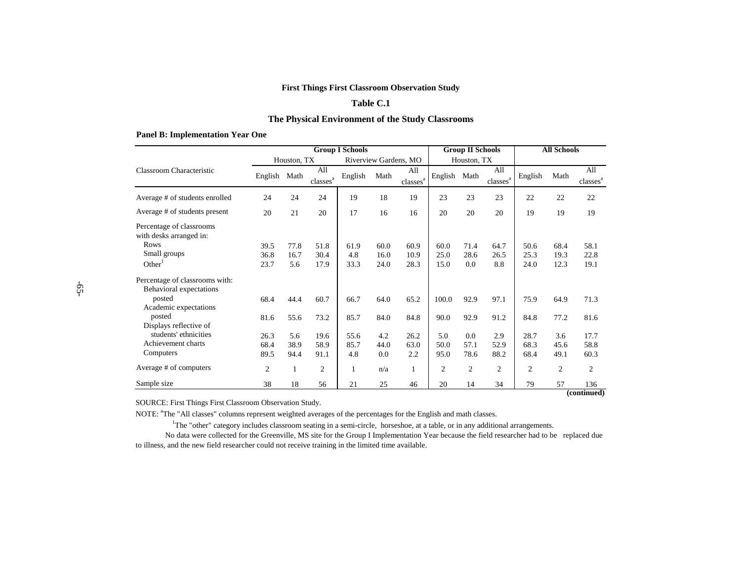# **The Physical Environment of the Study Classrooms Table C.1**

### **Panel B: Implementation Year One**

|                                                     |                |             |                                      | <b>Group I Schools</b> |      |                             |                | <b>Group II Schools</b> |                                            |                | <b>All Schools</b> |                             |
|-----------------------------------------------------|----------------|-------------|--------------------------------------|------------------------|------|-----------------------------|----------------|-------------------------|--------------------------------------------|----------------|--------------------|-----------------------------|
|                                                     |                | Houston, TX |                                      |                        |      | Riverview Gardens, MO       |                | Houston, TX             |                                            |                |                    |                             |
| Classroom Characteristic                            | English Math   |             | All<br>$\overline{\text{classes}}^a$ | English                | Math | All<br>classes <sup>a</sup> | English        | Math                    | All<br>$\mathop{{\text{classes}}}^{\rm a}$ | English        | Math               | All<br>classes <sup>a</sup> |
| Average # of students enrolled                      | 24             | 24          | 24                                   | 19                     | 18   | 19                          | 23             | 23                      | 23                                         | 22             | 22                 | 22                          |
| Average # of students present                       | 20             | 21          | 20                                   | 17                     | 16   | 16                          | 20             | 20                      | 20                                         | 19             | 19                 | 19                          |
| Percentage of classrooms<br>with desks arranged in: |                |             |                                      |                        |      |                             |                |                         |                                            |                |                    |                             |
| Rows                                                | 39.5           | 77.8        | 51.8                                 | 61.9                   | 60.0 | 60.9                        | 60.0           | 71.4                    | 64.7                                       | 50.6           | 68.4               | 58.1                        |
| Small groups                                        | 36.8           | 16.7        | 30.4                                 | 4.8                    | 16.0 | 10.9                        | 25.0           | 28.6                    | 26.5                                       | 25.3           | 19.3               | 22.8                        |
| Other <sup>1</sup>                                  | 23.7           | 5.6         | 17.9                                 | 33.3                   | 24.0 | 28.3                        | 15.0           | 0.0                     | 8.8                                        | 24.0           | 12.3               | 19.1                        |
| Percentage of classrooms with:                      |                |             |                                      |                        |      |                             |                |                         |                                            |                |                    |                             |
| Behavioral expectations                             |                |             |                                      |                        |      |                             |                |                         |                                            |                |                    |                             |
| posted                                              | 68.4           | 44.4        | 60.7                                 | 66.7                   | 64.0 | 65.2                        | 100.0          | 92.9                    | 97.1                                       | 75.9           | 64.9               | 71.3                        |
| Academic expectations                               |                |             |                                      |                        |      |                             |                |                         |                                            |                |                    |                             |
| posted                                              | 81.6           | 55.6        | 73.2                                 | 85.7                   | 84.0 | 84.8                        | 90.0           | 92.9                    | 91.2                                       | 84.8           | 77.2               | 81.6                        |
| Displays reflective of                              |                |             |                                      |                        |      |                             |                |                         |                                            |                |                    |                             |
| students' ethnicities                               | 26.3           | 5.6         | 19.6                                 | 55.6                   | 4.2  | 26.2                        | 5.0            | 0.0                     | 2.9                                        | 28.7           | 3.6                | 17.7                        |
| Achievement charts                                  | 68.4           | 38.9        | 58.9                                 | 85.7                   | 44.0 | 63.0                        | 50.0           | 57.1                    | 52.9                                       | 68.3           | 45.6               | 58.8                        |
| Computers                                           | 89.5           | 94.4        | 91.1                                 | 4.8                    | 0.0  | 2.2                         | 95.0           | 78.6                    | 88.2                                       | 68.4           | 49.1               | 60.3                        |
| Average # of computers                              | $\overline{2}$ |             | 2                                    | 1                      | n/a  | 1                           | $\overline{c}$ | $\overline{2}$          | $\overline{c}$                             | $\overline{2}$ | $\overline{2}$     | $\overline{2}$              |
| Sample size                                         | 38             | 18          | 56                                   | 21                     | 25   | 46                          | 20             | 14                      | 34                                         | 79             | 57                 | 136                         |
|                                                     |                |             |                                      |                        |      |                             |                |                         |                                            |                |                    | (continued)                 |

SOURCE: First Things First Classroom Observation Study.

NOTE: "The "All classes" columns represent weighted averages of the percentages for the English and math classes.

<sup>1</sup>The "other" category includes classroom seating in a semi-circle, horseshoe, at a table, or in any additional arrangements.

 No data were collected for the Greenville, MS site for the Group I Implementation Year because the field researcher had to be replaced due to illness, and the new field researcher could not receive training in the limited time available.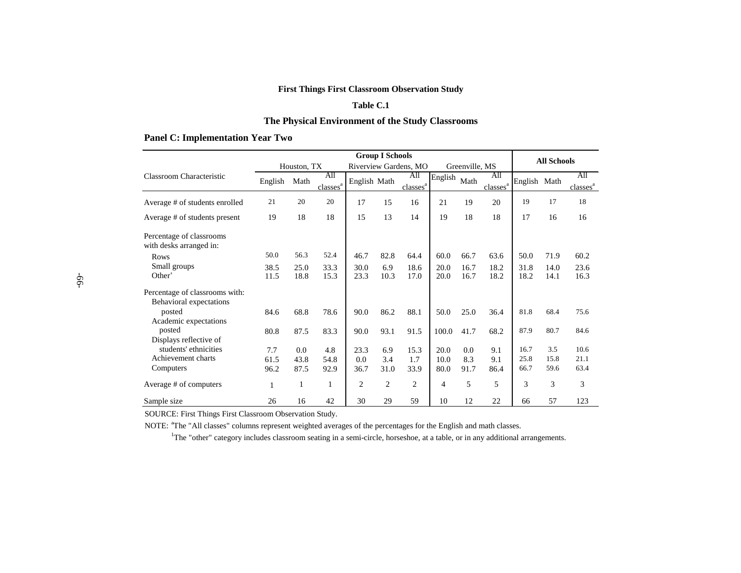# **Table C.1 The Physical Environment of the Study Classrooms**

# **Panel C: Implementation Year Two**

|                                                           |              |              |                             |              | <b>Group I Schools</b> |                             |              |                |                             |              |                    |                             |
|-----------------------------------------------------------|--------------|--------------|-----------------------------|--------------|------------------------|-----------------------------|--------------|----------------|-----------------------------|--------------|--------------------|-----------------------------|
|                                                           |              | Houston, TX  |                             |              |                        | Riverview Gardens, MO       |              | Greenville, MS |                             |              | <b>All Schools</b> |                             |
| Classroom Characteristic                                  | English      | Math         | All<br>classes <sup>a</sup> | English Math |                        | All<br>classes <sup>a</sup> | English      | Math           | All<br>classes <sup>a</sup> | English Math |                    | All<br>classes <sup>a</sup> |
| Average # of students enrolled                            | 21           | 20           | 20                          | 17           | 15                     | 16                          | 21           | 19             | 20                          | 19           | 17                 | 18                          |
| Average # of students present                             | 19           | 18           | 18                          | 15           | 13                     | 14                          | 19           | 18             | 18                          | 17           | 16                 | 16                          |
| Percentage of classrooms<br>with desks arranged in:       |              |              |                             |              |                        |                             |              |                |                             |              |                    |                             |
| Rows                                                      | 50.0         | 56.3         | 52.4                        | 46.7         | 82.8                   | 64.4                        | 60.0         | 66.7           | 63.6                        | 50.0         | 71.9               | 60.2                        |
| Small groups<br>Other <sup>1</sup>                        | 38.5<br>11.5 | 25.0<br>18.8 | 33.3<br>15.3                | 30.0<br>23.3 | 6.9<br>10.3            | 18.6<br>17.0                | 20.0<br>20.0 | 16.7<br>16.7   | 18.2<br>18.2                | 31.8<br>18.2 | 14.0<br>14.1       | 23.6<br>16.3                |
| Percentage of classrooms with:<br>Behavioral expectations |              |              |                             |              |                        |                             |              |                |                             |              |                    |                             |
| posted<br>Academic expectations                           | 84.6         | 68.8         | 78.6                        | 90.0         | 86.2                   | 88.1                        | 50.0         | 25.0           | 36.4                        | 81.8         | 68.4               | 75.6                        |
| posted<br>Displays reflective of                          | 80.8         | 87.5         | 83.3                        | 90.0         | 93.1                   | 91.5                        | 100.0        | 41.7           | 68.2                        | 87.9         | 80.7               | 84.6                        |
| students' ethnicities                                     | 7.7          | 0.0          | 4.8                         | 23.3         | 6.9                    | 15.3                        | 20.0         | 0.0            | 9.1                         | 16.7         | 3.5                | 10.6                        |
| Achievement charts                                        | 61.5         | 43.8         | 54.8                        | 0.0          | 3.4                    | 1.7                         | 10.0         | 8.3            | 9.1                         | 25.8         | 15.8               | 21.1                        |
| Computers                                                 | 96.2         | 87.5         | 92.9                        | 36.7         | 31.0                   | 33.9                        | 80.0         | 91.7           | 86.4                        | 66.7         | 59.6               | 63.4                        |
| Average # of computers                                    | 1            |              | 1                           | 2            | $\overline{2}$         | 2                           | 4            | 5              | 5                           | 3            | 3                  | 3                           |
| Sample size                                               | 26           | 16           | 42                          | 30           | 29                     | 59                          | 10           | 12             | 22                          | 66           | 57                 | 123                         |

SOURCE: First Things First Classroom Observation Study.

NOTE: <sup>a</sup>The "All classes" columns represent weighted averages of the percentages for the English and math classes.

<sup>1</sup>The "other" category includes classroom seating in a semi-circle, horseshoe, at a table, or in any additional arrangements.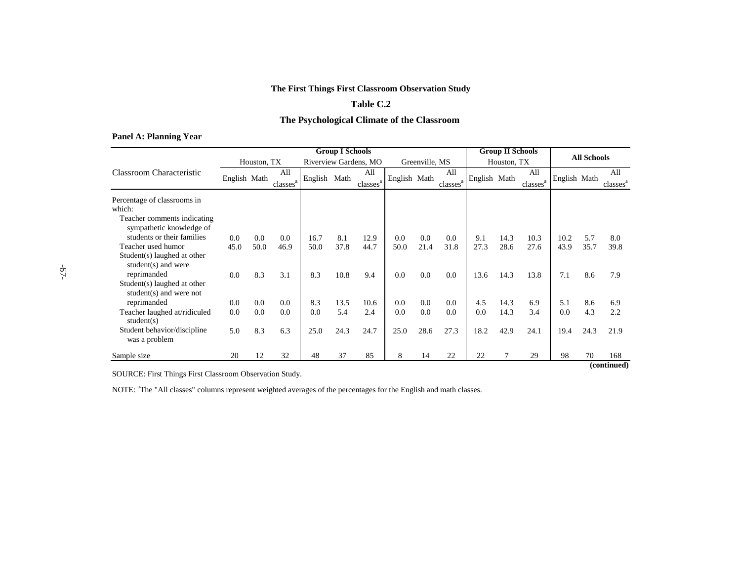#### **Table C.2**

# **The Psychological Climate of the Classroom**

# **Panel A: Planning Year**

|                                                                                                            |              |             |                             |              | <b>Group I Schools</b> |                             |              |                |                             |              | <b>Group II Schools</b> |                             |              |                    |                           |
|------------------------------------------------------------------------------------------------------------|--------------|-------------|-----------------------------|--------------|------------------------|-----------------------------|--------------|----------------|-----------------------------|--------------|-------------------------|-----------------------------|--------------|--------------------|---------------------------|
|                                                                                                            |              | Houston, TX |                             |              |                        | Riverview Gardens, MO       |              | Greenville, MS |                             |              | Houston, TX             |                             |              | <b>All Schools</b> |                           |
| Classroom Characteristic                                                                                   | English Math |             | All<br>classes <sup>a</sup> | English Math |                        | All<br>classes <sup>a</sup> | English Math |                | All<br>classes <sup>a</sup> | English Math |                         | All<br>classes <sup>a</sup> | English Math |                    | All<br>$\text{classes}^a$ |
| Percentage of classrooms in<br>which:<br>Teacher comments indicating<br>sympathetic knowledge of           |              |             |                             |              |                        |                             |              |                |                             |              |                         |                             |              |                    |                           |
| students or their families<br>Teacher used humor<br>Student(s) laughed at other<br>student( $s$ ) and were | 0.0<br>45.0  | 0.0<br>50.0 | 0.0<br>46.9                 | 16.7<br>50.0 | 8.1<br>37.8            | 12.9<br>44.7                | 0.0<br>50.0  | 0.0<br>21.4    | 0.0<br>31.8                 | 9.1<br>27.3  | 14.3<br>28.6            | 10.3<br>27.6                | 10.2<br>43.9 | 5.7<br>35.7        | 8.0<br>39.8               |
| reprimanded<br>Student(s) laughed at other<br>student(s) and were not                                      | 0.0          | 8.3         | 3.1                         | 8.3          | 10.8                   | 9.4                         | 0.0          | 0.0            | 0.0                         | 13.6         | 14.3                    | 13.8                        | 7.1          | 8.6<br>8.6         | 7.9                       |
| reprimanded<br>Teacher laughed at/ridiculed<br>student(s)                                                  | 0.0<br>0.0   | 0.0<br>0.0  | 0.0<br>0.0                  | 8.3<br>0.0   | 13.5<br>5.4            | 10.6<br>2.4                 | 0.0<br>0.0   | 0.0<br>0.0     | 0.0<br>0.0                  | 4.5<br>0.0   | 14.3<br>14.3            | 6.9<br>3.4                  | 5.1<br>0.0   | 4.3                | 6.9<br>2.2                |
| Student behavior/discipline<br>was a problem                                                               | 5.0          | 8.3         | 6.3                         | 25.0         | 24.3                   | 24.7                        | 25.0         | 28.6           | 27.3                        | 18.2         | 42.9                    | 24.1                        | 19.4         | 24.3               | 21.9                      |
| Sample size                                                                                                | 20           | 12          | 32                          | 48           | 37                     | 85                          | 8            | 14             | 22                          | 22           |                         | 29                          | 98           | 70                 | 168<br>(continued)        |

SOURCE: First Things First Classroom Observation Study.

NOTE: <sup>a</sup>The "All classes" columns represent weighted averages of the percentages for the English and math classes.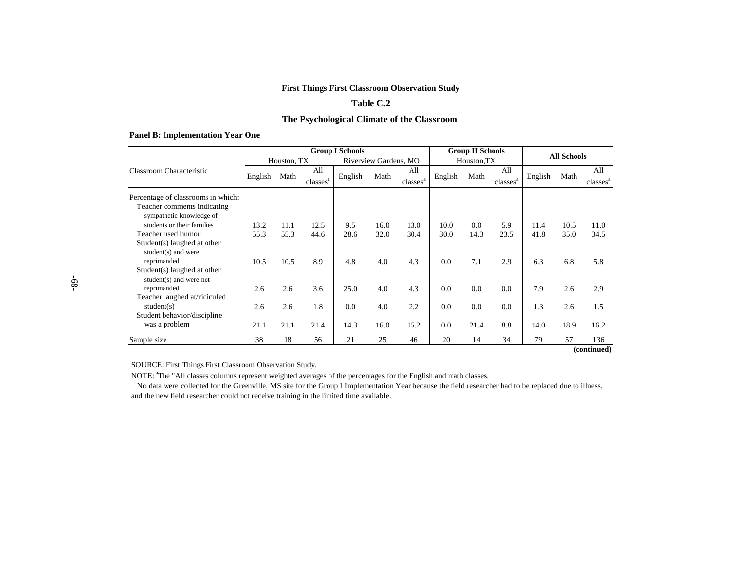#### **Table C.2**

### **The Psychological Climate of the Classroom**

### **Panel B: Implementation Year One**

|                                                                                                       |              |              |                             | <b>Group I Schools</b> |                       |                          |             | <b>Group II Schools</b> |                             |             | <b>All Schools</b> |                             |
|-------------------------------------------------------------------------------------------------------|--------------|--------------|-----------------------------|------------------------|-----------------------|--------------------------|-------------|-------------------------|-----------------------------|-------------|--------------------|-----------------------------|
|                                                                                                       |              | Houston, TX  |                             |                        | Riverview Gardens, MO |                          |             | Houston, TX             |                             |             |                    |                             |
| Classroom Characteristic                                                                              | English      | Math         | All<br>classes <sup>a</sup> | English                | Math                  | All<br>$\,$ classes $\,$ | English     | Math                    | All<br>classes <sup>a</sup> | English     | Math               | All<br>classes <sup>a</sup> |
| Percentage of classrooms in which:<br>Teacher comments indicating<br>sympathetic knowledge of         |              |              |                             |                        |                       |                          |             |                         |                             |             |                    |                             |
| students or their families                                                                            | 13.2         | 11.1         | 12.5                        | 9.5                    | 16.0                  | 13.0                     | 10.0        | 0.0                     | 5.9                         | 11.4        | 10.5               | 11.0                        |
| Teacher used humor<br>Student(s) laughed at other<br>student(s) and were<br>reprimanded               | 55.3<br>10.5 | 55.3<br>10.5 | 44.6<br>8.9                 | 28.6<br>4.8            | 32.0<br>4.0           | 30.4<br>4.3              | 30.0<br>0.0 | 14.3<br>7.1             | 23.5<br>2.9                 | 41.8<br>6.3 | 35.0<br>6.8        | 34.5<br>5.8                 |
| Student(s) laughed at other<br>student(s) and were not<br>reprimanded<br>Teacher laughed at/ridiculed | 2.6          | 2.6          | 3.6                         | 25.0                   | 4.0                   | 4.3                      | 0.0         | 0.0                     | 0.0                         | 7.9         | 2.6                | 2.9                         |
| student(s)<br>Student behavior/discipline                                                             | 2.6          | 2.6          | 1.8                         | 0.0                    | 4.0                   | 2.2                      | 0.0         | 0.0                     | 0.0                         | 1.3         | 2.6                | 1.5                         |
| was a problem                                                                                         | 21.1         | 21.1         | 21.4                        | 14.3                   | 16.0                  | 15.2                     | 0.0         | 21.4                    | 8.8                         | 14.0        | 18.9               | 16.2                        |
| Sample size                                                                                           | 38           | 18           | 56                          | 21                     | 25                    | 46                       | 20          | 14                      | 34                          | 79          | 57                 | 136                         |
|                                                                                                       |              |              |                             |                        |                       |                          |             |                         |                             |             |                    | (continued)                 |

SOURCE: First Things First Classroom Observation Study.

NOTE: <sup>a</sup>The "All classes columns represent weighted averages of the percentages for the English and math classes.

 No data were collected for the Greenville, MS site for the Group I Implementation Year because the field researcher had to be replaced due to illness, and the new field researcher could not receive training in the limited time available.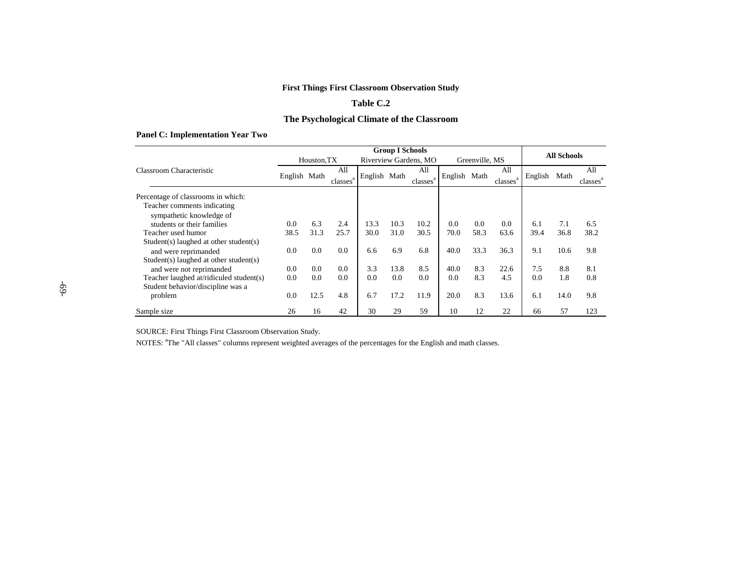#### **Table C.2**

# **The Psychological Climate of the Classroom**

# **Panel C: Implementation Year Two**

|                                             |              |             |                    |              | <b>Group I Schools</b> |                       |         |                |                      |         | <b>All Schools</b> |                      |
|---------------------------------------------|--------------|-------------|--------------------|--------------|------------------------|-----------------------|---------|----------------|----------------------|---------|--------------------|----------------------|
|                                             |              | Houston, TX |                    |              |                        | Riverview Gardens, MO |         | Greenville, MS |                      |         |                    |                      |
| Classroom Characteristic                    |              |             | All                |              |                        | All                   |         |                | All                  |         |                    | All                  |
|                                             | English Math |             | $\text{classes}^a$ | English Math |                        | classes <sup>a</sup>  | English | Math           | classes <sup>a</sup> | English | Math               | classes <sup>a</sup> |
| Percentage of classrooms in which:          |              |             |                    |              |                        |                       |         |                |                      |         |                    |                      |
| Teacher comments indicating                 |              |             |                    |              |                        |                       |         |                |                      |         |                    |                      |
| sympathetic knowledge of                    |              |             |                    |              |                        |                       |         |                |                      |         |                    |                      |
| students or their families                  | 0.0          | 6.3         | 2.4                | 13.3         | 10.3                   | 10.2                  | 0.0     | 0.0            | 0.0                  | 6.1     | 7.1                | 6.5                  |
| Teacher used humor                          | 38.5         | 31.3        | 25.7               | 30.0         | 31.0                   | 30.5                  | 70.0    | 58.3           | 63.6                 | 39.4    | 36.8               | 38.2                 |
| $Student(s)$ laughed at other student $(s)$ |              |             |                    |              |                        |                       |         |                |                      |         |                    |                      |
| and were reprimanded                        | 0.0          | 0.0         | 0.0                | 6.6          | 6.9                    | 6.8                   | 40.0    | 33.3           | 36.3                 | 9.1     | 10.6               | 9.8                  |
| Student(s) laughed at other student(s)      |              |             |                    |              |                        |                       |         |                |                      |         |                    |                      |
| and were not reprimanded                    | 0.0          | 0.0         | 0.0                | 3.3          | 13.8                   | 8.5                   | 40.0    | 8.3            | 22.6                 | 7.5     | 8.8                | 8.1                  |
| Teacher laughed at/ridiculed student(s)     | 0.0          | 0.0         | 0.0                | 0.0          | 0.0                    | 0.0                   | 0.0     | 8.3            | 4.5                  | 0.0     | 1.8                | 0.8                  |
| Student behavior/discipline was a           |              |             |                    |              |                        |                       |         |                |                      |         |                    |                      |
| problem                                     | 0.0          | 12.5        | 4.8                | 6.7          | 17.2                   | 11.9                  | 20.0    | 8.3            | 13.6                 | 6.1     | 14.0               | 9.8                  |
| Sample size                                 | 26           | 16          | 42                 | 30           | 29                     | 59                    | 10      | 12             | 22                   | 66      | 57                 | 123                  |

SOURCE: First Things First Classroom Observation Study.

NOTES: "The "All classes" columns represent weighted averages of the percentages for the English and math classes.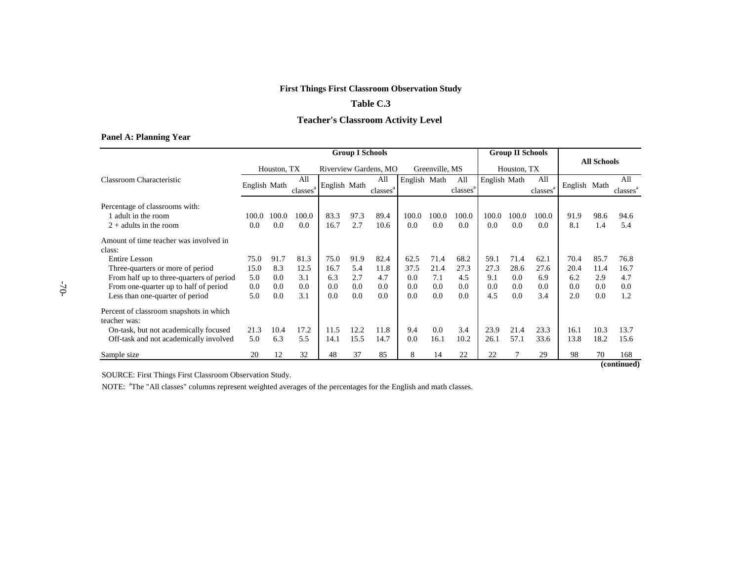# **Table C.3**

# **Teacher's Classroom Activity Level**

# **Panel A: Planning Year**

|                                                                                 |              |              |                             |              | <b>Group I Schools</b> |                             |              |                |                             |              | <b>Group II Schools</b> |                                  |              |                    |                             |
|---------------------------------------------------------------------------------|--------------|--------------|-----------------------------|--------------|------------------------|-----------------------------|--------------|----------------|-----------------------------|--------------|-------------------------|----------------------------------|--------------|--------------------|-----------------------------|
|                                                                                 |              | Houston, TX  |                             |              |                        | Riverview Gardens, MO       |              | Greenville, MS |                             |              | Houston, TX             |                                  |              | <b>All Schools</b> |                             |
| Classroom Characteristic                                                        | English Math |              | All<br>classes <sup>a</sup> | English Math |                        | All<br>classes <sup>a</sup> | English Math |                | All<br>classes <sup>a</sup> | English Math |                         | All<br>$\,$ classes $\,^{\rm a}$ | English Math |                    | All<br>classes <sup>a</sup> |
| Percentage of classrooms with:<br>adult in the room<br>$2 +$ adults in the room | 100.0<br>0.0 | 100.0<br>0.0 | 100.0<br>0.0                | 83.3<br>16.7 | 97.3<br>2.7            | 89.4<br>10.6                | 100.0<br>0.0 | 100.0<br>0.0   | 100.0<br>0.0                | 100.0<br>0.0 | 100.0<br>0.0            | 100.0<br>0.0                     | 91.9<br>8.1  | 98.6<br>1.4        | 94.6<br>5.4                 |
| Amount of time teacher was involved in<br>class:                                |              |              |                             |              |                        |                             |              |                |                             |              |                         |                                  |              |                    |                             |
| <b>Entire Lesson</b>                                                            | 75.0         | 91.7         | 81.3                        | 75.0         | 91.9                   | 82.4                        | 62.5         | 71.4           | 68.2                        | 59.1         | 71.4                    | 62.1                             | 70.4         | 85.7               | 76.8                        |
| Three-quarters or more of period                                                | 15.0         | 8.3          | 12.5                        | 16.7         | 5.4                    | 11.8                        | 37.5         | 21.4           | 27.3                        | 27.3         | 28.6                    | 27.6                             | 20.4         | 11.4               | 16.7                        |
| From half up to three-quarters of period                                        | 5.0          | 0.0<br>0.0   | 3.1<br>0.0                  | 6.3          | 2.7                    | 4.7<br>0.0                  | 0.0<br>0.0   | 7.1<br>0.0     | 4.5<br>0.0                  | 9.1          | 0.0                     | 6.9<br>0.0                       | 6.2          | 2.9                | 4.7                         |
| From one-quarter up to half of period<br>Less than one-quarter of period        | 0.0<br>5.0   | 0.0          | 3.1                         | 0.0<br>0.0   | 0.0<br>0.0             | 0.0                         | 0.0          | 0.0            | 0.0                         | 0.0<br>4.5   | 0.0<br>0.0              | 3.4                              | 0.0<br>2.0   | 0.0<br>0.0         | 0.0<br>1.2                  |
| Percent of classroom snapshots in which<br>teacher was:                         |              |              |                             |              |                        |                             |              |                |                             |              |                         |                                  |              |                    |                             |
| On-task, but not academically focused                                           | 21.3         | 10.4         | 17.2                        | 11.5         | 12.2                   | 11.8                        | 9.4          | 0.0            | 3.4                         | 23.9         | 21.4                    | 23.3                             | 16.1         | 10.3               | 13.7                        |
| Off-task and not academically involved                                          | 5.0          | 6.3          | 5.5                         | 14.1         | 15.5                   | 14.7                        | 0.0          | 16.1           | 10.2                        | 26.1         | 57.1                    | 33.6                             | 13.8         | 18.2               | 15.6                        |
| Sample size                                                                     | 20           | 12           | 32                          | 48           | 37                     | 85                          | 8            | 14             | 22                          | 22           | 7                       | 29                               | 98           | 70                 | 168                         |
|                                                                                 |              |              |                             |              |                        |                             |              |                |                             |              |                         |                                  |              |                    | (continued)                 |

SOURCE: First Things First Classroom Observation Study.

NOTE: <sup>a</sup>The "All classes" columns represent weighted averages of the percentages for the English and math classes.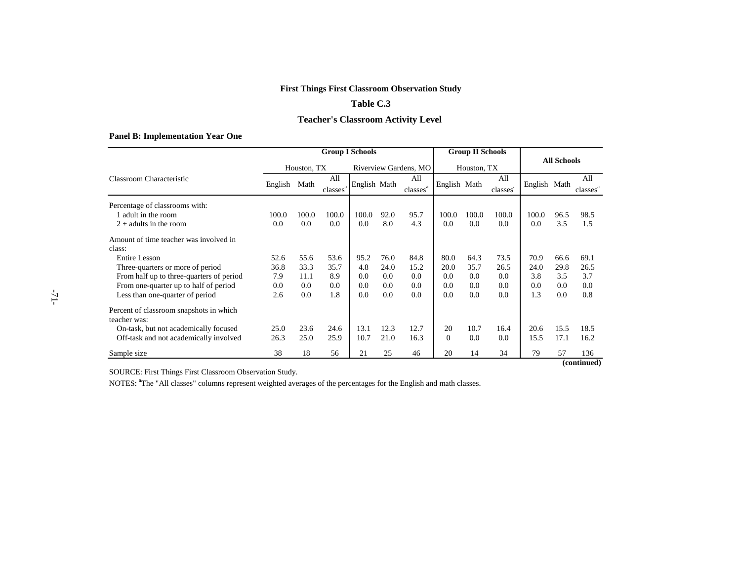# **Table C.3**

# **Teacher's Classroom Activity Level**

## **Panel B: Implementation Year One**

|                                                         |         |             | <b>Group I Schools</b>      |              |      |                             |              | <b>Group II Schools</b> |                             |              |                    |                             |
|---------------------------------------------------------|---------|-------------|-----------------------------|--------------|------|-----------------------------|--------------|-------------------------|-----------------------------|--------------|--------------------|-----------------------------|
|                                                         |         | Houston, TX |                             |              |      | Riverview Gardens, MO       |              | Houston, TX             |                             |              | <b>All Schools</b> |                             |
| Classroom Characteristic                                | English | Math        | All<br>classes <sup>a</sup> | English Math |      | All<br>$\mathbf{classes}^a$ | English Math |                         | All<br>$\mathbf{classes}^a$ | English Math |                    | All<br>classes <sup>a</sup> |
| Percentage of classrooms with:                          |         |             |                             |              |      |                             |              |                         |                             |              |                    |                             |
| 1 adult in the room                                     | 100.0   | 100.0       | 100.0                       | 100.0        | 92.0 | 95.7                        | 100.0        | 100.0                   | 100.0                       | 100.0        | 96.5               | 98.5                        |
| $2 +$ adults in the room                                | 0.0     | 0.0         | 0.0                         | 0.0          | 8.0  | 4.3                         | 0.0          | 0.0                     | 0.0                         | 0.0          | 3.5                | 1.5                         |
| Amount of time teacher was involved in<br>class:        |         |             |                             |              |      |                             |              |                         |                             |              |                    |                             |
| Entire Lesson                                           | 52.6    | 55.6        | 53.6                        | 95.2         | 76.0 | 84.8                        | 80.0         | 64.3                    | 73.5                        | 70.9         | 66.6               | 69.1                        |
| Three-quarters or more of period                        | 36.8    | 33.3        | 35.7                        | 4.8          | 24.0 | 15.2                        | 20.0         | 35.7                    | 26.5                        | 24.0         | 29.8               | 26.5                        |
| From half up to three-quarters of period                | 7.9     | 11.1        | 8.9                         | 0.0          | 0.0  | 0.0                         | 0.0          | 0.0                     | 0.0                         | 3.8          | 3.5                | 3.7                         |
| From one-quarter up to half of period                   | 0.0     | 0.0         | 0.0                         | 0.0          | 0.0  | 0.0                         | 0.0          | 0.0                     | 0.0                         | 0.0          | 0.0                | 0.0                         |
| Less than one-quarter of period                         | 2.6     | 0.0         | 1.8                         | 0.0          | 0.0  | 0.0                         | 0.0          | 0.0                     | 0.0                         | 1.3          | 0.0                | 0.8                         |
| Percent of classroom snapshots in which<br>teacher was: |         |             |                             |              |      |                             |              |                         |                             |              |                    |                             |
| On-task, but not academically focused                   | 25.0    | 23.6        | 24.6                        | 13.1         | 12.3 | 12.7                        | 20           | 10.7                    | 16.4                        | 20.6         | 15.5               | 18.5                        |
| Off-task and not academically involved                  | 26.3    | 25.0        | 25.9                        | 10.7         | 21.0 | 16.3                        | $\Omega$     | 0.0                     | 0.0                         | 15.5         | 17.1               | 16.2                        |
| Sample size                                             | 38      | 18          | 56                          | 21           | 25   | 46                          | 20           | 14                      | 34                          | 79           | 57                 | 136                         |

SOURCE: First Things First Classroom Observation Study.

NOTES: <sup>a</sup>The "All classes" columns represent weighted averages of the percentages for the English and math classes.

**(continued)**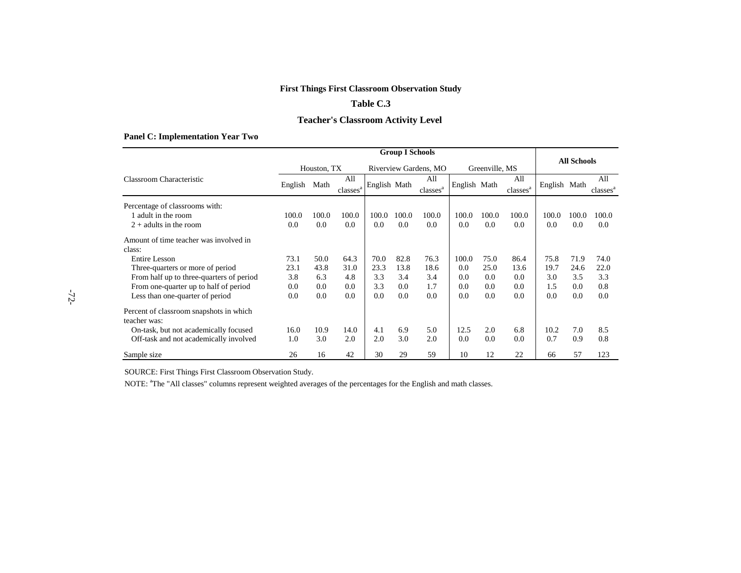#### **Table C.3**

# **Teacher's Classroom Activity Level**

**Panel C: Implementation Year Two**

|                                          |         |             |                             |              | <b>Group I Schools</b> |                           |              |                |                             |              |                    |                           |
|------------------------------------------|---------|-------------|-----------------------------|--------------|------------------------|---------------------------|--------------|----------------|-----------------------------|--------------|--------------------|---------------------------|
|                                          |         | Houston, TX |                             |              |                        | Riverview Gardens, MO     |              | Greenville, MS |                             |              | <b>All Schools</b> |                           |
| Classroom Characteristic                 | English | Math        | All<br>classes <sup>a</sup> | English Math |                        | All<br>$\text{classes}^a$ | English Math |                | All<br>$\mathbf{classes}^a$ | English Math |                    | All<br>$\text{classes}^a$ |
| Percentage of classrooms with:           |         |             |                             |              |                        |                           |              |                |                             |              |                    |                           |
| 1 adult in the room                      | 100.0   | 100.0       | 100.0                       | 100.0        | 100.0                  | 100.0                     | 100.0        | 100.0          | 100.0                       | 100.0        | 100.0              | 100.0                     |
| $2 +$ adults in the room                 | 0.0     | 0.0         | 0.0                         | 0.0          | 0.0                    | 0.0                       | 0.0          | 0.0            | 0.0                         | 0.0          | 0.0                | 0.0                       |
| Amount of time teacher was involved in   |         |             |                             |              |                        |                           |              |                |                             |              |                    |                           |
| class:                                   |         |             |                             |              |                        |                           |              |                |                             |              |                    |                           |
| <b>Entire Lesson</b>                     | 73.1    | 50.0        | 64.3                        | 70.0         | 82.8                   | 76.3                      | 100.0        | 75.0           | 86.4                        | 75.8         | 71.9               | 74.0                      |
| Three-quarters or more of period         | 23.1    | 43.8        | 31.0                        | 23.3         | 13.8                   | 18.6                      | 0.0          | 25.0           | 13.6                        | 19.7         | 24.6               | 22.0                      |
| From half up to three-quarters of period | 3.8     | 6.3         | 4.8                         | 3.3          | 3.4                    | 3.4                       | 0.0          | 0.0            | 0.0                         | 3.0          | 3.5                | 3.3                       |
| From one-quarter up to half of period    | 0.0     | 0.0         | 0.0                         | 3.3          | 0.0                    | 1.7                       | 0.0          | 0.0            | 0.0                         | 1.5          | 0.0                | 0.8                       |
| Less than one-quarter of period          | 0.0     | 0.0         | 0.0                         | 0.0          | 0.0                    | 0.0                       | 0.0          | 0.0            | 0.0                         | 0.0          | 0.0                | 0.0                       |
| Percent of classroom snapshots in which  |         |             |                             |              |                        |                           |              |                |                             |              |                    |                           |
| teacher was:                             |         |             |                             |              |                        |                           |              |                |                             |              |                    |                           |
| On-task, but not academically focused    | 16.0    | 10.9        | 14.0                        | 4.1          | 6.9                    | 5.0                       | 12.5         | 2.0            | 6.8                         | 10.2         | 7.0                | 8.5                       |
| Off-task and not academically involved   | 1.0     | 3.0         | 2.0                         | 2.0          | 3.0                    | 2.0                       | 0.0          | 0.0            | 0.0                         | 0.7          | 0.9                | 0.8                       |
| Sample size                              | 26      | 16          | 42                          | 30           | 29                     | 59                        | 10           | 12             | 22                          | 66           | 57                 | 123                       |

SOURCE: First Things First Classroom Observation Study.

NOTE: "The "All classes" columns represent weighted averages of the percentages for the English and math classes.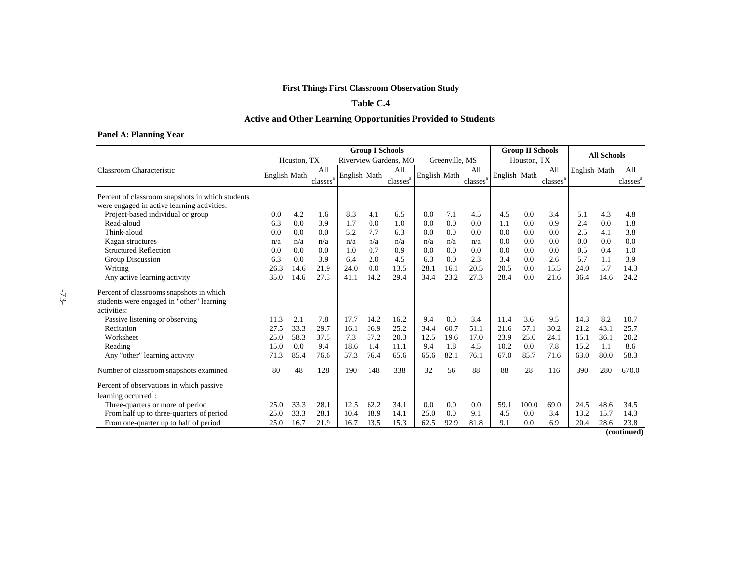#### **Table C.4**

# **Active and Other Learning Opportunities Provided to Students**

# **Panel A: Planning Year**

|                                                  |              |             |         |              | <b>Group I Schools</b> |                       |              |                |         |              | <b>Group II Schools</b> |                      |              |                    |                    |
|--------------------------------------------------|--------------|-------------|---------|--------------|------------------------|-----------------------|--------------|----------------|---------|--------------|-------------------------|----------------------|--------------|--------------------|--------------------|
|                                                  |              | Houston, TX |         |              |                        | Riverview Gardens, MO |              | Greenville, MS |         |              | Houston, TX             |                      |              | <b>All Schools</b> |                    |
| Classroom Characteristic                         | English Math |             | All     | English Math |                        | All                   | English Math |                | All     | English Math |                         | All                  | English Math |                    | All                |
|                                                  |              |             | classes |              |                        | $\text{classes}^a$    |              |                | classes |              |                         | classes <sup>a</sup> |              |                    | $\text{classes}^a$ |
| Percent of classroom snapshots in which students |              |             |         |              |                        |                       |              |                |         |              |                         |                      |              |                    |                    |
| were engaged in active learning activities:      |              |             |         |              |                        |                       |              |                |         |              |                         |                      |              |                    |                    |
| Project-based individual or group                | 0.0          | 4.2         | 1.6     | 8.3          | 4.1                    | 6.5                   | 0.0          | 7.1            | 4.5     | 4.5          | 0.0                     | 3.4                  | 5.1          | 4.3                | 4.8                |
| Read-aloud                                       | 6.3          | 0.0         | 3.9     | 1.7          | 0.0                    | 1.0                   | 0.0          | 0.0            | 0.0     | 1.1          | 0.0                     | 0.9                  | 2.4          | 0.0                | 1.8                |
| Think-aloud                                      | 0.0          | 0.0         | 0.0     | 5.2          | 7.7                    | 6.3                   | 0.0          | 0.0            | 0.0     | 0.0          | 0.0                     | 0.0                  | 2.5          | 4.1                | 3.8                |
| Kagan structures                                 | n/a          | n/a         | n/a     | n/a          | n/a                    | n/a                   | n/a          | n/a            | n/a     | 0.0          | 0.0                     | 0.0                  | 0.0          | 0.0                | 0.0                |
| <b>Structured Reflection</b>                     | 0.0          | 0.0         | 0.0     | 1.0          | 0.7                    | 0.9                   | 0.0          | 0.0            | 0.0     | 0.0          | 0.0                     | 0.0                  | 0.5          | 0.4                | 1.0                |
| Group Discussion                                 | 6.3          | 0.0         | 3.9     | 6.4          | 2.0                    | 4.5                   | 6.3          | 0.0            | 2.3     | 3.4          | 0.0                     | 2.6                  | 5.7          | 1.1                | 3.9                |
| Writing                                          | 26.3         | 14.6        | 21.9    | 24.0         | 0.0                    | 13.5                  | 28.1         | 16.1           | 20.5    | 20.5         | 0.0                     | 15.5                 | 24.0         | 5.7                | 14.3               |
| Any active learning activity                     | 35.0         | 14.6        | 27.3    | 41.1         | 14.2                   | 29.4                  | 34.4         | 23.2           | 27.3    | 28.4         | 0.0                     | 21.6                 | 36.4         | 14.6               | 24.2               |
| Percent of classrooms snapshots in which         |              |             |         |              |                        |                       |              |                |         |              |                         |                      |              |                    |                    |
| students were engaged in "other" learning        |              |             |         |              |                        |                       |              |                |         |              |                         |                      |              |                    |                    |
| activities:                                      |              |             |         |              |                        |                       |              |                |         |              |                         |                      |              |                    |                    |
| Passive listening or observing                   | 11.3         | 2.1         | 7.8     | 17.7         | 14.2                   | 16.2                  | 9.4          | 0.0            | 3.4     | 11.4         | 3.6                     | 9.5                  | 14.3         | 8.2                | 10.7               |
| Recitation                                       | 27.5         | 33.3        | 29.7    | 16.1         | 36.9                   | 25.2                  | 34.4         | 60.7           | 51.1    | 21.6         | 57.1                    | 30.2                 | 21.2         | 43.1               | 25.7               |
| Worksheet                                        | 25.0         | 58.3        | 37.5    | 7.3          | 37.2                   | 20.3                  | 12.5         | 19.6           | 17.0    | 23.9         | 25.0                    | 24.1                 | 15.1         | 36.1               | 20.2               |
| Reading                                          | 15.0         | 0.0         | 9.4     | 18.6         | 1.4                    | 11.1                  | 9.4          | 1.8            | 4.5     | 10.2         | 0.0                     | 7.8                  | 15.2         | 1.1                | 8.6                |
| Any "other" learning activity                    | 71.3         | 85.4        | 76.6    | 57.3         | 76.4                   | 65.6                  | 65.6         | 82.1           | 76.1    | 67.0         | 85.7                    | 71.6                 | 63.0         | 80.0               | 58.3               |
| Number of classroom snapshots examined           | 80           | 48          | 128     | 190          | 148                    | 338                   | 32           | 56             | 88      | 88           | 28                      | 116                  | 390          | 280                | 670.0              |
| Percent of observations in which passive         |              |             |         |              |                        |                       |              |                |         |              |                         |                      |              |                    |                    |
| learning occurred <sup>1</sup> :                 |              |             |         |              |                        |                       |              |                |         |              |                         |                      |              |                    |                    |
| Three-quarters or more of period                 | 25.0         | 33.3        | 28.1    | 12.5         | 62.2                   | 34.1                  | 0.0          | 0.0            | 0.0     | 59.1         | 100.0                   | 69.0                 | 24.5         | 48.6               | 34.5               |
| From half up to three-quarters of period         | 25.0         | 33.3        | 28.1    | 10.4         | 18.9                   | 14.1                  | 25.0         | 0.0            | 9.1     | 4.5          | 0.0                     | 3.4                  | 13.2         | 15.7               | 14.3               |
| From one-quarter up to half of period            | 25.0         | 16.7        | 21.9    | 16.7         | 13.5                   | 15.3                  | 62.5         | 92.9           | 81.8    | 9.1          | 0.0                     | 6.9                  | 20.4         | 28.6               | 23.8               |
|                                                  |              |             |         |              |                        |                       |              |                |         |              |                         |                      |              |                    | (continued)        |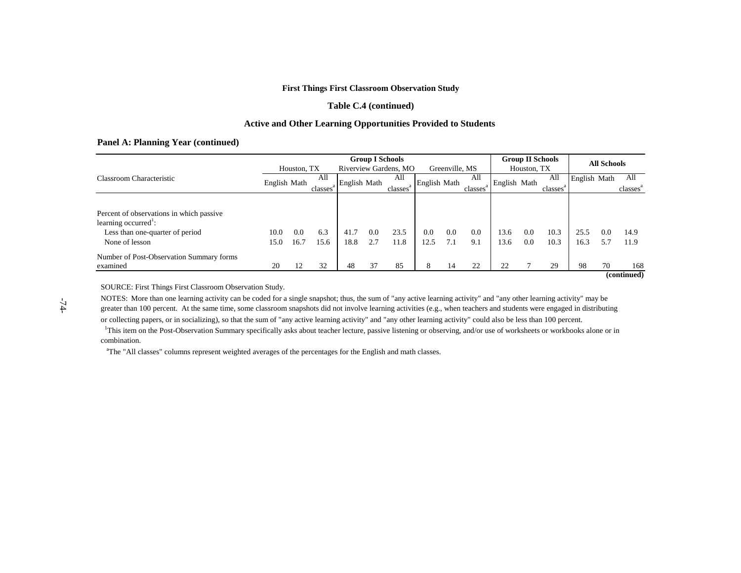#### **Table C.4 (continued)**

### **Active and Other Learning Opportunities Provided to Students**

### **Panel A: Planning Year (continued)**

|                                          |              |             |         |              | <b>Group I Schools</b> |                       |              |                |         |              | <b>Group II Schools</b> |                      |              | <b>All Schools</b> |                      |
|------------------------------------------|--------------|-------------|---------|--------------|------------------------|-----------------------|--------------|----------------|---------|--------------|-------------------------|----------------------|--------------|--------------------|----------------------|
|                                          |              | Houston, TX |         |              |                        | Riverview Gardens, MO |              | Greenville, MS |         |              | Houston, TX             |                      |              |                    |                      |
| Classroom Characteristic                 | English Math |             | All     |              |                        | All                   |              |                | All     |              |                         | All                  | English Math |                    | All                  |
|                                          |              |             | classes | English Math |                        | classes               | English Math |                | classes | English Math |                         | classes <sup>®</sup> |              |                    | classes <sup>a</sup> |
|                                          |              |             |         |              |                        |                       |              |                |         |              |                         |                      |              |                    |                      |
| Percent of observations in which passive |              |             |         |              |                        |                       |              |                |         |              |                         |                      |              |                    |                      |
| learning occurred <sup>1</sup> :         |              |             |         |              |                        |                       |              |                |         |              |                         |                      |              |                    |                      |
| Less than one-quarter of period          | 10.0         | 0.0         | 6.3     | 41.7         | 0.0                    | 23.5                  | 0.0          | 0.0            | 0.0     | 13.6         | 0.0                     | 10.3                 | 25.5         | 0.0                | 14.9                 |
| None of lesson                           | 15.0         | 16.7        | 15.6    | 18.8         | 2.7                    | 11.8                  | 12.5         | 7.1            | 9.1     | 13.6         | 0.0                     | 10.3                 | 16.3         | 5.7                | 11.9                 |
| Number of Post-Observation Summary forms |              |             |         |              |                        |                       |              |                |         |              |                         |                      |              |                    |                      |
| examined                                 | 20           | 12          | 32      | 48           | 37                     | 85                    | 8            | 14             | 22      | 22           |                         | 29                   | 98           | 70                 | 168                  |
|                                          |              |             |         |              |                        |                       |              |                |         |              |                         |                      |              |                    | (continued)          |

SOURCE: First Things First Classroom Observation Study.

NOTES: More than one learning activity can be coded for a single snapshot; thus, the sum of "any active learning activity" and "any other learning activity" may be greater than 100 percent. At the same time, some classroom snapshots did not involve learning activities (e.g., when teachers and students were engaged in distributing or collecting papers, or in socializing), so that the sum of "any active learning activity" and "any other learning activity" could also be less than 100 percent.

<sup>1</sup>This item on the Post-Observation Summary specifically asks about teacher lecture, passive listening or observing, and/or use of worksheets or workbooks alone or in combination.

<sup>a</sup>The "All classes" columns represent weighted averages of the percentages for the English and math classes.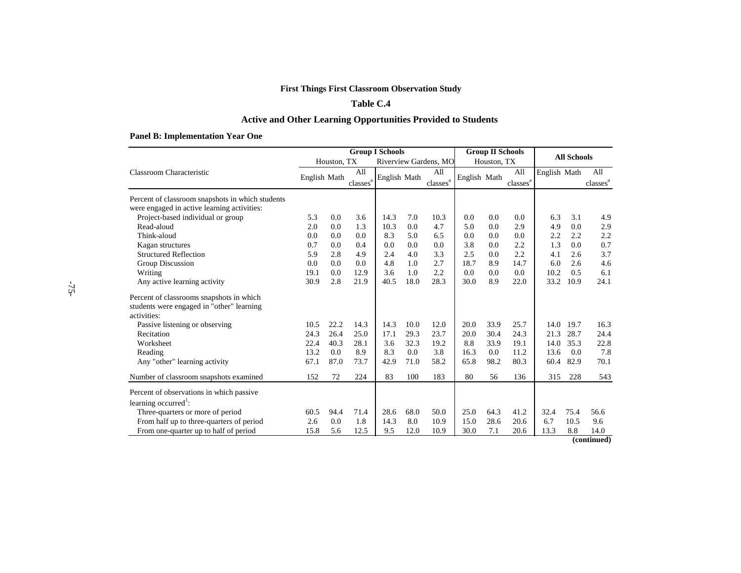#### **Table C.4**

# **Active and Other Learning Opportunities Provided to Students**

# **Panel B: Implementation Year One**

|                                                                                                                                      |                                      |                                     |                                     | <b>Group I Schools</b>             |                                     |                                     |                                     | <b>Group II Schools</b>             |                                      |                                      | <b>All Schools</b>                  |                                     |
|--------------------------------------------------------------------------------------------------------------------------------------|--------------------------------------|-------------------------------------|-------------------------------------|------------------------------------|-------------------------------------|-------------------------------------|-------------------------------------|-------------------------------------|--------------------------------------|--------------------------------------|-------------------------------------|-------------------------------------|
|                                                                                                                                      |                                      | Houston, TX                         |                                     |                                    |                                     | Riverview Gardens, MO               |                                     | Houston, TX                         |                                      |                                      |                                     |                                     |
| Classroom Characteristic                                                                                                             | English Math                         |                                     | All<br>$\text{classes}^a$           | English Math                       |                                     | All<br>classes <sup>a</sup>         | English Math                        |                                     | All<br>classes <sup>a</sup>          | English Math                         |                                     | All<br>classes <sup>a</sup>         |
| Percent of classroom snapshots in which students<br>were engaged in active learning activities:<br>Project-based individual or group | 5.3                                  | 0.0                                 | 3.6                                 | 14.3                               | 7.0                                 | 10.3                                | 0.0                                 | 0.0                                 | 0.0                                  | 6.3                                  | 3.1                                 | 4.9                                 |
| Read-aloud<br>Think-aloud<br>Kagan structures                                                                                        | 2.0<br>0.0<br>0.7                    | 0.0<br>0.0<br>0.0                   | 1.3<br>0.0<br>0.4                   | 10.3<br>8.3<br>0.0                 | 0.0<br>5.0<br>0.0                   | 4.7<br>6.5<br>0.0                   | 5.0<br>0.0<br>3.8                   | 0.0<br>0.0<br>0.0                   | 2.9<br>0.0<br>2.2                    | 4.9<br>2.2<br>1.3                    | 0.0<br>2.2<br>0.0                   | 2.9<br>2.2<br>0.7                   |
| <b>Structured Reflection</b><br>Group Discussion<br>Writing<br>Any active learning activity                                          | 5.9<br>0.0<br>19.1<br>30.9           | 2.8<br>0.0<br>0.0<br>2.8            | 4.9<br>0.0<br>12.9<br>21.9          | 2.4<br>4.8<br>3.6<br>40.5          | 4.0<br>1.0<br>1.0<br>18.0           | 3.3<br>2.7<br>2.2<br>28.3           | 2.5<br>18.7<br>0.0<br>30.0          | 0.0<br>8.9<br>0.0<br>8.9            | 2.2<br>14.7<br>0.0<br>22.0           | 4.1<br>6.0<br>10.2<br>33.2           | 2.6<br>2.6<br>0.5<br>10.9           | 3.7<br>4.6<br>6.1<br>24.1           |
| Percent of classrooms snapshots in which<br>students were engaged in "other" learning<br>activities:                                 |                                      |                                     |                                     |                                    |                                     |                                     |                                     |                                     |                                      |                                      |                                     |                                     |
| Passive listening or observing<br>Recitation<br>Worksheet<br>Reading<br>Any "other" learning activity                                | 10.5<br>24.3<br>22.4<br>13.2<br>67.1 | 22.2<br>26.4<br>40.3<br>0.0<br>87.0 | 14.3<br>25.0<br>28.1<br>8.9<br>73.7 | 14.3<br>17.1<br>3.6<br>8.3<br>42.9 | 10.0<br>29.3<br>32.3<br>0.0<br>71.0 | 12.0<br>23.7<br>19.2<br>3.8<br>58.2 | 20.0<br>20.0<br>8.8<br>16.3<br>65.8 | 33.9<br>30.4<br>33.9<br>0.0<br>98.2 | 25.7<br>24.3<br>19.1<br>11.2<br>80.3 | 14.0<br>21.3<br>14.0<br>13.6<br>60.4 | 19.7<br>28.7<br>35.3<br>0.0<br>82.9 | 16.3<br>24.4<br>22.8<br>7.8<br>70.1 |
| Number of classroom snapshots examined                                                                                               | 152                                  | 72                                  | 224                                 | 83                                 | 100                                 | 183                                 | 80                                  | 56                                  | 136                                  | 315                                  | 228                                 | 543                                 |
| Percent of observations in which passive<br>learning occurred <sup>1</sup> :                                                         |                                      |                                     |                                     |                                    |                                     |                                     |                                     |                                     |                                      |                                      |                                     |                                     |
| Three-quarters or more of period<br>From half up to three-quarters of period<br>From one-quarter up to half of period                | 60.5<br>2.6<br>15.8                  | 94.4<br>0.0<br>5.6                  | 71.4<br>1.8<br>12.5                 | 28.6<br>14.3<br>9.5                | 68.0<br>8.0<br>12.0                 | 50.0<br>10.9<br>10.9                | 25.0<br>15.0<br>30.0                | 64.3<br>28.6<br>7.1                 | 41.2<br>20.6<br>20.6                 | 32.4<br>6.7<br>13.3                  | 75.4<br>10.5<br>8.8                 | 56.6<br>9.6<br>14.0                 |
|                                                                                                                                      |                                      |                                     |                                     |                                    |                                     |                                     |                                     |                                     |                                      |                                      |                                     | (continued)                         |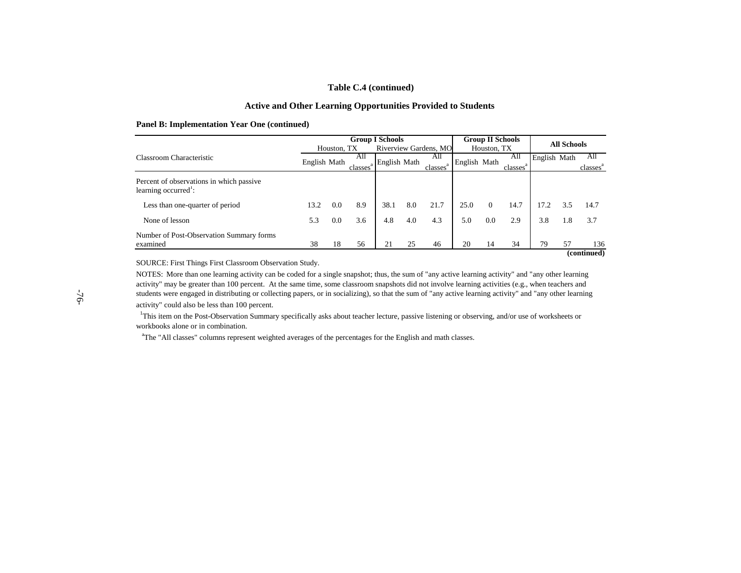#### **Table C.4 (continued)**

### **Active and Other Learning Opportunities Provided to Students**

#### **Panel B: Implementation Year One (continued)**

|                                                                              |              |             |                      | <b>Group I Schools</b> |     |                       |              | <b>Group II Schools</b> |                      |              | <b>All Schools</b> |                      |
|------------------------------------------------------------------------------|--------------|-------------|----------------------|------------------------|-----|-----------------------|--------------|-------------------------|----------------------|--------------|--------------------|----------------------|
|                                                                              |              | Houston, TX |                      |                        |     | Riverview Gardens, MO |              | Houston, TX             |                      |              |                    |                      |
| Classroom Characteristic                                                     | English Math |             | All                  | English Math           |     | All                   |              |                         | All                  | English Math |                    | All                  |
|                                                                              |              |             | classes <sup>a</sup> |                        |     | classes <sup>a</sup>  | English Math |                         | classes <sup>a</sup> |              |                    | classes <sup>a</sup> |
| Percent of observations in which passive<br>learning occurred <sup>1</sup> : |              |             |                      |                        |     |                       |              |                         |                      |              |                    |                      |
| Less than one-quarter of period                                              | 13.2         | 0.0         | 8.9                  | 38.1                   | 8.0 | 21.7                  | 25.0         | $\Omega$                | 14.7                 | 17.2         | 3.5                | 14.7                 |
| None of lesson                                                               | 5.3          | 0.0         | 3.6                  | 4.8                    | 4.0 | 4.3                   | 5.0          | 0.0                     | 2.9                  | 3.8          | 1.8                | 3.7                  |
| Number of Post-Observation Summary forms<br>examined                         | 38           | 18          | 56                   | 21                     | 25  | 46                    | 20           | 14                      | 34                   | 79           | 57                 | 136                  |
|                                                                              |              |             |                      |                        |     |                       |              |                         |                      |              |                    | (continued)          |

SOURCE: First Things First Classroom Observation Study.

NOTES: More than one learning activity can be coded for a single snapshot; thus, the sum of "any active learning activity" and "any other learning activity" may be greater than 100 percent. At the same time, some classroom snapshots did not involve learning activities (e.g., when teachers and students were engaged in distributing or collecting papers, or in socializing), so that the sum of "any active learning activity" and "any other learning activity" could also be less than 100 percent.

<sup>1</sup>This item on the Post-Observation Summary specifically asks about teacher lecture, passive listening or observing, and/or use of worksheets or workbooks alone or in combination.

<sup>a</sup>The "All classes" columns represent weighted averages of the percentages for the English and math classes.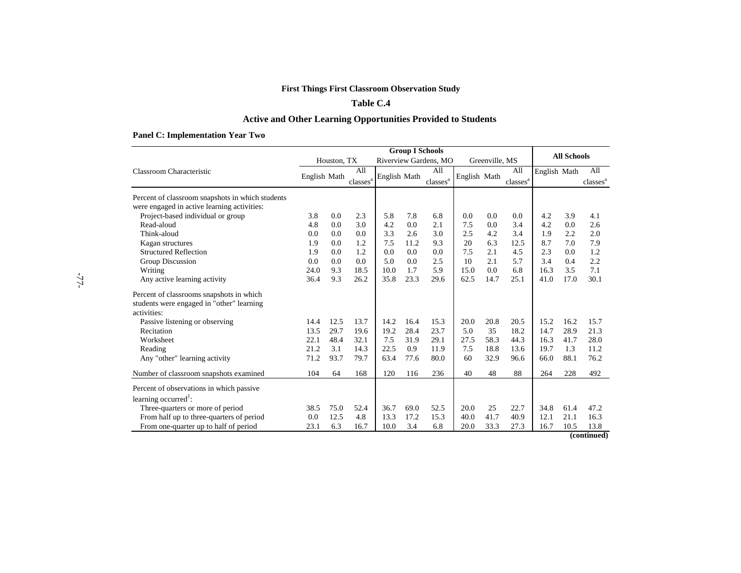#### **Table C.4**

# **Active and Other Learning Opportunities Provided to Students**

## **Panel C: Implementation Year Two**

|                                                  | <b>Group I Schools</b> |             |                      |              |      |                                     |              |                |                      | <b>All Schools</b> |      |                      |
|--------------------------------------------------|------------------------|-------------|----------------------|--------------|------|-------------------------------------|--------------|----------------|----------------------|--------------------|------|----------------------|
|                                                  |                        | Houston, TX |                      |              |      | Riverview Gardens, MO               |              | Greenville, MS |                      |                    |      |                      |
| Classroom Characteristic                         |                        |             | All                  |              |      | All                                 |              |                | All                  | English Math       |      | All                  |
|                                                  | English Math           |             | classes <sup>a</sup> | English Math |      | $\mathop{{\text{classes}}}^{\rm a}$ | English Math |                | classes <sup>a</sup> |                    |      | classes <sup>a</sup> |
| Percent of classroom snapshots in which students |                        |             |                      |              |      |                                     |              |                |                      |                    |      |                      |
| were engaged in active learning activities:      |                        |             |                      |              |      |                                     |              |                |                      |                    |      |                      |
| Project-based individual or group                | 3.8                    | 0.0         | 2.3                  | 5.8          | 7.8  | 6.8                                 | 0.0          | 0.0            | 0.0                  | 4.2                | 3.9  | 4.1                  |
| Read-aloud                                       | 4.8                    | 0.0         | 3.0                  | 4.2          | 0.0  | 2.1                                 | 7.5          | 0.0            | 3.4                  | 4.2                | 0.0  | 2.6                  |
| Think-aloud                                      | 0.0                    | 0.0         | 0.0                  | 3.3          | 2.6  | 3.0                                 | 2.5          | 4.2            | 3.4                  | 1.9                | 2.2  | 2.0                  |
| Kagan structures                                 | 1.9                    | 0.0         | 1.2                  | 7.5          | 11.2 | 9.3                                 | 20           | 6.3            | 12.5                 | 8.7                | 7.0  | 7.9                  |
| <b>Structured Reflection</b>                     | 1.9                    | 0.0         | 1.2                  | 0.0          | 0.0  | 0.0                                 | 7.5          | 2.1            | 4.5                  | 2.3                | 0.0  | 1.2                  |
| Group Discussion                                 | 0.0                    | 0.0         | 0.0                  | 5.0          | 0.0  | 2.5                                 | 10           | 2.1            | 5.7                  | 3.4                | 0.4  | 2.2                  |
| Writing                                          | 24.0                   | 9.3         | 18.5                 | 10.0         | 1.7  | 5.9                                 | 15.0         | 0.0            | 6.8                  | 16.3               | 3.5  | 7.1                  |
| Any active learning activity                     | 36.4                   | 9.3         | 26.2                 | 35.8         | 23.3 | 29.6                                | 62.5         | 14.7           | 25.1                 | 41.0               | 17.0 | 30.1                 |
| Percent of classrooms snapshots in which         |                        |             |                      |              |      |                                     |              |                |                      |                    |      |                      |
| students were engaged in "other" learning        |                        |             |                      |              |      |                                     |              |                |                      |                    |      |                      |
| activities:                                      |                        |             |                      |              |      |                                     |              |                |                      |                    |      |                      |
| Passive listening or observing                   | 14.4                   | 12.5        | 13.7                 | 14.2         | 16.4 | 15.3                                | 20.0         | 20.8           | 20.5                 | 15.2               | 16.2 | 15.7                 |
| Recitation                                       | 13.5                   | 29.7        | 19.6                 | 19.2         | 28.4 | 23.7                                | 5.0          | 35             | 18.2                 | 14.7               | 28.9 | 21.3                 |
| Worksheet                                        | 22.1                   | 48.4        | 32.1                 | 7.5          | 31.9 | 29.1                                | 27.5         | 58.3           | 44.3                 | 16.3               | 41.7 | 28.0                 |
| Reading                                          | 21.2                   | 3.1         | 14.3                 | 22.5         | 0.9  | 11.9                                | 7.5          | 18.8           | 13.6                 | 19.7               | 1.3  | 11.2                 |
| Any "other" learning activity                    | 71.2                   | 93.7        | 79.7                 | 63.4         | 77.6 | 80.0                                | 60           | 32.9           | 96.6                 | 66.0               | 88.1 | 76.2                 |
| Number of classroom snapshots examined           | 104                    | 64          | 168                  | 120          | 116  | 236                                 | 40           | 48             | 88                   | 264                | 228  | 492                  |
| Percent of observations in which passive         |                        |             |                      |              |      |                                     |              |                |                      |                    |      |                      |
| learning occurred $\cdot$ :                      |                        |             |                      |              |      |                                     |              |                |                      |                    |      |                      |
| Three-quarters or more of period                 | 38.5                   | 75.0        | 52.4                 | 36.7         | 69.0 | 52.5                                | 20.0         | 25             | 22.7                 | 34.8               | 61.4 | 47.2                 |
| From half up to three-quarters of period         | 0.0                    | 12.5        | 4.8                  | 13.3         | 17.2 | 15.3                                | 40.0         | 41.7           | 40.9                 | 12.1               | 21.1 | 16.3                 |
| From one-quarter up to half of period            | 23.1                   | 6.3         | 16.7                 | 10.0         | 3.4  | 6.8                                 | 20.0         | 33.3           | 27.3                 | 16.7               | 10.5 | 13.8                 |
|                                                  |                        |             |                      |              |      |                                     |              |                |                      |                    |      | (continued)          |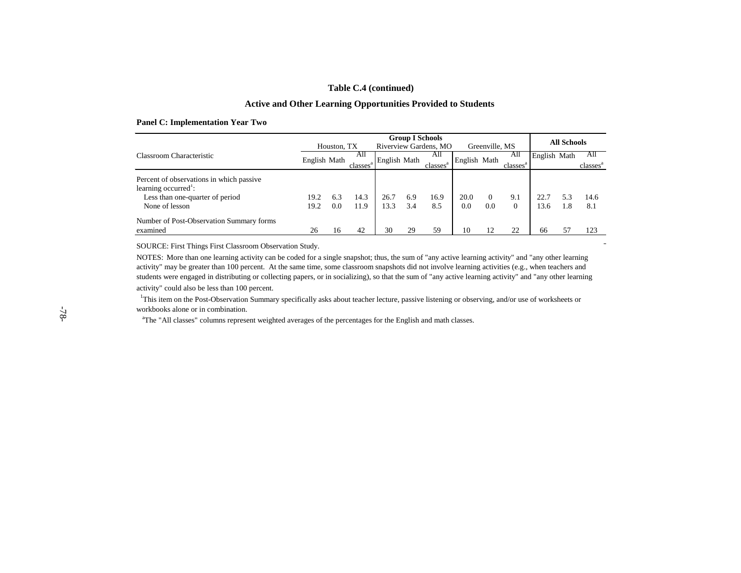#### **Table C.4 (continued)**

### **Active and Other Learning Opportunities Provided to Students**

#### **Panel C: Implementation Year Two**

|                                          | <b>Group I Schools</b> |             |         |              |     |                       |              |                |                      |              | <b>All Schools</b> |                      |
|------------------------------------------|------------------------|-------------|---------|--------------|-----|-----------------------|--------------|----------------|----------------------|--------------|--------------------|----------------------|
|                                          |                        | Houston, TX |         |              |     | Riverview Gardens, MO |              | Greenville, MS |                      |              |                    |                      |
| Classroom Characteristic                 |                        |             | All     |              |     | All                   |              |                | All                  | English Math |                    | All                  |
|                                          | English Math           |             | classes | English Math |     | classes <sup>a</sup>  | English Math |                | classes <sup>-</sup> |              |                    | classes <sup>a</sup> |
| Percent of observations in which passive |                        |             |         |              |     |                       |              |                |                      |              |                    |                      |
| learning occurred <sup>1</sup> :         |                        |             |         |              |     |                       |              |                |                      |              |                    |                      |
| Less than one-quarter of period          | 19.2                   | 6.3         | 14.3    | 26.7         | 6.9 | 16.9                  | 20.0         | $\Omega$       | 9.1                  | 22.7         | 5.3                | 14.6                 |
| None of lesson                           | 19.2                   | 0.0         | 11.9    | 13.3         | 3.4 | 8.5                   | 0.0          | 0.0            | $\Omega$             | 13.6         | 1.8                | 8.1                  |
| Number of Post-Observation Summary forms |                        |             |         |              |     |                       |              |                |                      |              |                    |                      |
| examined                                 | 26                     | 16          | 42      | 30           | 29  | 59                    | 10           | 12             | 22                   | 66           | 57                 | 123                  |

 $\sim$ 

SOURCE: First Things First Classroom Observation Study.

NOTES: More than one learning activity can be coded for a single snapshot; thus, the sum of "any active learning activity" and "any other learning activity" may be greater than 100 percent. At the same time, some classroom snapshots did not involve learning activities (e.g., when teachers and students were engaged in distributing or collecting papers, or in socializing), so that the sum of "any active learning activity" and "any other learning activity" could also be less than 100 percent.

 1This item on the Post-Observation Summary specifically asks about teacher lecture, passive listening or observing, and/or use of worksheets or workbooks alone or in combination.

<sup>a</sup>The "All classes" columns represent weighted averages of the percentages for the English and math classes.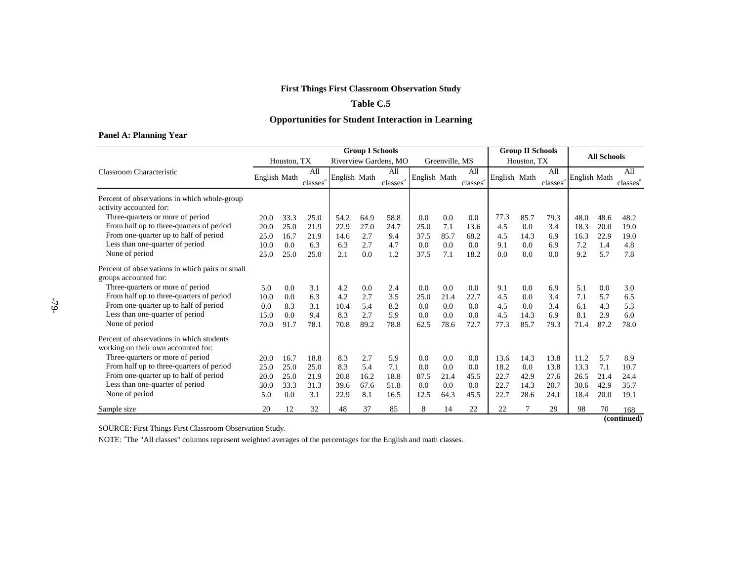#### **Table C.5**

# **Opportunities for Student Interaction in Learning**

# **Panel A: Planning Year**

|                                                 | <b>Group I Schools</b> |             |                           |              |      |                       |              | <b>Group II Schools</b> |                      |              | <b>All Schools</b> |                      |              |      |                    |
|-------------------------------------------------|------------------------|-------------|---------------------------|--------------|------|-----------------------|--------------|-------------------------|----------------------|--------------|--------------------|----------------------|--------------|------|--------------------|
|                                                 |                        | Houston, TX |                           |              |      | Riverview Gardens, MO |              | Greenville, MS          |                      |              | Houston, TX        |                      |              |      |                    |
| Classroom Characteristic                        |                        |             | All                       |              |      | All                   |              |                         | All                  |              |                    | All                  |              |      | All                |
|                                                 | English Math           |             | $\,$ classes $\,^{\rm a}$ | English Math |      | classes <sup>a</sup>  | English Math |                         | classes <sup>a</sup> | English Math |                    | classes <sup>a</sup> | English Math |      | $\text{classes}^a$ |
| Percent of observations in which whole-group    |                        |             |                           |              |      |                       |              |                         |                      |              |                    |                      |              |      |                    |
| activity accounted for:                         |                        |             |                           |              |      |                       |              |                         |                      |              |                    |                      |              |      |                    |
| Three-quarters or more of period                | 20.0                   | 33.3        | 25.0                      | 54.2         | 64.9 | 58.8                  | 0.0          | 0.0                     | 0.0                  | 77.3         | 85.7               | 79.3                 | 48.0         | 48.6 | 48.2               |
| From half up to three-quarters of period        | 20.0                   | 25.0        | 21.9                      | 22.9         | 27.0 | 24.7                  | 25.0         | 7.1                     | 13.6                 | 4.5          | 0.0                | 3.4                  | 18.3         | 20.0 | 19.0               |
| From one-quarter up to half of period           | 25.0                   | 16.7        | 21.9                      | 14.6         | 2.7  | 9.4                   | 37.5         | 85.7                    | 68.2                 | 4.5          | 14.3               | 6.9                  | 16.3         | 22.9 | 19.0               |
| Less than one-quarter of period                 | 10.0                   | 0.0         | 6.3                       | 6.3          | 2.7  | 4.7                   | 0.0          | 0.0                     | $0.0^{\circ}$        | 9.1          | 0.0                | 6.9                  | 7.2          | 1.4  | 4.8                |
| None of period                                  | 25.0                   | 25.0        | 25.0                      | 2.1          | 0.0  | 1.2                   | 37.5         | 7.1                     | 18.2                 | 0.0          | 0.0                | 0.0                  | 9.2          | 5.7  | 7.8                |
| Percent of observations in which pairs or small |                        |             |                           |              |      |                       |              |                         |                      |              |                    |                      |              |      |                    |
| groups accounted for:                           |                        |             |                           |              |      |                       |              |                         |                      |              |                    |                      |              |      |                    |
| Three-quarters or more of period                | 5.0                    | 0.0         | 3.1                       | 4.2          | 0.0  | 2.4                   | 0.0          | 0.0                     | 0.0                  | 9.1          | 0.0                | 6.9                  | 5.1          | 0.0  | 3.0                |
| From half up to three-quarters of period        | 10.0                   | 0.0         | 6.3                       | 4.2          | 2.7  | 3.5                   | 25.0         | 21.4                    | 22.7                 | 4.5          | 0.0                | 3.4                  | 7.1          | 5.7  | 6.5                |
| From one-quarter up to half of period           | 0.0                    | 8.3         | 3.1                       | 10.4         | 5.4  | 8.2                   | 0.0          | 0.0                     | 0.0                  | 4.5          | 0.0                | 3.4                  | 6.1          | 4.3  | 5.3                |
| Less than one-quarter of period                 | 15.0                   | 0.0         | 9.4                       | 8.3          | 2.7  | 5.9                   | 0.0          | 0.0                     | 0.0                  | 4.5          | 14.3               | 6.9                  | 8.1          | 2.9  | 6.0                |
| None of period                                  | 70.0                   | 91.7        | 78.1                      | 70.8         | 89.2 | 78.8                  | 62.5         | 78.6                    | 72.7                 | 77.3         | 85.7               | 79.3                 | 71.4         | 87.2 | 78.0               |
| Percent of observations in which students       |                        |             |                           |              |      |                       |              |                         |                      |              |                    |                      |              |      |                    |
| working on their own accounted for:             |                        |             |                           |              |      |                       |              |                         |                      |              |                    |                      |              |      |                    |
| Three-quarters or more of period                | 20.0                   | 16.7        | 18.8                      | 8.3          | 2.7  | 5.9                   | 0.0          | 0.0                     | 0.0                  | 13.6         | 14.3               | 13.8                 | 11.2         | 5.7  | 8.9                |
| From half up to three-quarters of period        | 25.0                   | 25.0        | 25.0                      | 8.3          | 5.4  | 7.1                   | 0.0          | 0.0                     | 0.0                  | 18.2         | 0.0                | 13.8                 | 13.3         | 7.1  | 10.7               |
| From one-quarter up to half of period           | 20.0                   | 25.0        | 21.9                      | 20.8         | 16.2 | 18.8                  | 87.5         | 21.4                    | 45.5                 | 22.7         | 42.9               | 27.6                 | 26.5         | 21.4 | 24.4               |
| Less than one-quarter of period                 | 30.0                   | 33.3        | 31.3                      | 39.6         | 67.6 | 51.8                  | 0.0          | 0.0                     | 0.0                  | 22.7         | 14.3               | 20.7                 | 30.6         | 42.9 | 35.7               |
| None of period                                  | 5.0                    | 0.0         | 3.1                       | 22.9         | 8.1  | 16.5                  | 12.5         | 64.3                    | 45.5                 | 22.7         | 28.6               | 24.1                 | 18.4         | 20.0 | 19.1               |
| Sample size                                     | 20                     | 12          | 32                        | 48           | 37   | 85                    | 8            | 14                      | 22                   | 22           |                    | 29                   | 98           | 70   | 168                |

SOURCE: First Things First Classroom Observation Study.

NOTE: <sup>a</sup>The "All classes" columns represent weighted averages of the percentages for the English and math classes.

**(continued)**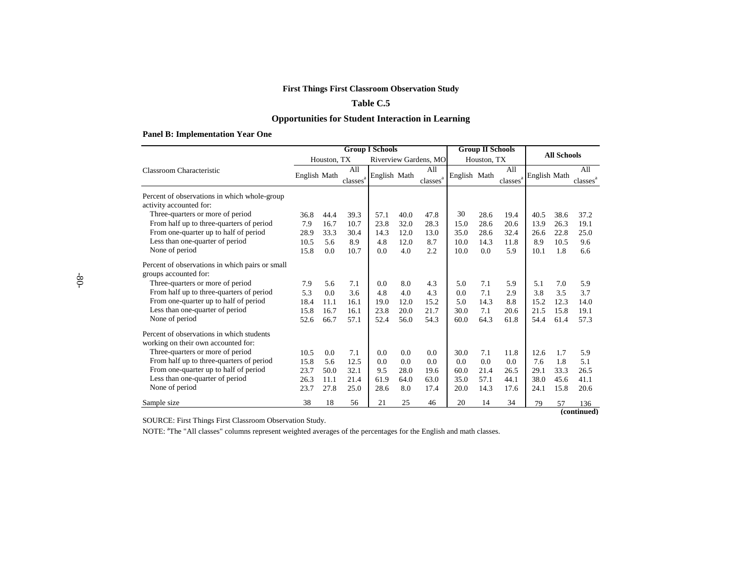#### **Table C.5**

# **Opportunities for Student Interaction in Learning**

### **Panel B: Implementation Year One**

|                                                 | <b>Group I Schools</b> |             |                               |              |      | <b>Group II Schools</b>       |              |             |                      |              |                    |                      |
|-------------------------------------------------|------------------------|-------------|-------------------------------|--------------|------|-------------------------------|--------------|-------------|----------------------|--------------|--------------------|----------------------|
|                                                 |                        | Houston, TX |                               |              |      | Riverview Gardens, MO         |              | Houston, TX |                      |              | <b>All Schools</b> |                      |
| Classroom Characteristic                        | English Math           |             | All                           | English Math |      | All                           | English Math |             | All                  | English Math |                    | All                  |
|                                                 |                        |             | $\overline{\text{classes}}^a$ |              |      | $\overline{\text{classes}}^a$ |              |             | classes <sup>a</sup> |              |                    | $\mathbf{classes}^a$ |
| Percent of observations in which whole-group    |                        |             |                               |              |      |                               |              |             |                      |              |                    |                      |
| activity accounted for:                         |                        |             |                               |              |      |                               |              |             |                      |              |                    |                      |
| Three-quarters or more of period                | 36.8                   | 44.4        | 39.3                          | 57.1         | 40.0 | 47.8                          | 30           | 28.6        | 19.4                 | 40.5         | 38.6               | 37.2                 |
| From half up to three-quarters of period        | 7.9                    | 16.7        | 10.7                          | 23.8         | 32.0 | 28.3                          | 15.0         | 28.6        | 20.6                 | 13.9         | 26.3               | 19.1                 |
| From one-quarter up to half of period           | 28.9                   | 33.3        | 30.4                          | 14.3         | 12.0 | 13.0                          | 35.0         | 28.6        | 32.4                 | 26.6         | 22.8               | 25.0                 |
| Less than one-quarter of period                 | 10.5                   | 5.6         | 8.9                           | 4.8          | 12.0 | 8.7                           | 10.0         | 14.3        | 11.8                 | 8.9          | 10.5               | 9.6                  |
| None of period                                  | 15.8                   | 0.0         | 10.7                          | 0.0          | 4.0  | 2.2                           | 10.0         | 0.0         | 5.9                  | 10.1         | 1.8                | 6.6                  |
| Percent of observations in which pairs or small |                        |             |                               |              |      |                               |              |             |                      |              |                    |                      |
| groups accounted for:                           |                        |             |                               |              |      |                               |              |             |                      |              |                    |                      |
| Three-quarters or more of period                | 7.9                    | 5.6         | 7.1                           | 0.0          | 8.0  | 4.3                           | 5.0          | 7.1         | 5.9                  | 5.1          | 7.0                | 5.9                  |
| From half up to three-quarters of period        | 5.3                    | 0.0         | 3.6                           | 4.8          | 4.0  | 4.3                           | 0.0          | 7.1         | 2.9                  | 3.8          | 3.5                | 3.7                  |
| From one-quarter up to half of period           | 18.4                   | 11.1        | 16.1                          | 19.0         | 12.0 | 15.2                          | 5.0          | 14.3        | 8.8                  | 15.2         | 12.3               | 14.0                 |
| Less than one-quarter of period                 | 15.8                   | 16.7        | 16.1                          | 23.8         | 20.0 | 21.7                          | 30.0         | 7.1         | 20.6                 | 21.5         | 15.8               | 19.1                 |
| None of period                                  | 52.6                   | 66.7        | 57.1                          | 52.4         | 56.0 | 54.3                          | 60.0         | 64.3        | 61.8                 | 54.4         | 61.4               | 57.3                 |
| Percent of observations in which students       |                        |             |                               |              |      |                               |              |             |                      |              |                    |                      |
| working on their own accounted for:             |                        |             |                               |              |      |                               |              |             |                      |              |                    |                      |
| Three-quarters or more of period                | 10.5                   | 0.0         | 7.1                           | 0.0          | 0.0  | 0.0                           | 30.0         | 7.1         | 11.8                 | 12.6         | 1.7                | 5.9                  |
| From half up to three-quarters of period        | 15.8                   | 5.6         | 12.5                          | 0.0          | 0.0  | 0.0                           | 0.0          | 0.0         | 0.0                  | 7.6          | 1.8                | 5.1                  |
| From one-quarter up to half of period           | 23.7                   | 50.0        | 32.1                          | 9.5          | 28.0 | 19.6                          | 60.0         | 21.4        | 26.5                 | 29.1         | 33.3               | 26.5                 |
| Less than one-quarter of period                 | 26.3                   | 11.1        | 21.4                          | 61.9         | 64.0 | 63.0                          | 35.0         | 57.1        | 44.1                 | 38.0         | 45.6               | 41.1                 |
| None of period                                  | 23.7                   | 27.8        | 25.0                          | 28.6         | 8.0  | 17.4                          | 20.0         | 14.3        | 17.6                 | 24.1         | 15.8               | 20.6                 |
| Sample size                                     | 38                     | 18          | 56                            | 21           | 25   | 46                            | 20           | 14          | 34                   | 79           | 57                 | 136                  |
|                                                 |                        |             |                               |              |      |                               |              |             |                      |              |                    | (continued)          |

SOURCE: First Things First Classroom Observation Study.

NOTE: "The "All classes" columns represent weighted averages of the percentages for the English and math classes.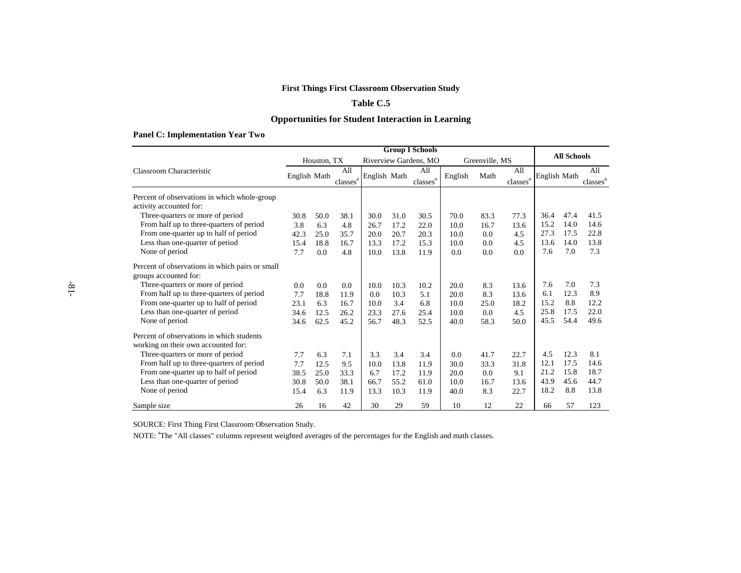#### **Table C.5**

# **Opportunities for Student Interaction in Learning**

# **Panel C: Implementation Year Two**

|                                                                                  | <b>Group I Schools</b> |             |                                  |              |      |                             |         |                |                                            |              |                    |                                  |
|----------------------------------------------------------------------------------|------------------------|-------------|----------------------------------|--------------|------|-----------------------------|---------|----------------|--------------------------------------------|--------------|--------------------|----------------------------------|
|                                                                                  |                        | Houston, TX |                                  |              |      | Riverview Gardens, MO       |         | Greenville, MS |                                            |              | <b>All Schools</b> |                                  |
| Classroom Characteristic                                                         | English Math           |             | All<br>$\,$ classes $\,^{\rm a}$ | English Math |      | All<br>classes <sup>a</sup> | English | Math           | All<br>$\mathop{{\text{classes}}}^{\rm a}$ | English Math |                    | All<br>$\,$ classes $\,^{\rm a}$ |
| Percent of observations in which whole-group<br>activity accounted for:          |                        |             |                                  |              |      |                             |         |                |                                            |              |                    |                                  |
| Three-quarters or more of period                                                 | 30.8                   | 50.0        | 38.1                             | 30.0         | 31.0 | 30.5                        | 70.0    | 83.3           | 77.3                                       | 36.4         | 47.4               | 41.5                             |
| From half up to three-quarters of period                                         | 3.8                    | 6.3         | 4.8                              | 26.7         | 17.2 | 22.0                        | 10.0    | 16.7           | 13.6                                       | 15.2         | 14.0               | 14.6                             |
| From one-quarter up to half of period                                            | 42.3                   | 25.0        | 35.7                             | 20.0         | 20.7 | 20.3                        | 10.0    | 0.0            | 4.5                                        | 27.3         | 17.5               | 22.8                             |
| Less than one-quarter of period                                                  | 15.4                   | 18.8        | 16.7                             | 13.3         | 17.2 | 15.3                        | 10.0    | 0.0            | 4.5                                        | 13.6         | 14.0               | 13.8                             |
| None of period                                                                   | 7.7                    | 0.0         | 4.8                              | 10.0         | 13.8 | 11.9                        | 0.0     | 0.0            | 0.0                                        | 7.6          | 7.0                | 7.3                              |
| Percent of observations in which pairs or small<br>groups accounted for:         |                        |             |                                  |              |      |                             |         |                |                                            |              |                    |                                  |
| Three-quarters or more of period                                                 | 0.0                    | 0.0         | 0.0                              | 10.0         | 10.3 | 10.2                        | 20.0    | 8.3            | 13.6                                       | 7.6          | 7.0                | 7.3                              |
| From half up to three-quarters of period                                         | 7.7                    | 18.8        | 11.9                             | 0.0          | 10.3 | 5.1                         | 20.0    | 8.3            | 13.6                                       | 6.1          | 12.3               | 8.9                              |
| From one-quarter up to half of period                                            | 23.1                   | 6.3         | 16.7                             | 10.0         | 3.4  | 6.8                         | 10.0    | 25.0           | 18.2                                       | 15.2         | 8.8                | 12.2                             |
| Less than one-quarter of period                                                  | 34.6                   | 12.5        | 26.2                             | 23.3         | 27.6 | 25.4                        | 10.0    | 0.0            | 4.5                                        | 25.8         | 17.5               | 22.0                             |
| None of period                                                                   | 34.6                   | 62.5        | 45.2                             | 56.7         | 48.3 | 52.5                        | 40.0    | 58.3           | 50.0                                       | 45.5         | 54.4               | 49.6                             |
| Percent of observations in which students<br>working on their own accounted for: |                        |             |                                  |              |      |                             |         |                |                                            |              |                    |                                  |
| Three-quarters or more of period                                                 | 7.7                    | 6.3         | 7.1                              | 3.3          | 3.4  | 3.4                         | 0.0     | 41.7           | 22.7                                       | 4.5          | 12.3               | 8.1                              |
| From half up to three-quarters of period                                         | 7.7                    | 12.5        | 9.5                              | 10.0         | 13.8 | 11.9                        | 30.0    | 33.3           | 31.8                                       | 12.1         | 17.5               | 14.6                             |
| From one-quarter up to half of period                                            | 38.5                   | 25.0        | 33.3                             | 6.7          | 17.2 | 11.9                        | 20.0    | 0.0            | 9.1                                        | 21.2         | 15.8               | 18.7                             |
| Less than one-quarter of period                                                  | 30.8                   | 50.0        | 38.1                             | 66.7         | 55.2 | 61.0                        | 10.0    | 16.7           | 13.6                                       | 43.9         | 45.6               | 44.7                             |
| None of period                                                                   | 15.4                   | 6.3         | 11.9                             | 13.3         | 10.3 | 11.9                        | 40.0    | 8.3            | 22.7                                       | 18.2         | 8.8                | 13.8                             |
| Sample size                                                                      | 26                     | 16          | 42                               | 30           | 29   | 59                          | 10      | 12             | 22                                         | 66           | 57                 | 123                              |

SOURCE: First Thing First Classroom Observation Study.

NOTE: <sup>a</sup>The "All classes" columns represent weighted averages of the percentages for the English and math classes.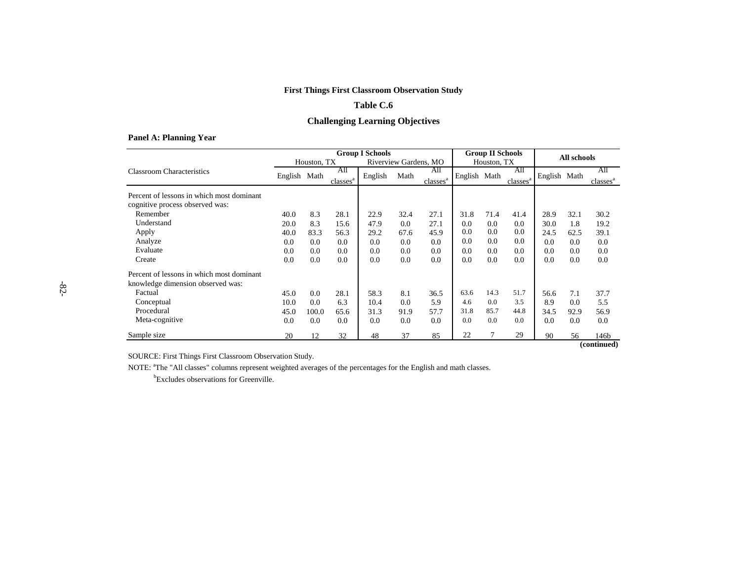# **Table C.6**

# **Challenging Learning Objectives**

# **Panel A: Planning Year**

|                                                                              | <b>Group I Schools</b> |             |                             |         | <b>Group II Schools</b> |                             |               |             |                             |              |             |                             |
|------------------------------------------------------------------------------|------------------------|-------------|-----------------------------|---------|-------------------------|-----------------------------|---------------|-------------|-----------------------------|--------------|-------------|-----------------------------|
|                                                                              |                        | Houston, TX |                             |         | Riverview Gardens, MO   |                             |               | Houston, TX |                             |              | All schools |                             |
| <b>Classroom Characteristics</b>                                             | English Math           |             | All<br>classes <sup>a</sup> | English | Math                    | All<br>classes <sup>a</sup> | English Math  |             | All<br>classes <sup>a</sup> | English Math |             | All<br>classes <sup>a</sup> |
| Percent of lessons in which most dominant<br>cognitive process observed was: |                        |             |                             |         |                         |                             |               |             |                             |              |             |                             |
| Remember                                                                     | 40.0                   | 8.3         | 28.1                        | 22.9    | 32.4                    | 27.1                        | 31.8          | 71.4        | 41.4                        | 28.9         | 32.1        | 30.2                        |
| Understand                                                                   | 20.0                   | 8.3         | 15.6                        | 47.9    | 0.0                     | 27.1                        | $0.0^{\circ}$ | 0.0         | 0.0                         | 30.0         | 1.8         | 19.2                        |
| Apply                                                                        | 40.0                   | 83.3        | 56.3                        | 29.2    | 67.6                    | 45.9                        | 0.0           | 0.0         | 0.0                         | 24.5         | 62.5        | 39.1                        |
| Analyze                                                                      | 0.0                    | 0.0         | 0.0                         | 0.0     | 0.0                     | 0.0                         | 0.0           | 0.0         | 0.0                         | 0.0          | 0.0         | 0.0                         |
| Evaluate                                                                     | 0.0                    | 0.0         | 0.0                         | 0.0     | 0.0                     | 0.0                         | 0.0           | 0.0         | 0.0                         | 0.0          | 0.0         | 0.0                         |
| Create                                                                       | 0.0                    | 0.0         | 0.0                         | 0.0     | 0.0                     | 0.0                         | 0.0           | 0.0         | 0.0                         | 0.0          | 0.0         | 0.0                         |
| Percent of lessons in which most dominant                                    |                        |             |                             |         |                         |                             |               |             |                             |              |             |                             |
| knowledge dimension observed was:                                            |                        |             |                             |         |                         |                             |               |             |                             |              |             |                             |
| Factual                                                                      | 45.0                   | 0.0         | 28.1                        | 58.3    | 8.1                     | 36.5                        | 63.6          | 14.3        | 51.7                        | 56.6         | 7.1         | 37.7                        |
| Conceptual                                                                   | 10.0                   | 0.0         | 6.3                         | 10.4    | 0.0                     | 5.9                         | 4.6           | 0.0         | 3.5                         | 8.9          | 0.0         | 5.5                         |
| Procedural                                                                   | 45.0                   | 100.0       | 65.6                        | 31.3    | 91.9                    | 57.7                        | 31.8          | 85.7        | 44.8                        | 34.5         | 92.9        | 56.9                        |
| Meta-cognitive                                                               | 0.0                    | 0.0         | 0.0                         | 0.0     | 0.0                     | 0.0                         | 0.0           | 0.0         | 0.0                         | 0.0          | 0.0         | 0.0                         |
| Sample size                                                                  | 20                     | 12          | 32                          | 48      | 37                      | 85                          | 22            | 7           | 29                          | 90           | 56          | 146b                        |
|                                                                              |                        |             |                             |         |                         |                             |               |             |                             |              |             | (continued)                 |

SOURCE: First Things First Classroom Observation Study.

NOTE: <sup>a</sup>The "All classes" columns represent weighted averages of the percentages for the English and math classes.

<sup>b</sup>Excludes observations for Greenville.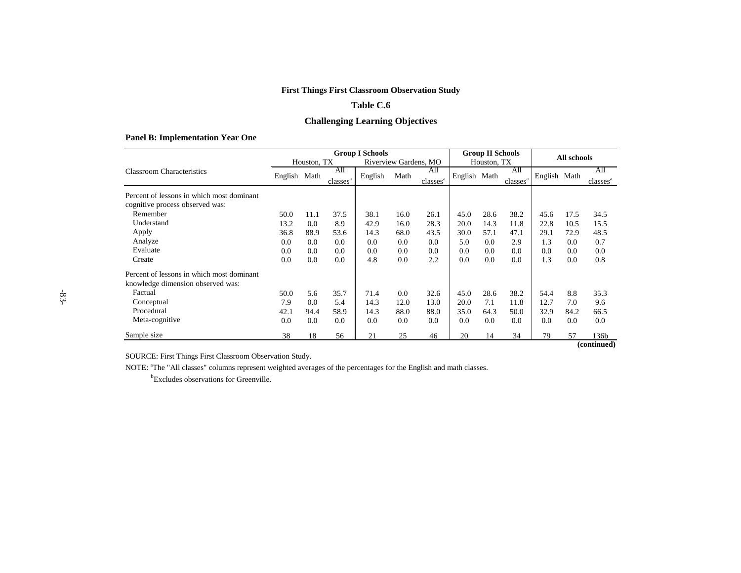# **Table C.6**

# **Challenging Learning Objectives**

## **Panel B: Implementation Year One**

|                                                                              | <b>Group I Schools</b> |             |                             |         | <b>Group II Schools</b> |                           |              |             |                             |              |             |                             |
|------------------------------------------------------------------------------|------------------------|-------------|-----------------------------|---------|-------------------------|---------------------------|--------------|-------------|-----------------------------|--------------|-------------|-----------------------------|
|                                                                              |                        | Houston, TX |                             |         | Riverview Gardens, MO   |                           |              | Houston, TX |                             |              | All schools |                             |
| <b>Classroom Characteristics</b>                                             | English Math           |             | All<br>classes <sup>a</sup> | English | Math                    | All<br>$\text{classes}^a$ | English Math |             | All<br>classes <sup>a</sup> | English Math |             | All<br>classes <sup>a</sup> |
| Percent of lessons in which most dominant<br>cognitive process observed was: |                        |             |                             |         |                         |                           |              |             |                             |              |             |                             |
| Remember                                                                     | 50.0                   | 11.1        | 37.5                        | 38.1    | 16.0                    | 26.1                      | 45.0         | 28.6        | 38.2                        | 45.6         | 17.5        | 34.5                        |
| Understand                                                                   | 13.2                   | 0.0         | 8.9                         | 42.9    | 16.0                    | 28.3                      | 20.0         | 14.3        | 11.8                        | 22.8         | 10.5        | 15.5                        |
| Apply                                                                        | 36.8                   | 88.9        | 53.6                        | 14.3    | 68.0                    | 43.5                      | 30.0         | 57.1        | 47.1                        | 29.1         | 72.9        | 48.5                        |
| Analyze                                                                      | 0.0                    | 0.0         | 0.0                         | 0.0     | 0.0                     | 0.0                       | 5.0          | 0.0         | 2.9                         | 1.3          | 0.0         | 0.7                         |
| Evaluate                                                                     | 0.0                    | 0.0         | 0.0                         | 0.0     | 0.0                     | 0.0                       | 0.0          | 0.0         | 0.0                         | 0.0          | 0.0         | 0.0                         |
| Create                                                                       | 0.0                    | 0.0         | 0.0                         | 4.8     | 0.0                     | 2.2                       | 0.0          | 0.0         | 0.0                         | 1.3          | 0.0         | 0.8                         |
| Percent of lessons in which most dominant                                    |                        |             |                             |         |                         |                           |              |             |                             |              |             |                             |
| knowledge dimension observed was:                                            |                        |             |                             |         |                         |                           |              |             |                             |              |             |                             |
| Factual                                                                      | 50.0                   | 5.6         | 35.7                        | 71.4    | 0.0                     | 32.6                      | 45.0         | 28.6        | 38.2                        | 54.4         | 8.8         | 35.3                        |
| Conceptual                                                                   | 7.9                    | 0.0         | 5.4                         | 14.3    | 12.0                    | 13.0                      | 20.0         | 7.1         | 11.8                        | 12.7         | 7.0         | 9.6                         |
| Procedural                                                                   | 42.1                   | 94.4        | 58.9                        | 14.3    | 88.0                    | 88.0                      | 35.0         | 64.3        | 50.0                        | 32.9         | 84.2        | 66.5                        |
| Meta-cognitive                                                               | 0.0                    | 0.0         | 0.0                         | 0.0     | 0.0                     | 0.0                       | 0.0          | 0.0         | 0.0                         | 0.0          | 0.0         | 0.0                         |
| Sample size                                                                  | 38                     | 18          | 56                          | 21      | 25                      | 46                        | 20           | 14          | 34                          | 79           | 57          | 136b                        |
|                                                                              |                        |             |                             |         |                         |                           |              |             |                             |              |             | (continued)                 |

SOURCE: First Things First Classroom Observation Study.

NOTE: <sup>a</sup>The "All classes" columns represent weighted averages of the percentages for the English and math classes.

<sup>b</sup>Excludes observations for Greenville.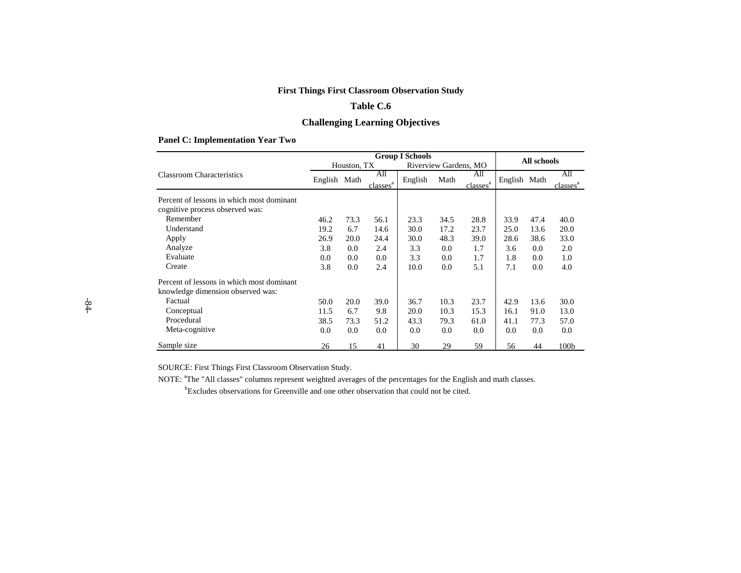#### **Table C.6**

# **Challenging Learning Objectives**

## **Panel C: Implementation Year Two**

|                                           |              | <b>Group I Schools</b> |                      |         | All schools           |                               |              |      |                      |
|-------------------------------------------|--------------|------------------------|----------------------|---------|-----------------------|-------------------------------|--------------|------|----------------------|
|                                           |              | Houston, TX            |                      |         | Riverview Gardens, MO |                               |              |      |                      |
| <b>Classroom Characteristics</b>          | English Math |                        | All                  | English | Math                  | All                           | English Math |      | All                  |
|                                           |              |                        | classes <sup>a</sup> |         |                       | $\overline{\text{classes}}^a$ |              |      | classes <sup>a</sup> |
| Percent of lessons in which most dominant |              |                        |                      |         |                       |                               |              |      |                      |
| cognitive process observed was:           |              |                        |                      |         |                       |                               |              |      |                      |
| Remember                                  | 46.2         | 73.3                   | 56.1                 | 23.3    | 34.5                  | 28.8                          | 33.9         | 47.4 | 40.0                 |
| Understand                                | 19.2         | 6.7                    | 14.6                 | 30.0    | 17.2                  | 23.7                          | 25.0         | 13.6 | 20.0                 |
| Apply                                     | 26.9         | 20.0                   | 24.4                 | 30.0    | 48.3                  | 39.0                          | 28.6         | 38.6 | 33.0                 |
| Analyze                                   | 3.8          | 0.0                    | 2.4                  | 3.3     | 0.0                   | 1.7                           | 3.6          | 0.0  | 2.0                  |
| Evaluate                                  | 0.0          | 0.0                    | 0.0                  | 3.3     | 0.0                   | 1.7                           | 1.8          | 0.0  | 1.0                  |
| Create                                    | 3.8          | $0.0\,$                | 2.4                  | 10.0    | 0.0                   | 5.1                           | 7.1          | 0.0  | 4.0                  |
| Percent of lessons in which most dominant |              |                        |                      |         |                       |                               |              |      |                      |
| knowledge dimension observed was:         |              |                        |                      |         |                       |                               |              |      |                      |
| Factual                                   | 50.0         | 20.0                   | 39.0                 | 36.7    | 10.3                  | 23.7                          | 42.9         | 13.6 | 30.0                 |
| Conceptual                                | 11.5         | 6.7                    | 9.8                  | 20.0    | 10.3                  | 15.3                          | 16.1         | 91.0 | 13.0                 |
| Procedural                                | 38.5         | 73.3                   | 51.2                 | 43.3    | 79.3                  | 61.0                          | 41.1         | 77.3 | 57.0                 |
| Meta-cognitive                            | 0.0          | $0.0\,$                | 0.0                  | 0.0     | 0.0                   | 0.0                           | 0.0          | 0.0  | 0.0                  |
| Sample size                               | 26           | 15                     | 41                   | 30      | 29                    | 59                            | 56           | 44   | 100b                 |

SOURCE: First Things First Classroom Observation Study.

NOTE: <sup>a</sup>The "All classes" columns represent weighted averages of the percentages for the English and math classes.

<sup>b</sup>Excludes observations for Greenville and one other observation that could not be cited.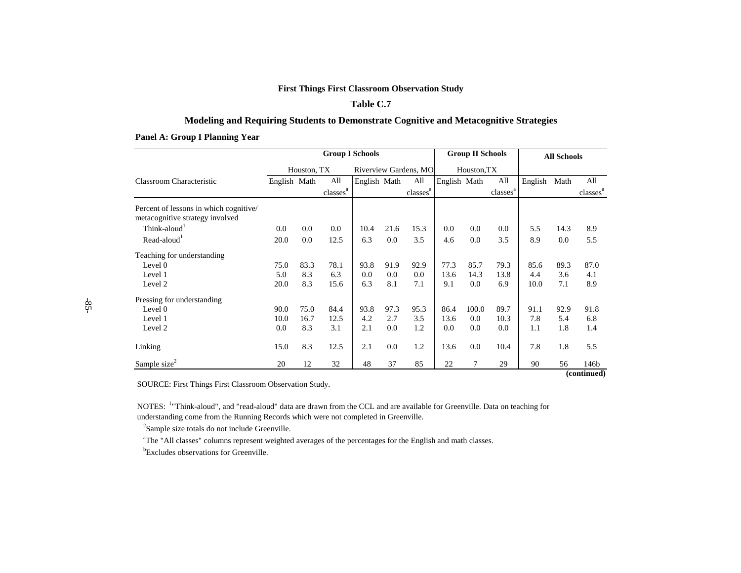#### **Table C.7**

# **Modeling and Requiring Students to Demonstrate Cognitive and Metacognitive Strategies**

**Panel A: Group I Planning Year**

|                                                                           | <b>Group I Schools</b> |             |                      |              |      | <b>Group II Schools</b> |              |             | <b>All Schools</b>   |         |      |                      |
|---------------------------------------------------------------------------|------------------------|-------------|----------------------|--------------|------|-------------------------|--------------|-------------|----------------------|---------|------|----------------------|
|                                                                           |                        | Houston, TX |                      |              |      | Riverview Gardens, MO   |              | Houston, TX |                      |         |      |                      |
| Classroom Characteristic                                                  | English Math           |             | All                  | English Math |      | All                     | English Math |             | All                  | English | Math | All                  |
|                                                                           |                        |             | classes <sup>a</sup> |              |      | classes <sup>a</sup>    |              |             | classes <sup>a</sup> |         |      | classes <sup>a</sup> |
| Percent of lessons in which cognitive/<br>metacognitive strategy involved |                        |             |                      |              |      |                         |              |             |                      |         |      |                      |
| Think-aloud <sup>1</sup>                                                  | 0.0                    | 0.0         | 0.0                  | 10.4         | 21.6 | 15.3                    | 0.0          | 0.0         | 0.0                  | 5.5     | 14.3 | 8.9                  |
| Read-aloud                                                                | 20.0                   | $0.0\,$     | 12.5                 | 6.3          | 0.0  | 3.5                     | 4.6          | 0.0         | 3.5                  | 8.9     | 0.0  | 5.5                  |
| Teaching for understanding                                                |                        |             |                      |              |      |                         |              |             |                      |         |      |                      |
| Level 0                                                                   | 75.0                   | 83.3        | 78.1                 | 93.8         | 91.9 | 92.9                    | 77.3         | 85.7        | 79.3                 | 85.6    | 89.3 | 87.0                 |
| Level 1                                                                   | 5.0                    | 8.3         | 6.3                  | 0.0          | 0.0  | 0.0                     | 13.6         | 14.3        | 13.8                 | 4.4     | 3.6  | 4.1                  |
| Level 2                                                                   | 20.0                   | 8.3         | 15.6                 | 6.3          | 8.1  | 7.1                     | 9.1          | 0.0         | 6.9                  | 10.0    | 7.1  | 8.9                  |
| Pressing for understanding                                                |                        |             |                      |              |      |                         |              |             |                      |         |      |                      |
| Level 0                                                                   | 90.0                   | 75.0        | 84.4                 | 93.8         | 97.3 | 95.3                    | 86.4         | 100.0       | 89.7                 | 91.1    | 92.9 | 91.8                 |
| Level 1                                                                   | 10.0                   | 16.7        | 12.5                 | 4.2          | 2.7  | 3.5                     | 13.6         | 0.0         | 10.3                 | 7.8     | 5.4  | 6.8                  |
| Level 2                                                                   | 0.0                    | 8.3         | 3.1                  | 2.1          | 0.0  | 1.2                     | 0.0          | 0.0         | $0.0\,$              | 1.1     | 1.8  | 1.4                  |
| Linking                                                                   | 15.0                   | 8.3         | 12.5                 | 2.1          | 0.0  | 1.2                     | 13.6         | 0.0         | 10.4                 | 7.8     | 1.8  | 5.5                  |
| Sample size <sup>2</sup>                                                  | 20                     | 12          | 32                   | 48           | 37   | 85                      | 22           | $\tau$      | 29                   | 90      | 56   | 146b                 |
|                                                                           |                        |             |                      |              |      |                         |              |             |                      |         |      | (continued)          |

SOURCE: First Things First Classroom Observation Study.

NOTES: <sup>1</sup>"Think-aloud", and "read-aloud" data are drawn from the CCL and are available for Greenville. Data on teaching for understanding come from the Running Records which were not completed in Greenville.

<sup>2</sup>Sample size totals do not include Greenville.

<sup>a</sup>The "All classes" columns represent weighted averages of the percentages for the English and math classes.

<sup>b</sup>Excludes observations for Greenville.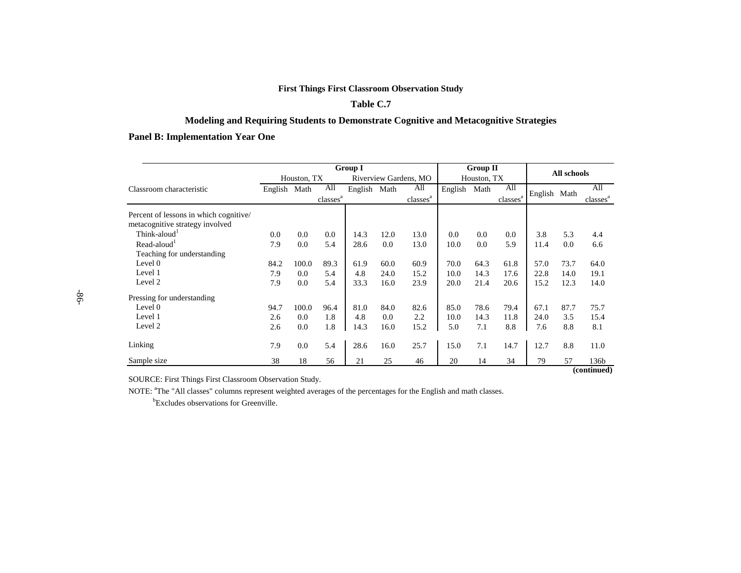#### **Table C.7**

# **Modeling and Requiring Students to Demonstrate Cognitive and Metacognitive Strategies**

**Panel B: Implementation Year One**

|                                        |              | <b>Group I</b> |                      |         |      |                       |         | <b>Group II</b> |                      |              | All schools |                           |
|----------------------------------------|--------------|----------------|----------------------|---------|------|-----------------------|---------|-----------------|----------------------|--------------|-------------|---------------------------|
|                                        |              | Houston, TX    |                      |         |      | Riverview Gardens, MO |         | Houston, TX     |                      |              |             |                           |
| Classroom characteristic               | English Math |                | All                  | English | Math | All                   | English | Math            | All                  |              |             | All                       |
|                                        |              |                | classes <sup>a</sup> |         |      | classes <sup>a</sup>  |         |                 | classes <sup>a</sup> | English Math |             | $\,$ classes $\,^{\rm a}$ |
| Percent of lessons in which cognitive/ |              |                |                      |         |      |                       |         |                 |                      |              |             |                           |
| metacognitive strategy involved        |              |                |                      |         |      |                       |         |                 |                      |              |             |                           |
| Think-aloud <sup>1</sup>               | 0.0          | 0.0            | 0.0                  | 14.3    | 12.0 | 13.0                  | 0.0     | 0.0             | 0.0                  | 3.8          | 5.3         | 4.4                       |
| Read-aloud                             | 7.9          | 0.0            | 5.4                  | 28.6    | 0.0  | 13.0                  | 10.0    | 0.0             | 5.9                  | 11.4         | 0.0         | 6.6                       |
| Teaching for understanding             |              |                |                      |         |      |                       |         |                 |                      |              |             |                           |
| Level 0                                | 84.2         | 100.0          | 89.3                 | 61.9    | 60.0 | 60.9                  | 70.0    | 64.3            | 61.8                 | 57.0         | 73.7        | 64.0                      |
| Level 1                                | 7.9          | 0.0            | 5.4                  | 4.8     | 24.0 | 15.2                  | 10.0    | 14.3            | 17.6                 | 22.8         | 14.0        | 19.1                      |
| Level 2                                | 7.9          | 0.0            | 5.4                  | 33.3    | 16.0 | 23.9                  | 20.0    | 21.4            | 20.6                 | 15.2         | 12.3        | 14.0                      |
| Pressing for understanding             |              |                |                      |         |      |                       |         |                 |                      |              |             |                           |
| Level 0                                | 94.7         | 100.0          | 96.4                 | 81.0    | 84.0 | 82.6                  | 85.0    | 78.6            | 79.4                 | 67.1         | 87.7        | 75.7                      |
| Level 1                                | 2.6          | 0.0            | 1.8                  | 4.8     | 0.0  | 2.2                   | 10.0    | 14.3            | 11.8                 | 24.0         | 3.5         | 15.4                      |
| Level 2                                | 2.6          | 0.0            | 1.8                  | 14.3    | 16.0 | 15.2                  | 5.0     | 7.1             | 8.8                  | 7.6          | 8.8         | 8.1                       |
| Linking                                | 7.9          | 0.0            | 5.4                  | 28.6    | 16.0 | 25.7                  | 15.0    | 7.1             | 14.7                 | 12.7         | 8.8         | 11.0                      |
| Sample size                            | 38           | 18             | 56                   | 21      | 25   | 46                    | 20      | 14              | 34                   | 79           | 57          | 136b                      |
|                                        |              |                |                      |         |      |                       |         |                 |                      |              |             | (continued)               |

SOURCE: First Things First Classroom Observation Study.

NOTE: <sup>a</sup>The "All classes" columns represent weighted averages of the percentages for the English and math classes.

<sup>b</sup>Excludes observations for Greenville.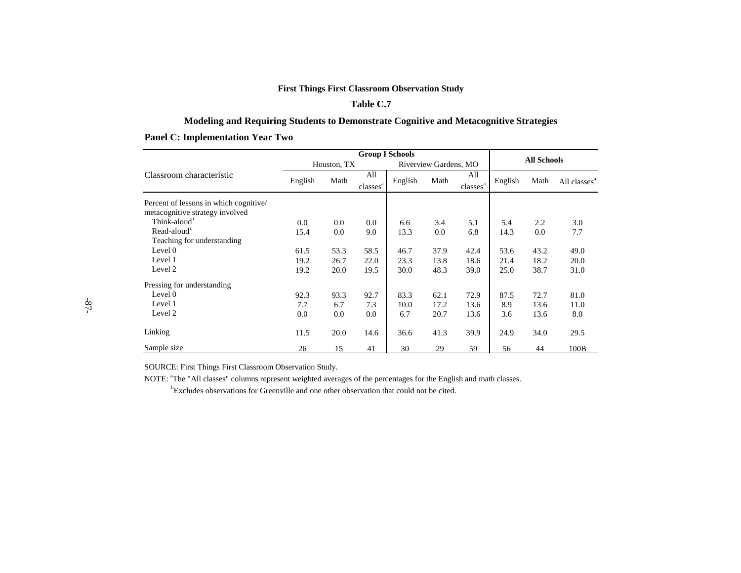# **Table C.7**

# **Modeling and Requiring Students to Demonstrate Cognitive and Metacognitive Strategies**

# **Panel C: Implementation Year Two**

|                                                                           |         |             | <b>Group I Schools</b>      |         |                       | <b>All Schools</b>          |         |      |                          |
|---------------------------------------------------------------------------|---------|-------------|-----------------------------|---------|-----------------------|-----------------------------|---------|------|--------------------------|
|                                                                           |         | Houston, TX |                             |         | Riverview Gardens, MO |                             |         |      |                          |
| Classroom characteristic                                                  | English | Math        | All<br>classes <sup>a</sup> | English | Math                  | All<br>classes <sup>a</sup> | English | Math | All classes <sup>a</sup> |
| Percent of lessons in which cognitive/<br>metacognitive strategy involved |         |             |                             |         |                       |                             |         |      |                          |
| Think-aloud <sup>1</sup>                                                  | 0.0     | 0.0         | 0.0                         | 6.6     | 3.4                   | 5.1                         | 5.4     | 2.2  | 3.0                      |
| Read-aloud                                                                | 15.4    | 0.0         | 9.0                         | 13.3    | 0.0                   | 6.8                         | 14.3    | 0.0  | 7.7                      |
| Teaching for understanding                                                |         |             |                             |         |                       |                             |         |      |                          |
| Level 0                                                                   | 61.5    | 53.3        | 58.5                        | 46.7    | 37.9                  | 42.4                        | 53.6    | 43.2 | 49.0                     |
| Level 1                                                                   | 19.2    | 26.7        | 22.0                        | 23.3    | 13.8                  | 18.6                        | 21.4    | 18.2 | 20.0                     |
| Level 2                                                                   | 19.2    | 20.0        | 19.5                        | 30.0    | 48.3                  | 39.0                        | 25.0    | 38.7 | 31.0                     |
| Pressing for understanding                                                |         |             |                             |         |                       |                             |         |      |                          |
| Level 0                                                                   | 92.3    | 93.3        | 92.7                        | 83.3    | 62.1                  | 72.9                        | 87.5    | 72.7 | 81.0                     |
| Level 1                                                                   | 7.7     | 6.7         | 7.3                         | 10.0    | 17.2                  | 13.6                        | 8.9     | 13.6 | 11.0                     |
| Level 2                                                                   | 0.0     | 0.0         | 0.0                         | 6.7     | 20.7                  | 13.6                        | 3.6     | 13.6 | 8.0                      |
| Linking                                                                   | 11.5    | 20.0        | 14.6                        | 36.6    | 41.3                  | 39.9                        | 24.9    | 34.0 | 29.5                     |
| Sample size                                                               | 26      | 15          | 41                          | 30      | 29                    | 59                          | 56      | 44   | 100B                     |

SOURCE: First Things First Classroom Observation Study.

NOTE: <sup>a</sup>The "All classes" columns represent weighted averages of the percentages for the English and math classes.

<sup>b</sup>Excludes observations for Greenville and one other observation that could not be cited.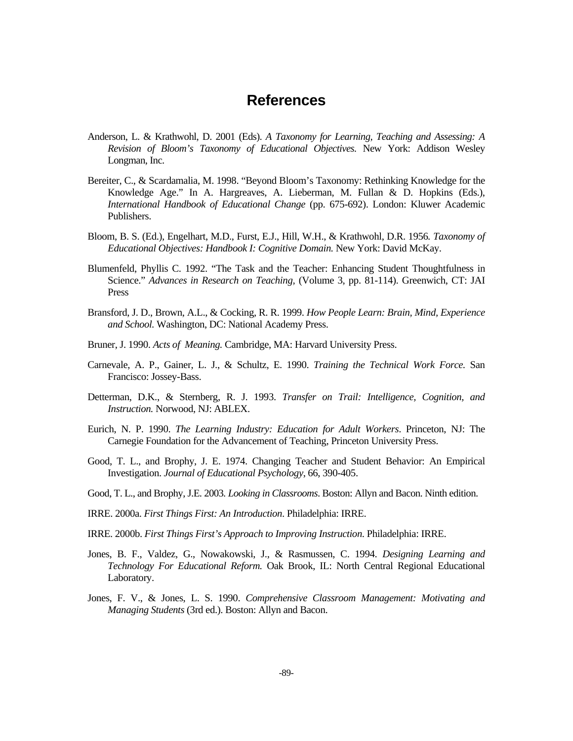# **References**

- Anderson, L. & Krathwohl, D. 2001 (Eds). *A Taxonomy for Learning, Teaching and Assessing: A Revision of Bloom's Taxonomy of Educational Objectives.* New York: Addison Wesley Longman, Inc.
- Bereiter, C., & Scardamalia, M. 1998. "Beyond Bloom's Taxonomy: Rethinking Knowledge for the Knowledge Age." In A. Hargreaves, A. Lieberman, M. Fullan & D. Hopkins (Eds.), *International Handbook of Educational Change* (pp. 675-692). London: Kluwer Academic Publishers.
- Bloom, B. S. (Ed.), Engelhart, M.D., Furst, E.J., Hill, W.H., & Krathwohl, D.R. 1956*. Taxonomy of Educational Objectives: Handbook I: Cognitive Domain.* New York: David McKay.
- Blumenfeld, Phyllis C. 1992. "The Task and the Teacher: Enhancing Student Thoughtfulness in Science." *Advances in Research on Teaching,* (Volume 3, pp. 81-114). Greenwich, CT: JAI Press
- Bransford, J. D., Brown, A.L., & Cocking, R. R. 1999. *How People Learn: Brain, Mind, Experience and School.* Washington, DC: National Academy Press.
- Bruner, J. 1990. *Acts of Meaning.* Cambridge, MA: Harvard University Press.
- Carnevale, A. P., Gainer, L. J., & Schultz, E. 1990. *Training the Technical Work Force.* San Francisco: Jossey-Bass.
- Detterman, D.K., & Sternberg, R. J. 1993. *Transfer on Trail: Intelligence, Cognition, and Instruction.* Norwood, NJ: ABLEX.
- Eurich, N. P. 1990. *The Learning Industry: Education for Adult Workers*. Princeton, NJ: The Carnegie Foundation for the Advancement of Teaching, Princeton University Press.
- Good, T. L., and Brophy, J. E. 1974. Changing Teacher and Student Behavior: An Empirical Investigation. *Journal of Educational Psychology*, 66, 390-405.
- Good, T. L., and Brophy, J.E. 2003*. Looking in Classrooms*. Boston: Allyn and Bacon. Ninth edition.
- IRRE. 2000a. *First Things First: An Introduction*. Philadelphia: IRRE.
- IRRE. 2000b. *First Things First's Approach to Improving Instruction*. Philadelphia: IRRE.
- Jones, B. F., Valdez, G., Nowakowski, J., & Rasmussen, C. 1994. *Designing Learning and Technology For Educational Reform.* Oak Brook, IL: North Central Regional Educational Laboratory.
- Jones, F. V., & Jones, L. S. 1990. *Comprehensive Classroom Management: Motivating and Managing Students* (3rd ed.). Boston: Allyn and Bacon.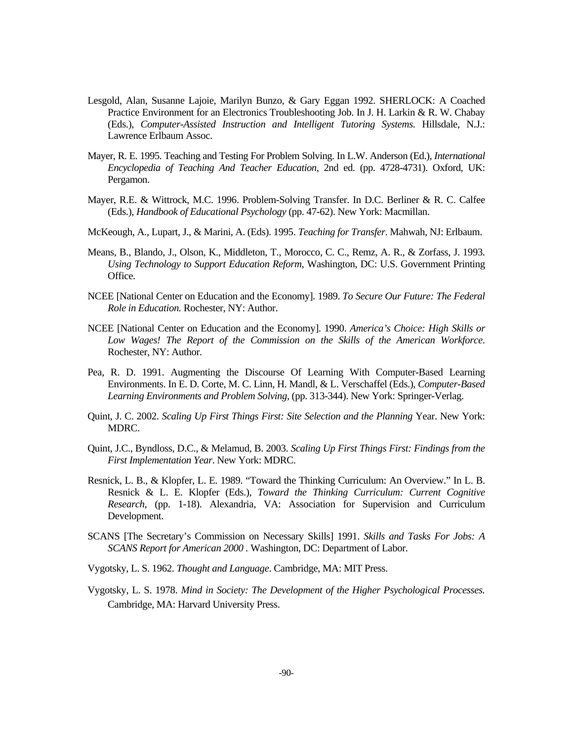- Lesgold, Alan, Susanne Lajoie, Marilyn Bunzo, & Gary Eggan 1992. SHERLOCK: A Coached Practice Environment for an Electronics Troubleshooting Job. In J. H. Larkin & R. W. Chabay (Eds.), *Computer-Assisted Instruction and Intelligent Tutoring Systems.* Hillsdale, N.J.: Lawrence Erlbaum Assoc.
- Mayer, R. E. 1995. Teaching and Testing For Problem Solving. In L.W. Anderson (Ed.), *International Encyclopedia of Teaching And Teacher Education*, 2nd ed. (pp. 4728-4731). Oxford, UK: Pergamon.
- Mayer, R.E. & Wittrock, M.C. 1996. Problem-Solving Transfer. In D.C. Berliner & R. C. Calfee (Eds.), *Handbook of Educational Psychology* (pp. 47-62). New York: Macmillan.
- McKeough, A., Lupart, J., & Marini, A. (Eds). 1995. *Teaching for Transfer*. Mahwah, NJ: Erlbaum.
- Means, B., Blando, J., Olson, K., Middleton, T., Morocco, C. C., Remz, A. R., & Zorfass, J. 1993. *Using Technology to Support Education Reform*, Washington, DC: U.S. Government Printing Office.
- NCEE [National Center on Education and the Economy]. 1989. *To Secure Our Future: The Federal Role in Education.* Rochester, NY: Author.
- NCEE [National Center on Education and the Economy]. 1990. *America's Choice: High Skills or Low Wages! The Report of the Commission on the Skills of the American Workforce*. Rochester, NY: Author.
- Pea, R. D. 1991. Augmenting the Discourse Of Learning With Computer-Based Learning Environments. In E. D. Corte, M. C. Linn, H. Mandl, & L. Verschaffel (Eds.), *Computer-Based Learning Environments and Problem Solving*, (pp. 313-344). New York: Springer-Verlag.
- Quint, J. C. 2002. *Scaling Up First Things First: Site Selection and the Planning* Year. New York: MDRC.
- Quint, J.C., Byndloss, D.C., & Melamud, B. 2003. *Scaling Up First Things First: Findings from the First Implementation Year*. New York: MDRC.
- Resnick, L. B., & Klopfer, L. E. 1989. "Toward the Thinking Curriculum: An Overview." In L. B. Resnick & L. E. Klopfer (Eds.), *Toward the Thinking Curriculum: Current Cognitive Research*, (pp. 1-18). Alexandria, VA: Association for Supervision and Curriculum Development.
- SCANS [The Secretary's Commission on Necessary Skills] 1991. *Skills and Tasks For Jobs: A SCANS Report for American 2000 .* Washington, DC: Department of Labor.
- Vygotsky, L. S. 1962. *Thought and Language*. Cambridge, MA: MIT Press.
- Vygotsky, L. S. 1978. *Mind in Society: The Development of the Higher Psychological Processes.* Cambridge, MA: Harvard University Press.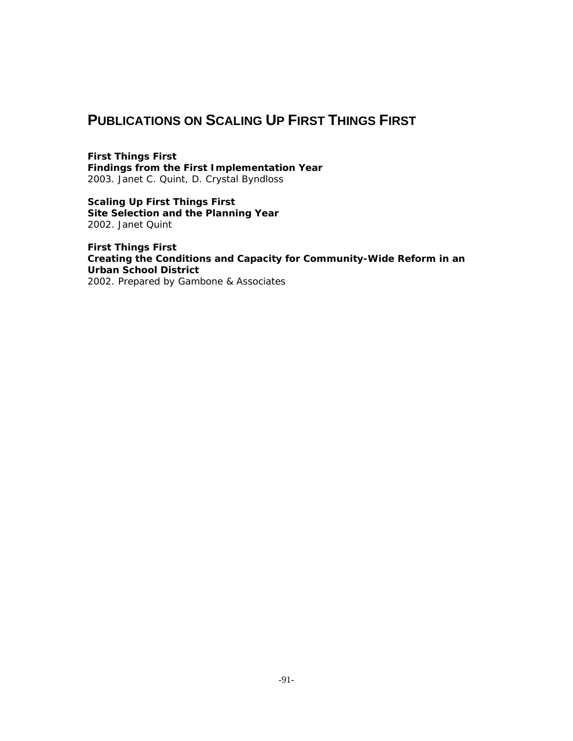# **PUBLICATIONS ON SCALING UP FIRST THINGS FIRST**

**First Things First Findings from the First Implementation Year**  2003. Janet C. Quint, D. Crystal Byndloss

**Scaling Up First Things First Site Selection and the Planning Year**  2002. Janet Quint

**First Things First Creating the Conditions and Capacity for Community-Wide Reform in an Urban School District**  2002. Prepared by Gambone & Associates